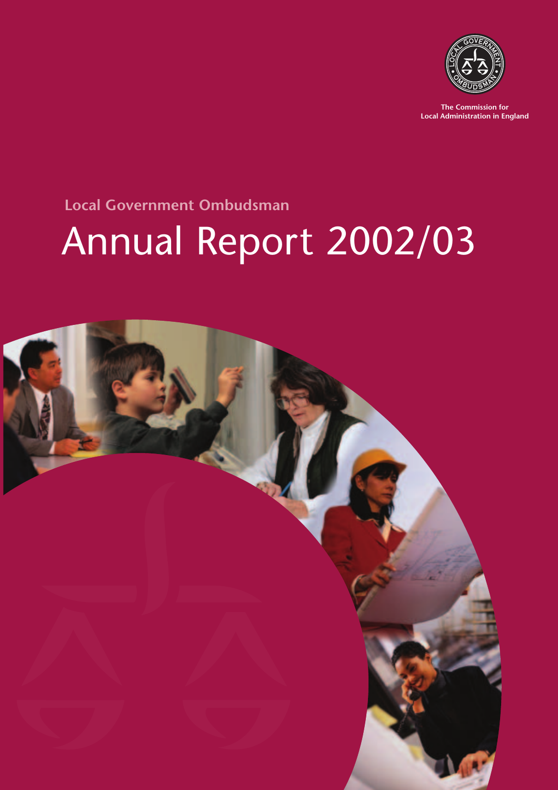

**The Commission for Local Administration in England**

### **Local Government Ombudsman**

# Annual Report 2002/03

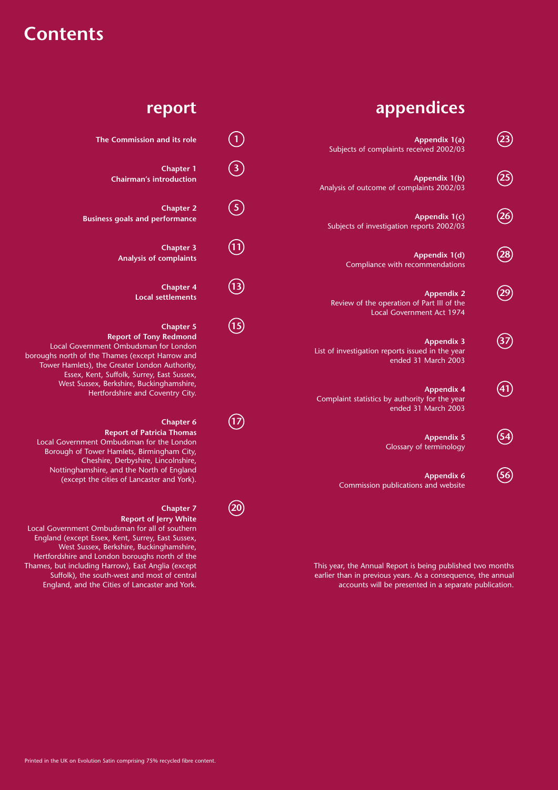### **Contents**

### **appendices**

**Appendix 1(a) 23** Subjects of complaints received 2002/03

**Appendix 1(b) 25** Analysis of outcome of complaints 2002/03

**Appendix 1(c) 26** Subjects of investigation reports 2002/03

**Appendix 1(d) 28** Compliance with recommendations

**Appendix 2 29** Review of the operation of Part III of the Local Government Act 1974

**Appendix 3 37** List of investigation reports issued in the year ended 31 March 2003

**Appendix 4 41** Complaint statistics by authority for the year ended 31 March 2003

> **Appendix 5** Glossary of terminology

**Appendix 6 56** Commission publications and website

This year, the Annual Report is being published two months earlier than in previous years. As a consequence, the annual accounts will be presented in a separate publication.

#### **report**

**The Commission and its role**  $\qquad \qquad \textbf{(1)}$ **Chapter 1 3 Chairman's introduction**

**Chapter 2 5 Business goals and performance**

> **Chapter 3 11 Analysis of complaints**

> > **Chapter 4 13 Local settlements**

### **Chapter 5 15**

**Report of Tony Redmond** Local Government Ombudsman for London boroughs north of the Thames (except Harrow and Tower Hamlets), the Greater London Authority, Essex, Kent, Suffolk, Surrey, East Sussex, West Sussex, Berkshire, Buckinghamshire, Hertfordshire and Coventry City.

#### **Chapter 6 17**

**Report of Patricia Thomas** Local Government Ombudsman for the London Borough of Tower Hamlets, Birmingham City, Cheshire, Derbyshire, Lincolnshire, Nottinghamshire, and the North of England (except the cities of Lancaster and York).

#### **Chapter 7 20**

#### **Report of Jerry White**

Local Government Ombudsman for all of southern England (except Essex, Kent, Surrey, East Sussex, West Sussex, Berkshire, Buckinghamshire, Hertfordshire and London boroughs north of the Thames, but including Harrow), East Anglia (except Suffolk), the south-west and most of central England, and the Cities of Lancaster and York.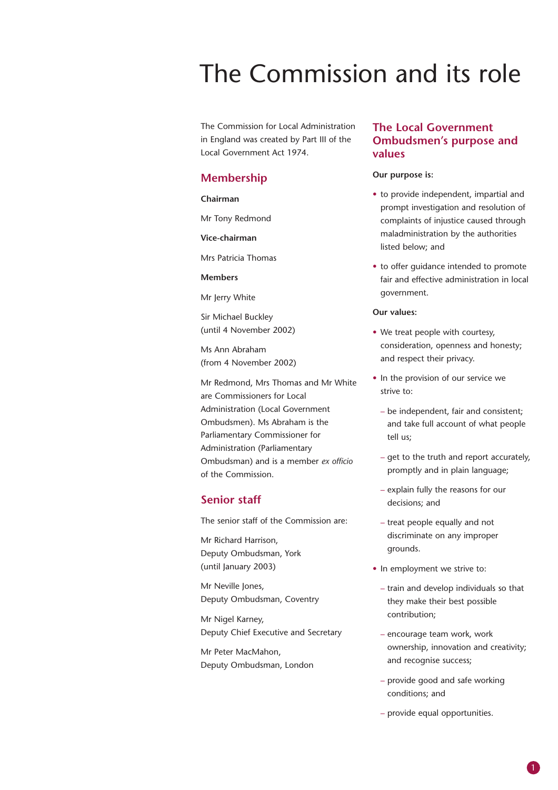## The Commission and its role

The Commission for Local Administration in England was created by Part III of the Local Government Act 1974.

#### **Membership**

#### **Chairman**

Mr Tony Redmond

**Vice-chairman**

Mrs Patricia Thomas

#### **Members**

Mr Jerry White

Sir Michael Buckley (until 4 November 2002)

Ms Ann Abraham (from 4 November 2002)

Mr Redmond, Mrs Thomas and Mr White are Commissioners for Local Administration (Local Government Ombudsmen). Ms Abraham is the Parliamentary Commissioner for Administration (Parliamentary Ombudsman) and is a member *ex officio* of the Commission.

#### **Senior staff**

The senior staff of the Commission are:

Mr Richard Harrison, Deputy Ombudsman, York (until January 2003)

Mr Neville Jones, Deputy Ombudsman, Coventry

Mr Nigel Karney, Deputy Chief Executive and Secretary

Mr Peter MacMahon, Deputy Ombudsman, London

#### **The Local Government Ombudsmen's purpose and values**

#### **Our purpose is:**

- to provide independent, impartial and prompt investigation and resolution of complaints of injustice caused through maladministration by the authorities listed below; and
- to offer guidance intended to promote fair and effective administration in local government.

#### **Our values:**

- We treat people with courtesy, consideration, openness and honesty; and respect their privacy.
- In the provision of our service we strive to:
	- be independent, fair and consistent; and take full account of what people tell us;
	- get to the truth and report accurately, promptly and in plain language;
	- explain fully the reasons for our decisions; and
	- treat people equally and not discriminate on any improper grounds.
- In employment we strive to:
	- train and develop individuals so that they make their best possible contribution;
	- encourage team work, work ownership, innovation and creativity; and recognise success;
	- provide good and safe working conditions; and
	- provide equal opportunities.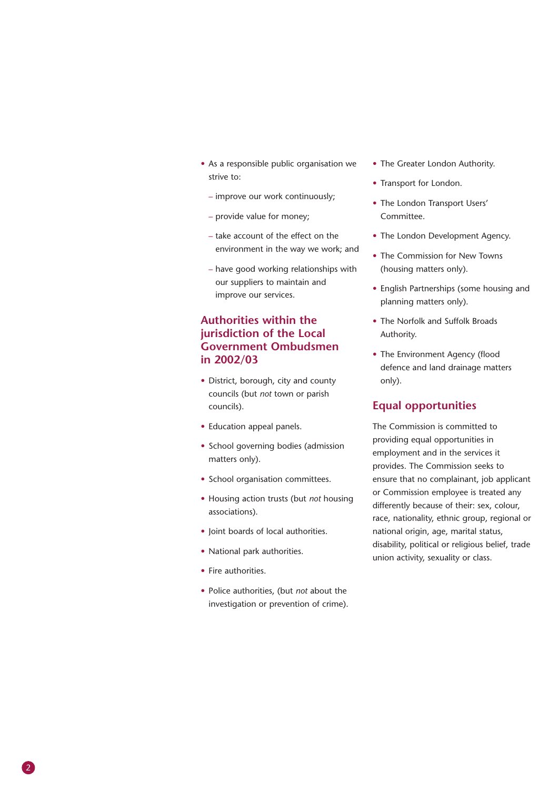- As a responsible public organisation we strive to:
	- improve our work continuously;
	- provide value for money;
	- take account of the effect on the environment in the way we work; and
	- have good working relationships with our suppliers to maintain and improve our services.

#### **Authorities within the jurisdiction of the Local Government Ombudsmen in 2002/03**

- District, borough, city and county councils (but *not* town or parish councils).
- Education appeal panels.
- School governing bodies (admission matters only).
- School organisation committees.
- Housing action trusts (but *not* housing associations).
- Joint boards of local authorities.
- National park authorities.
- Fire authorities.
- Police authorities, (but *not* about the investigation or prevention of crime).
- The Greater London Authority.
- Transport for London.
- The London Transport Users' Committee.
- The London Development Agency.
- The Commission for New Towns (housing matters only).
- English Partnerships (some housing and planning matters only).
- The Norfolk and Suffolk Broads Authority.
- The Environment Agency (flood defence and land drainage matters only).

#### **Equal opportunities**

The Commission is committed to providing equal opportunities in employment and in the services it provides. The Commission seeks to ensure that no complainant, job applicant or Commission employee is treated any differently because of their: sex, colour, race, nationality, ethnic group, regional or national origin, age, marital status, disability, political or religious belief, trade union activity, sexuality or class.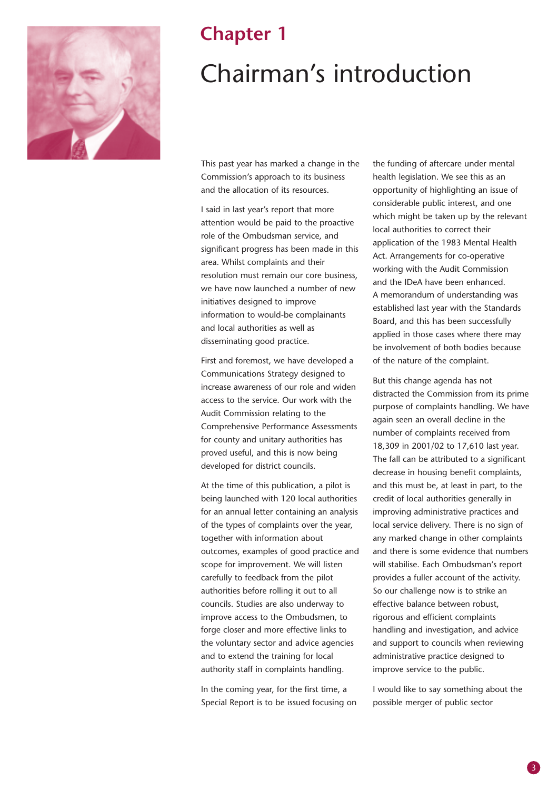

### **Chapter 1**

## Chairman's introduction

This past year has marked a change in the Commission's approach to its business and the allocation of its resources.

I said in last year's report that more attention would be paid to the proactive role of the Ombudsman service, and significant progress has been made in this area. Whilst complaints and their resolution must remain our core business, we have now launched a number of new initiatives designed to improve information to would-be complainants and local authorities as well as disseminating good practice.

First and foremost, we have developed a Communications Strategy designed to increase awareness of our role and widen access to the service. Our work with the Audit Commission relating to the Comprehensive Performance Assessments for county and unitary authorities has proved useful, and this is now being developed for district councils.

At the time of this publication, a pilot is being launched with 120 local authorities for an annual letter containing an analysis of the types of complaints over the year, together with information about outcomes, examples of good practice and scope for improvement. We will listen carefully to feedback from the pilot authorities before rolling it out to all councils. Studies are also underway to improve access to the Ombudsmen, to forge closer and more effective links to the voluntary sector and advice agencies and to extend the training for local authority staff in complaints handling.

In the coming year, for the first time, a Special Report is to be issued focusing on the funding of aftercare under mental health legislation. We see this as an opportunity of highlighting an issue of considerable public interest, and one which might be taken up by the relevant local authorities to correct their application of the 1983 Mental Health Act. Arrangements for co-operative working with the Audit Commission and the IDeA have been enhanced. A memorandum of understanding was established last year with the Standards Board, and this has been successfully applied in those cases where there may be involvement of both bodies because of the nature of the complaint.

But this change agenda has not distracted the Commission from its prime purpose of complaints handling. We have again seen an overall decline in the number of complaints received from 18,309 in 2001/02 to 17,610 last year. The fall can be attributed to a significant decrease in housing benefit complaints, and this must be, at least in part, to the credit of local authorities generally in improving administrative practices and local service delivery. There is no sign of any marked change in other complaints and there is some evidence that numbers will stabilise. Each Ombudsman's report provides a fuller account of the activity. So our challenge now is to strike an effective balance between robust, rigorous and efficient complaints handling and investigation, and advice and support to councils when reviewing administrative practice designed to improve service to the public.

I would like to say something about the possible merger of public sector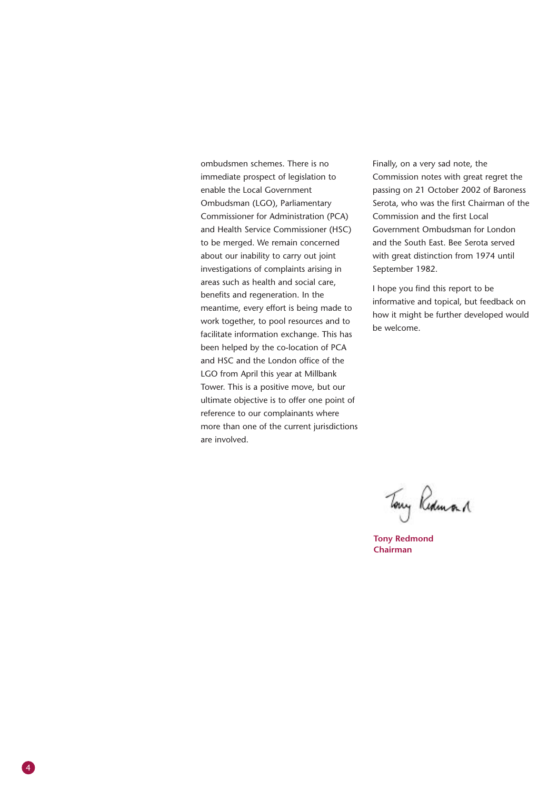ombudsmen schemes. There is no immediate prospect of legislation to enable the Local Government Ombudsman (LGO), Parliamentary Commissioner for Administration (PCA) and Health Service Commissioner (HSC) to be merged. We remain concerned about our inability to carry out joint investigations of complaints arising in areas such as health and social care, benefits and regeneration. In the meantime, every effort is being made to work together, to pool resources and to facilitate information exchange. This has been helped by the co-location of PCA and HSC and the London office of the LGO from April this year at Millbank Tower. This is a positive move, but our ultimate objective is to offer one point of reference to our complainants where more than one of the current jurisdictions are involved.

Finally, on a very sad note, the Commission notes with great regret the passing on 21 October 2002 of Baroness Serota, who was the first Chairman of the Commission and the first Local Government Ombudsman for London and the South East. Bee Serota served with great distinction from 1974 until September 1982.

I hope you find this report to be informative and topical, but feedback on how it might be further developed would be welcome.

Tony Redman 1

**Tony Redmond Chairman**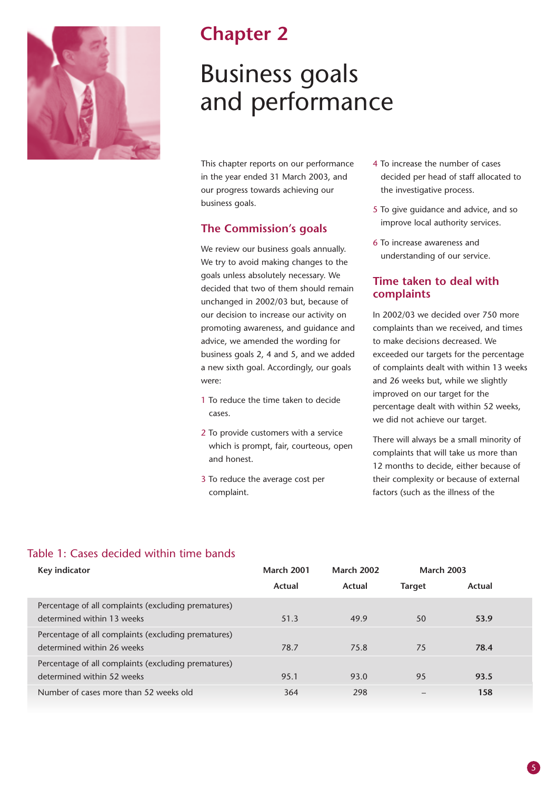

### **Chapter 2**

## Business goals and performance

This chapter reports on our performance in the year ended 31 March 2003, and our progress towards achieving our business goals.

#### **The Commission's goals**

We review our business goals annually. We try to avoid making changes to the goals unless absolutely necessary. We decided that two of them should remain unchanged in 2002/03 but, because of our decision to increase our activity on promoting awareness, and guidance and advice, we amended the wording for business goals 2, 4 and 5, and we added a new sixth goal. Accordingly, our goals were:

- 1 To reduce the time taken to decide cases.
- 2 To provide customers with a service which is prompt, fair, courteous, open and honest.
- 3 To reduce the average cost per complaint.
- 4 To increase the number of cases decided per head of staff allocated to the investigative process.
- 5 To give guidance and advice, and so improve local authority services.
- 6 To increase awareness and understanding of our service.

#### **Time taken to deal with complaints**

In 2002/03 we decided over 750 more complaints than we received, and times to make decisions decreased. We exceeded our targets for the percentage of complaints dealt with within 13 weeks and 26 weeks but, while we slightly improved on our target for the percentage dealt with within 52 weeks, we did not achieve our target.

There will always be a small minority of complaints that will take us more than 12 months to decide, either because of their complexity or because of external factors (such as the illness of the

#### Table 1: Cases decided within time bands

| Key indicator                                                                     | <b>March 2001</b> | <b>March 2002</b> | <b>March 2003</b> |        |
|-----------------------------------------------------------------------------------|-------------------|-------------------|-------------------|--------|
|                                                                                   | Actual            | Actual            | <b>Target</b>     | Actual |
| Percentage of all complaints (excluding prematures)<br>determined within 13 weeks | 51.3              | 49.9              | 50                | 53.9   |
| Percentage of all complaints (excluding prematures)<br>determined within 26 weeks | 78.7              | 75.8              | 75                | 78.4   |
| Percentage of all complaints (excluding prematures)<br>determined within 52 weeks | 95.1              | 93.0              | 95                | 93.5   |
| Number of cases more than 52 weeks old                                            | 364               | 298               |                   | 158    |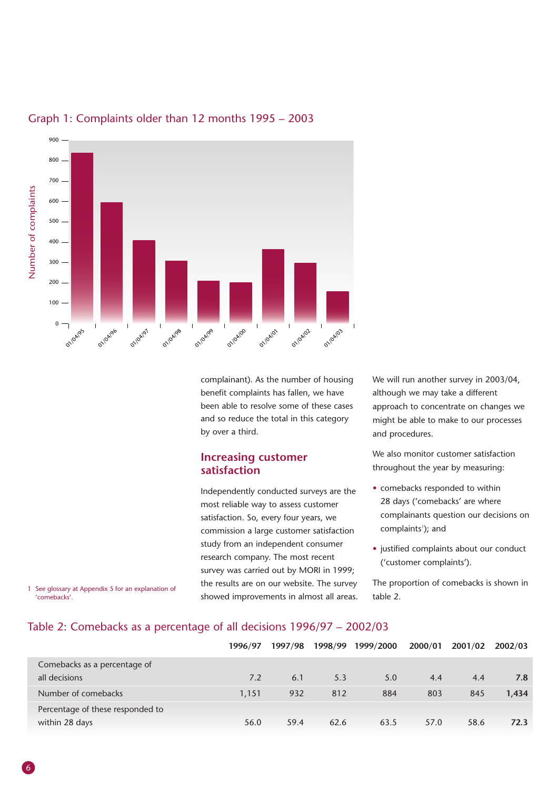

#### Graph 1: Complaints older than 12 months 1995 – 2003

complainant). As the number of housing benefit complaints has fallen, we have been able to resolve some of these cases and so reduce the total in this category by over a third.

#### **Increasing customer satisfaction**

Independently conducted surveys are the most reliable way to assess customer satisfaction. So, every four years, we commission a large customer satisfaction study from an independent consumer research company. The most recent survey was carried out by MORI in 1999; the results are on our website. The survey showed improvements in almost all areas. We will run another survey in 2003/04, although we may take a different approach to concentrate on changes we might be able to make to our processes and procedures.

We also monitor customer satisfaction throughout the year by measuring:

- comebacks responded to within 28 days ('comebacks' are where complainants question our decisions on complaints<sup>1</sup>); and
- justified complaints about our conduct ('customer complaints').

The proportion of comebacks is shown in table 2.

1 See glossary at Appendix 5 for an explanation of 'comebacks'.

#### Table 2: Comebacks as a percentage of all decisions 1996/97 – 2002/03

|                                                    | 1996/97 | 1997/98 | 1998/99 | 1999/2000 | 2000/01 | 2001/02 | 2002/03 |
|----------------------------------------------------|---------|---------|---------|-----------|---------|---------|---------|
| Comebacks as a percentage of                       |         |         |         |           |         |         |         |
| all decisions                                      | 7.2     | 6.1     | 5.3     | 5.0       | 4.4     | 4.4     | 7.8     |
| Number of comebacks                                | 1.151   | 932     | 812     | 884       | 803     | 845     | 1.434   |
| Percentage of these responded to<br>within 28 days | 56.0    | 59.4    | 62.6    | 63.5      | 57.0    | 58.6    | 72.3    |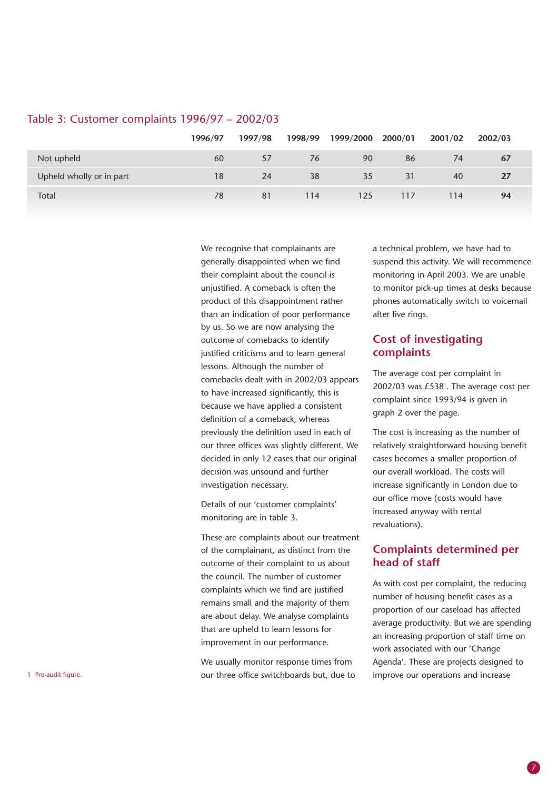|                          | 1996/97 | 1997/98 | 1998/99 | 1999/2000 2000/01 |     | 2001/02 | 2002/03   |
|--------------------------|---------|---------|---------|-------------------|-----|---------|-----------|
| Not upheld               | 60      | 57      | 76      | 90                | 86  | 74      | 67        |
| Upheld wholly or in part | 18      | 24      | 38      | 35                | 31  | 40      | <b>27</b> |
| Total                    | 78      | 81      | 114     | 125               | 117 | 114     | 94        |

#### Table 3: Customer complaints 1996/97 – 2002/03

We recognise that complainants are generally disappointed when we find their complaint about the council is unjustified. A comeback is often the product of this disappointment rather than an indication of poor performance by us. So we are now analysing the outcome of comebacks to identify justified criticisms and to learn general lessons. Although the number of comebacks dealt with in 2002/03 appears to have increased significantly, this is because we have applied a consistent definition of a comeback, whereas previously the definition used in each of our three offices was slightly different. We decided in only 12 cases that our original decision was unsound and further investigation necessary.

Details of our 'customer complaints' monitoring are in table 3.

These are complaints about our treatment of the complainant, as distinct from the outcome of their complaint to us about the council. The number of customer complaints which we find are justified remains small and the majority of them are about delay. We analyse complaints that are upheld to learn lessons for improvement in our performance.

We usually monitor response times from our three office switchboards but, due to 1 Pre-audit figure. improve our operations and increase

a technical problem, we have had to suspend this activity. We will recommence monitoring in April 2003. We are unable to monitor pick-up times at desks because phones automatically switch to voicemail after five rings.

#### **Cost of investigating complaints**

The average cost per complaint in  $2002/03$  was  $£538<sup>1</sup>$ . The average cost per complaint since 1993/94 is given in graph 2 over the page.

The cost is increasing as the number of relatively straightforward housing benefit cases becomes a smaller proportion of our overall workload. The costs will increase significantly in London due to our office move (costs would have increased anyway with rental revaluations).

#### **Complaints determined per head of staff**

As with cost per complaint, the reducing number of housing benefit cases as a proportion of our caseload has affected average productivity. But we are spending an increasing proportion of staff time on work associated with our 'Change Agenda'. These are projects designed to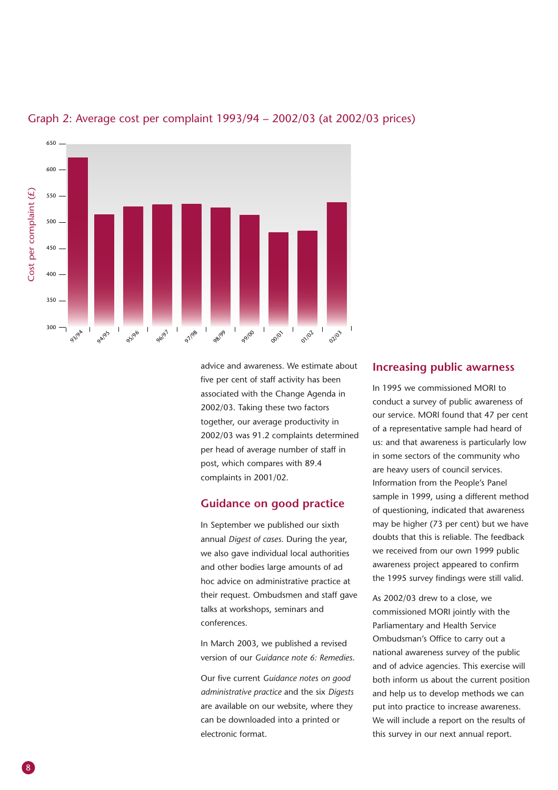

#### Graph 2: Average cost per complaint 1993/94 – 2002/03 (at 2002/03 prices)

advice and awareness. We estimate about five per cent of staff activity has been associated with the Change Agenda in 2002/03. Taking these two factors together, our average productivity in 2002/03 was 91.2 complaints determined per head of average number of staff in post, which compares with 89.4 complaints in 2001/02.

#### **Guidance on good practice**

In September we published our sixth annual *Digest of cases*. During the year, we also gave individual local authorities and other bodies large amounts of ad hoc advice on administrative practice at their request. Ombudsmen and staff gave talks at workshops, seminars and conferences.

In March 2003, we published a revised version of our *Guidance note 6: Remedies*.

Our five current *Guidance notes on good administrative practice* and the six *Digests* are available on our website, where they can be downloaded into a printed or electronic format.

#### **Increasing public awarness**

In 1995 we commissioned MORI to conduct a survey of public awareness of our service. MORI found that 47 per cent of a representative sample had heard of us: and that awareness is particularly low in some sectors of the community who are heavy users of council services. Information from the People's Panel sample in 1999, using a different method of questioning, indicated that awareness may be higher (73 per cent) but we have doubts that this is reliable. The feedback we received from our own 1999 public awareness project appeared to confirm the 1995 survey findings were still valid.

As 2002/03 drew to a close, we commissioned MORI jointly with the Parliamentary and Health Service Ombudsman's Office to carry out a national awareness survey of the public and of advice agencies. This exercise will both inform us about the current position and help us to develop methods we can put into practice to increase awareness. We will include a report on the results of this survey in our next annual report.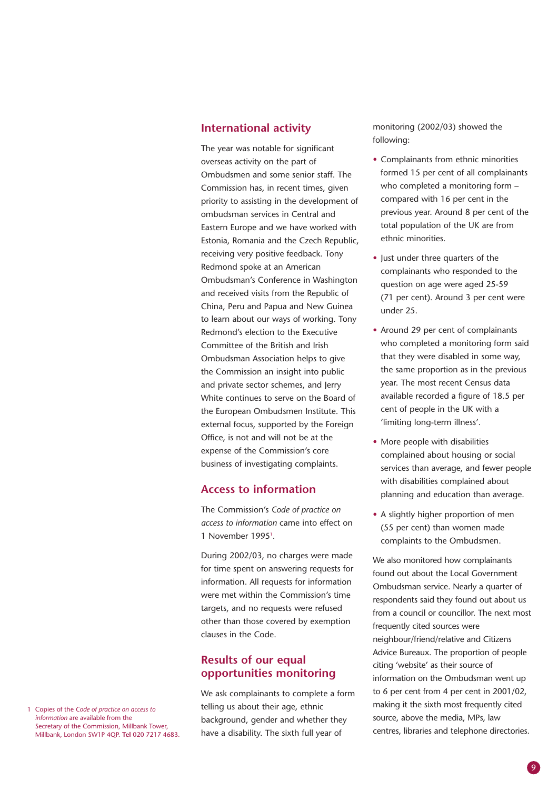#### **International activity**

The year was notable for significant overseas activity on the part of Ombudsmen and some senior staff. The Commission has, in recent times, given priority to assisting in the development of ombudsman services in Central and Eastern Europe and we have worked with Estonia, Romania and the Czech Republic, receiving very positive feedback. Tony Redmond spoke at an American Ombudsman's Conference in Washington and received visits from the Republic of China, Peru and Papua and New Guinea to learn about our ways of working. Tony Redmond's election to the Executive Committee of the British and Irish Ombudsman Association helps to give the Commission an insight into public and private sector schemes, and Jerry White continues to serve on the Board of the European Ombudsmen Institute. This external focus, supported by the Foreign Office, is not and will not be at the expense of the Commission's core business of investigating complaints.

#### **Access to information**

The Commission's *Code of practice on access to information* came into effect on 1 November 1995<sup>1</sup>.

During 2002/03, no charges were made for time spent on answering requests for information. All requests for information were met within the Commission's time targets, and no requests were refused other than those covered by exemption clauses in the Code.

#### **Results of our equal opportunities monitoring**

We ask complainants to complete a form telling us about their age, ethnic background, gender and whether they have a disability. The sixth full year of

monitoring (2002/03) showed the following:

- Complainants from ethnic minorities formed 15 per cent of all complainants who completed a monitoring form – compared with 16 per cent in the previous year. Around 8 per cent of the total population of the UK are from ethnic minorities.
- Just under three quarters of the complainants who responded to the question on age were aged 25-59 (71 per cent). Around 3 per cent were under 25.
- Around 29 per cent of complainants who completed a monitoring form said that they were disabled in some way, the same proportion as in the previous year. The most recent Census data available recorded a figure of 18.5 per cent of people in the UK with a 'limiting long-term illness'.
- More people with disabilities complained about housing or social services than average, and fewer people with disabilities complained about planning and education than average.
- A slightly higher proportion of men (55 per cent) than women made complaints to the Ombudsmen.

We also monitored how complainants found out about the Local Government Ombudsman service. Nearly a quarter of respondents said they found out about us from a council or councillor. The next most frequently cited sources were neighbour/friend/relative and Citizens Advice Bureaux. The proportion of people citing 'website' as their source of information on the Ombudsman went up to 6 per cent from 4 per cent in 2001/02, making it the sixth most frequently cited source, above the media, MPs, law centres, libraries and telephone directories.

1 Copies of the *Code of practice on access to information* are available from the Secretary of the Commission, Millbank Tower, Millbank, London SW1P 4QP. **Tel** 020 7217 4683.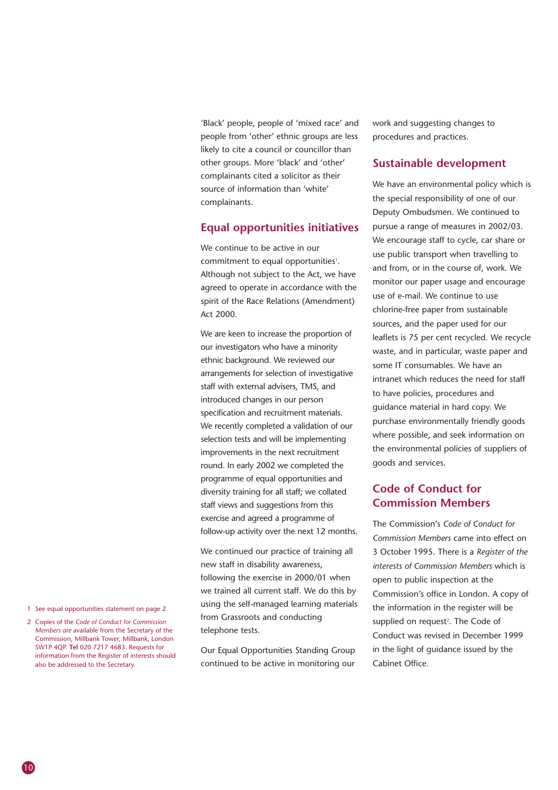'Black' people, people of 'mixed race' and people from 'other' ethnic groups are less likely to cite a council or councillor than other groups. More 'black' and 'other' complainants cited a solicitor as their source of information than 'white' complainants.

#### **Equal opportunities initiatives**

We continue to be active in our commitment to equal opportunities<sup>1</sup>. Although not subject to the Act, we have agreed to operate in accordance with the spirit of the Race Relations (Amendment) Act 2000.

We are keen to increase the proportion of our investigators who have a minority ethnic background. We reviewed our arrangements for selection of investigative staff with external advisers, TMS, and introduced changes in our person specification and recruitment materials. We recently completed a validation of our selection tests and will be implementing improvements in the next recruitment round. In early 2002 we completed the programme of equal opportunities and diversity training for all staff; we collated staff views and suggestions from this exercise and agreed a programme of follow-up activity over the next 12 months.

We continued our practice of training all new staff in disability awareness, following the exercise in 2000/01 when we trained all current staff. We do this by using the self-managed learning materials from Grassroots and conducting telephone tests.

Our Equal Opportunities Standing Group continued to be active in monitoring our work and suggesting changes to procedures and practices.

#### **Sustainable development**

We have an environmental policy which is the special responsibility of one of our Deputy Ombudsmen. We continued to pursue a range of measures in 2002/03. We encourage staff to cycle, car share or use public transport when travelling to and from, or in the course of, work. We monitor our paper usage and encourage use of e-mail. We continue to use chlorine-free paper from sustainable sources, and the paper used for our leaflets is 75 per cent recycled. We recycle waste, and in particular, waste paper and some IT consumables. We have an intranet which reduces the need for staff to have policies, procedures and guidance material in hard copy. We purchase environmentally friendly goods where possible, and seek information on the environmental policies of suppliers of goods and services.

#### **Code of Conduct for Commission Members**

The Commission's *Code of Conduct for Commission Members* came into effect on 3 October 1995. There is a *Register of the interests of Commission Members* which is open to public inspection at the Commission's office in London. A copy of the information in the register will be supplied on request<sup>2</sup>. The Code of Conduct was revised in December 1999 in the light of guidance issued by the Cabinet Office.

- 1 See equal opportunities statement on page 2.
- 2 Copies of the *Code of Conduct for Commission Members are* available from the Secretary of the Commission, Millbank Tower, Millbank, London SW1P 4QP. **Tel** 020 7217 4683. Requests for information from the Register of interests should also be addressed to the Secretary.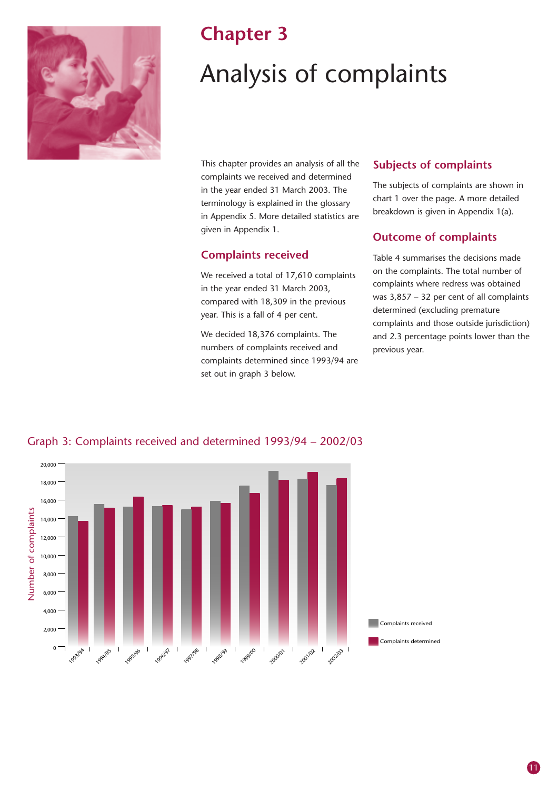

### **Chapter 3**

## Analysis of complaints

This chapter provides an analysis of all the complaints we received and determined in the year ended 31 March 2003. The terminology is explained in the glossary in Appendix 5. More detailed statistics are given in Appendix 1.

#### **Complaints received**

We received a total of 17,610 complaints in the year ended 31 March 2003, compared with 18,309 in the previous year. This is a fall of 4 per cent.

We decided 18,376 complaints. The numbers of complaints received and complaints determined since 1993/94 are set out in graph 3 below.

#### **Subjects of complaints**

The subjects of complaints are shown in chart 1 over the page. A more detailed breakdown is given in Appendix 1(a).

#### **Outcome of complaints**

Table 4 summarises the decisions made on the complaints. The total number of complaints where redress was obtained was 3,857 – 32 per cent of all complaints determined (excluding premature complaints and those outside jurisdiction) and 2.3 percentage points lower than the previous year.



Graph 3: Complaints received and determined 1993/94 – 2002/03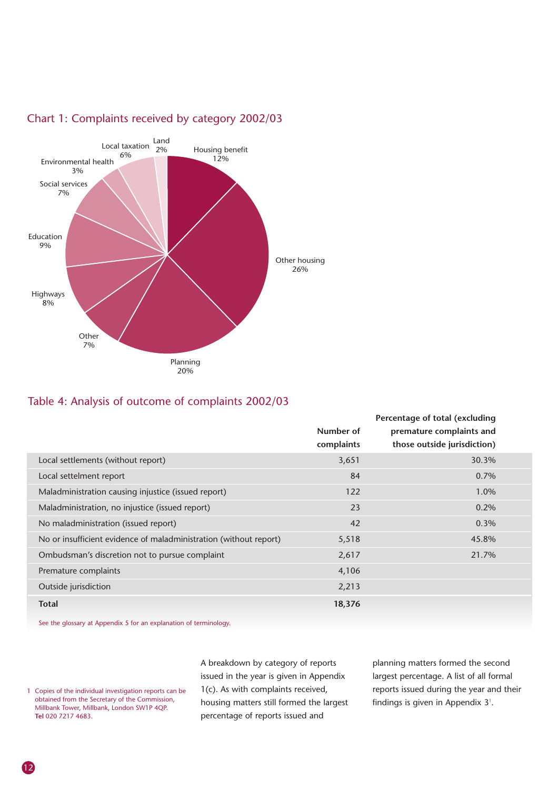

#### Chart 1: Complaints received by category 2002/03

#### Table 4: Analysis of outcome of complaints 2002/03

|                                                                   |            | Percentage of total (excluding |  |
|-------------------------------------------------------------------|------------|--------------------------------|--|
|                                                                   | Number of  | premature complaints and       |  |
|                                                                   | complaints | those outside jurisdiction)    |  |
| Local settlements (without report)                                | 3,651      | 30.3%                          |  |
| Local settelment report                                           | 84         | $0.7\%$                        |  |
| Maladministration causing injustice (issued report)               | 122        | 1.0%                           |  |
| Maladministration, no injustice (issued report)                   | 23         | 0.2%                           |  |
| No maladministration (issued report)                              | 42         | 0.3%                           |  |
| No or insufficient evidence of maladministration (without report) | 5,518      | 45.8%                          |  |
| Ombudsman's discretion not to pursue complaint                    | 2,617      | 21.7%                          |  |
| Premature complaints                                              | 4,106      |                                |  |
| Outside jurisdiction                                              | 2,213      |                                |  |
| <b>Total</b>                                                      | 18,376     |                                |  |

See the glossary at Appendix 5 for an explanation of terminology.

1 Copies of the individual investigation reports can be obtained from the Secretary of the Commission, Millbank Tower, Millbank, London SW1P 4QP. **Tel** 020 7217 4683.

A breakdown by category of reports issued in the year is given in Appendix 1(c). As with complaints received, housing matters still formed the largest percentage of reports issued and

planning matters formed the second largest percentage. A list of all formal reports issued during the year and their findings is given in Appendix  $3<sup>1</sup>$ .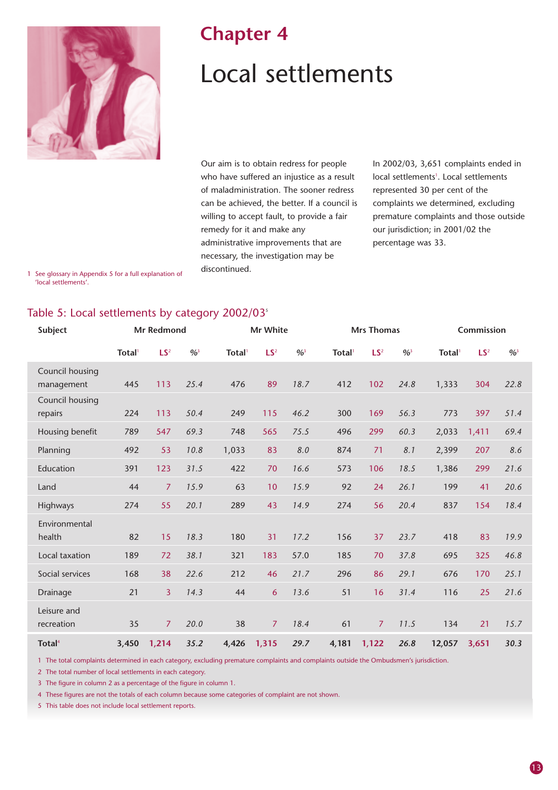

### **Chapter 4**

## Local settlements

Our aim is to obtain redress for people who have suffered an injustice as a result of maladministration. The sooner redress can be achieved, the better. If a council is willing to accept fault, to provide a fair remedy for it and make any administrative improvements that are necessary, the investigation may be discontinued.

In 2002/03, 3,651 complaints ended in local settlements<sup>1</sup>. Local settlements represented 30 per cent of the complaints we determined, excluding premature complaints and those outside our jurisdiction; in 2001/02 the percentage was 33.

1 See glossary in Appendix 5 for a full explanation of 'local settlements'.

#### Table 5: Local settlements by category 2002/03<sup>5</sup>

| Subject                       |              | <b>Mr Redmond</b> |                            |              | Mr White        |                            |              | <b>Mrs Thomas</b> |                            |              | Commission      |                            |
|-------------------------------|--------------|-------------------|----------------------------|--------------|-----------------|----------------------------|--------------|-------------------|----------------------------|--------------|-----------------|----------------------------|
|                               | <b>Total</b> | LS <sup>2</sup>   | $\frac{9}{6}$ <sup>3</sup> | <b>Total</b> | LS <sup>2</sup> | $\frac{9}{6}$ <sup>3</sup> | <b>Total</b> | LS <sup>2</sup>   | $\frac{9}{6}$ <sup>3</sup> | <b>Total</b> | LS <sup>2</sup> | $\frac{9}{6}$ <sup>3</sup> |
| Council housing<br>management | 445          | 113               | 25.4                       | 476          | 89              | 18.7                       | 412          | 102               | 24.8                       | 1,333        | 304             | 22.8                       |
| Council housing<br>repairs    | 224          | 113               | 50.4                       | 249          | 115             | 46.2                       | 300          | 169               | 56.3                       | 773          | 397             | 51.4                       |
| Housing benefit               | 789          | 547               | 69.3                       | 748          | 565             | 75.5                       | 496          | 299               | 60.3                       | 2,033        | 1,411           | 69.4                       |
| Planning                      | 492          | 53                | 10.8                       | 1,033        | 83              | 8.0                        | 874          | 71                | 8.1                        | 2,399        | 207             | 8.6                        |
| Education                     | 391          | 123               | 31.5                       | 422          | 70              | 16.6                       | 573          | 106               | 18.5                       | 1,386        | 299             | 21.6                       |
| Land                          | 44           | $\overline{7}$    | 15.9                       | 63           | 10              | 15.9                       | 92           | 24                | 26.1                       | 199          | 41              | 20.6                       |
| Highways                      | 274          | 55                | 20.1                       | 289          | 43              | 14.9                       | 274          | 56                | 20.4                       | 837          | 154             | 18.4                       |
| Environmental<br>health       | 82           | 15                | 18.3                       | 180          | 31              | 17.2                       | 156          | 37                | 23.7                       | 418          | 83              | 19.9                       |
| Local taxation                | 189          | 72                | 38.1                       | 321          | 183             | 57.0                       | 185          | 70                | 37.8                       | 695          | 325             | 46.8                       |
| Social services               | 168          | 38                | 22.6                       | 212          | 46              | 21.7                       | 296          | 86                | 29.1                       | 676          | 170             | 25.1                       |
| Drainage                      | 21           | $\overline{3}$    | 14.3                       | 44           | 6               | 13.6                       | 51           | 16                | 31.4                       | 116          | 25              | 21.6                       |
| Leisure and<br>recreation     | 35           | $\overline{7}$    | 20.0                       | 38           | $\overline{7}$  | 18.4                       | 61           | 7                 | 11.5                       | 134          | 21              | 15.7                       |
| Total <sup>4</sup>            | 3,450        | 1,214             | 35.2                       | 4,426        | 1,315           | 29.7                       | 4,181        | 1,122             | 26.8                       | 12,057       | 3,651           | 30.3                       |

1 The total complaints determined in each category, excluding premature complaints and complaints outside the Ombudsmen's jurisdiction.

2 The total number of local settlements in each category.

3 The figure in column 2 as a percentage of the figure in column 1.

4 These figures are not the totals of each column because some categories of complaint are not shown.

5 This table does not include local settlement reports.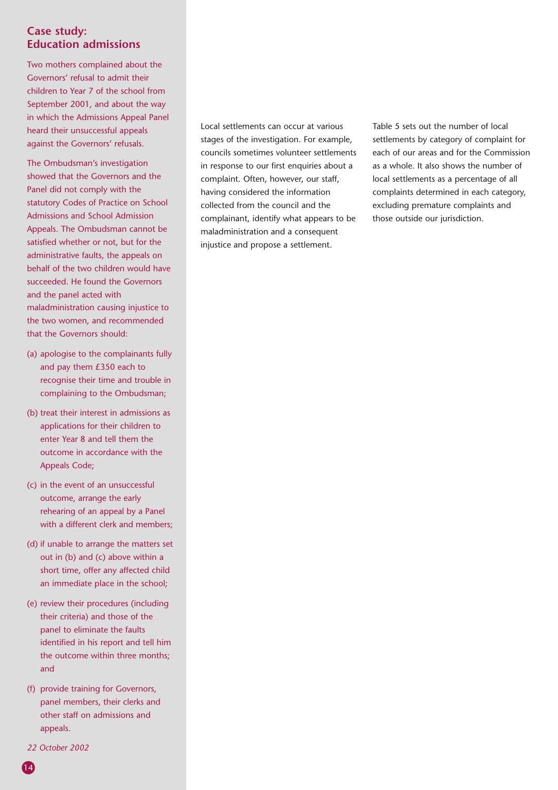#### **Case study: Education admissions**

Two mothers complained about the Governors' refusal to admit their children to Year 7 of the school from September 2001, and about the way in which the Admissions Appeal Panel heard their unsuccessful appeals against the Governors' refusals.

The Ombudsman's investigation showed that the Governors and the Panel did not comply with the statutory Codes of Practice on School Admissions and School Admission Appeals. The Ombudsman cannot be satisfied whether or not, but for the administrative faults, the appeals on behalf of the two children would have succeeded. He found the Governors and the panel acted with maladministration causing injustice to the two women, and recommended that the Governors should:

- (a) apologise to the complainants fully and pay them £350 each to recognise their time and trouble in complaining to the Ombudsman;
- (b) treat their interest in admissions as applications for their children to enter Year 8 and tell them the outcome in accordance with the Appeals Code;
- (c) in the event of an unsuccessful outcome, arrange the early rehearing of an appeal by a Panel with a different clerk and members;
- (d) if unable to arrange the matters set out in (b) and (c) above within a short time, offer any affected child an immediate place in the school;
- (e) review their procedures (including their criteria) and those of the panel to eliminate the faults identified in his report and tell him the outcome within three months; and
- (f) provide training for Governors, panel members, their clerks and other staff on admissions and appeals.
- *22 October 2002*

Local settlements can occur at various stages of the investigation. For example, councils sometimes volunteer settlements in response to our first enquiries about a complaint. Often, however, our staff, having considered the information collected from the council and the complainant, identify what appears to be maladministration and a consequent injustice and propose a settlement.

Table 5 sets out the number of local settlements by category of complaint for each of our areas and for the Commission as a whole. It also shows the number of local settlements as a percentage of all complaints determined in each category, excluding premature complaints and those outside our jurisdiction.

14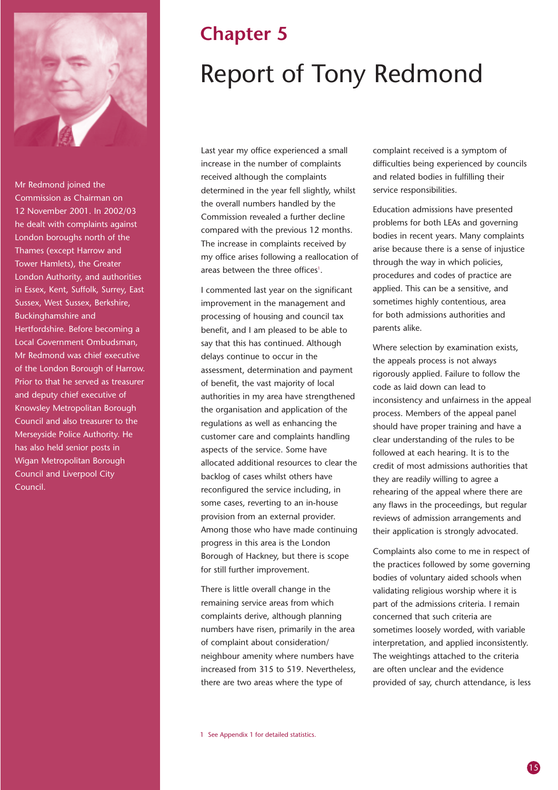

Mr Redmond joined the Commission as Chairman on 12 November 2001. In 2002/03 he dealt with complaints against London boroughs north of the Thames (except Harrow and Tower Hamlets), the Greater London Authority, and authorities in Essex, Kent, Suffolk, Surrey, East Sussex, West Sussex, Berkshire, Buckinghamshire and Hertfordshire. Before becoming a Local Government Ombudsman, Mr Redmond was chief executive of the London Borough of Harrow. Prior to that he served as treasurer and deputy chief executive of Knowsley Metropolitan Borough Council and also treasurer to the Merseyside Police Authority. He has also held senior posts in Wigan Metropolitan Borough Council and Liverpool City Council.

## **Chapter 5** Report of Tony Redmond

Last year my office experienced a small increase in the number of complaints received although the complaints determined in the year fell slightly, whilst the overall numbers handled by the Commission revealed a further decline compared with the previous 12 months. The increase in complaints received by my office arises following a reallocation of areas between the three offices<sup>1</sup>.

I commented last year on the significant improvement in the management and processing of housing and council tax benefit, and I am pleased to be able to say that this has continued. Although delays continue to occur in the assessment, determination and payment of benefit, the vast majority of local authorities in my area have strengthened the organisation and application of the regulations as well as enhancing the customer care and complaints handling aspects of the service. Some have allocated additional resources to clear the backlog of cases whilst others have reconfigured the service including, in some cases, reverting to an in-house provision from an external provider. Among those who have made continuing progress in this area is the London Borough of Hackney, but there is scope for still further improvement.

There is little overall change in the remaining service areas from which complaints derive, although planning numbers have risen, primarily in the area of complaint about consideration/ neighbour amenity where numbers have increased from 315 to 519. Nevertheless, there are two areas where the type of

complaint received is a symptom of difficulties being experienced by councils and related bodies in fulfilling their service responsibilities.

Education admissions have presented problems for both LEAs and governing bodies in recent years. Many complaints arise because there is a sense of injustice through the way in which policies, procedures and codes of practice are applied. This can be a sensitive, and sometimes highly contentious, area for both admissions authorities and parents alike.

Where selection by examination exists, the appeals process is not always rigorously applied. Failure to follow the code as laid down can lead to inconsistency and unfairness in the appeal process. Members of the appeal panel should have proper training and have a clear understanding of the rules to be followed at each hearing. It is to the credit of most admissions authorities that they are readily willing to agree a rehearing of the appeal where there are any flaws in the proceedings, but regular reviews of admission arrangements and their application is strongly advocated.

Complaints also come to me in respect of the practices followed by some governing bodies of voluntary aided schools when validating religious worship where it is part of the admissions criteria. I remain concerned that such criteria are sometimes loosely worded, with variable interpretation, and applied inconsistently. The weightings attached to the criteria are often unclear and the evidence provided of say, church attendance, is less

1 See Appendix 1 for detailed statistics.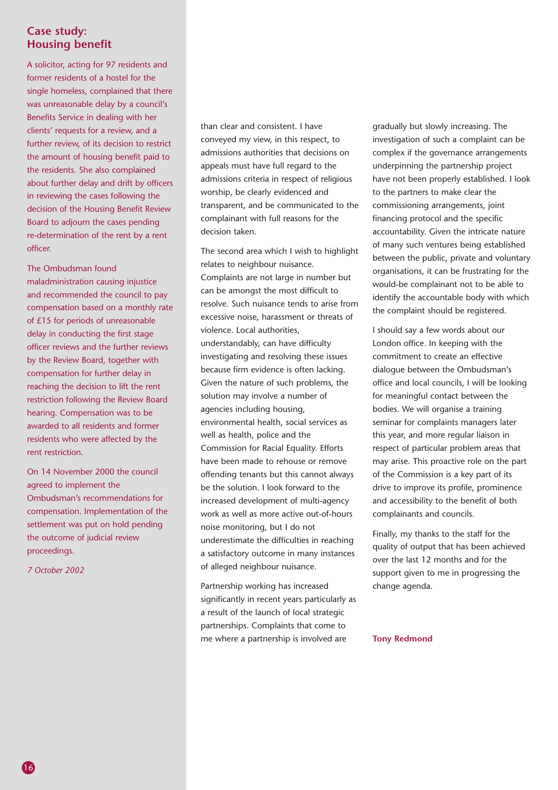#### **Case study: Housing benefit**

A solicitor, acting for 97 residents and former residents of a hostel for the single homeless, complained that there was unreasonable delay by a council's Benefits Service in dealing with her clients' requests for a review, and a further review, of its decision to restrict the amount of housing benefit paid to the residents. She also complained about further delay and drift by officers in reviewing the cases following the decision of the Housing Benefit Review Board to adjourn the cases pending re-determination of the rent by a rent officer.

The Ombudsman found maladministration causing injustice and recommended the council to pay compensation based on a monthly rate of £15 for periods of unreasonable delay in conducting the first stage officer reviews and the further reviews by the Review Board, together with compensation for further delay in reaching the decision to lift the rent restriction following the Review Board hearing. Compensation was to be awarded to all residents and former residents who were affected by the rent restriction.

On 14 November 2000 the council agreed to implement the Ombudsman's recommendations for compensation. Implementation of the settlement was put on hold pending the outcome of judicial review proceedings.

*7 October 2002*

than clear and consistent. I have conveyed my view, in this respect, to admissions authorities that decisions on appeals must have full regard to the admissions criteria in respect of religious worship, be clearly evidenced and transparent, and be communicated to the complainant with full reasons for the decision taken.

The second area which I wish to highlight relates to neighbour nuisance. Complaints are not large in number but can be amongst the most difficult to resolve. Such nuisance tends to arise from excessive noise, harassment or threats of violence. Local authorities, understandably, can have difficulty investigating and resolving these issues because firm evidence is often lacking. Given the nature of such problems, the solution may involve a number of agencies including housing, environmental health, social services as well as health, police and the Commission for Racial Equality. Efforts have been made to rehouse or remove offending tenants but this cannot always be the solution. I look forward to the increased development of multi-agency work as well as more active out-of-hours noise monitoring, but I do not underestimate the difficulties in reaching a satisfactory outcome in many instances of alleged neighbour nuisance.

Partnership working has increased significantly in recent years particularly as a result of the launch of local strategic partnerships. Complaints that come to me where a partnership is involved are

gradually but slowly increasing. The investigation of such a complaint can be complex if the governance arrangements underpinning the partnership project have not been properly established. I look to the partners to make clear the commissioning arrangements, joint financing protocol and the specific accountability. Given the intricate nature of many such ventures being established between the public, private and voluntary organisations, it can be frustrating for the would-be complainant not to be able to identify the accountable body with which the complaint should be registered.

I should say a few words about our London office. In keeping with the commitment to create an effective dialogue between the Ombudsman's office and local councils, I will be looking for meaningful contact between the bodies. We will organise a training seminar for complaints managers later this year, and more regular liaison in respect of particular problem areas that may arise. This proactive role on the part of the Commission is a key part of its drive to improve its profile, prominence and accessibility to the benefit of both complainants and councils.

Finally, my thanks to the staff for the quality of output that has been achieved over the last 12 months and for the support given to me in progressing the change agenda.

**Tony Redmond**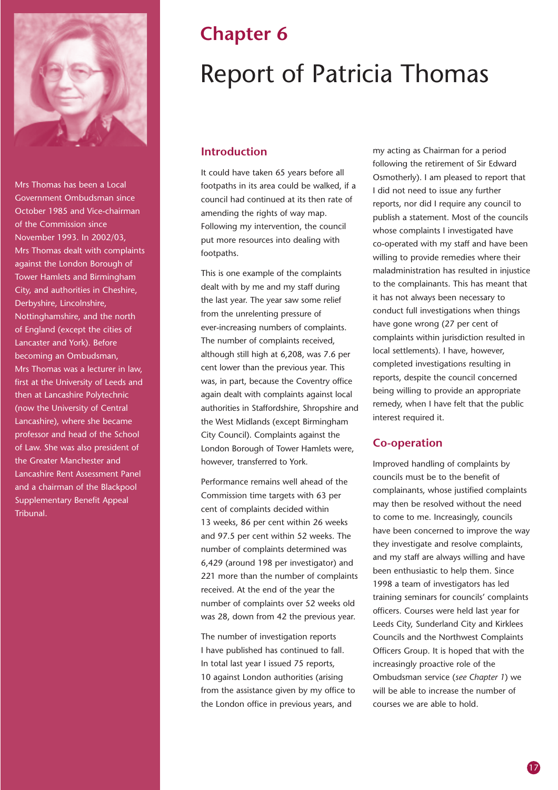

Mrs Thomas has been a Local Government Ombudsman since October 1985 and Vice-chairman of the Commission since November 1993. In 2002/03, Mrs Thomas dealt with complaints against the London Borough of Tower Hamlets and Birmingham City, and authorities in Cheshire, Derbyshire, Lincolnshire, Nottinghamshire, and the north of England (except the cities of Lancaster and York). Before becoming an Ombudsman, Mrs Thomas was a lecturer in law, first at the University of Leeds and then at Lancashire Polytechnic (now the University of Central Lancashire), where she became professor and head of the School of Law. She was also president of the Greater Manchester and Lancashire Rent Assessment Panel and a chairman of the Blackpool Supplementary Benefit Appeal Tribunal.

## **Chapter 6** Report of Patricia Thomas

#### **Introduction**

It could have taken 65 years before all footpaths in its area could be walked, if a council had continued at its then rate of amending the rights of way map. Following my intervention, the council put more resources into dealing with footpaths.

This is one example of the complaints dealt with by me and my staff during the last year. The year saw some relief from the unrelenting pressure of ever-increasing numbers of complaints. The number of complaints received, although still high at 6,208, was 7.6 per cent lower than the previous year. This was, in part, because the Coventry office again dealt with complaints against local authorities in Staffordshire, Shropshire and the West Midlands (except Birmingham City Council). Complaints against the London Borough of Tower Hamlets were, however, transferred to York.

Performance remains well ahead of the Commission time targets with 63 per cent of complaints decided within 13 weeks, 86 per cent within 26 weeks and 97.5 per cent within 52 weeks. The number of complaints determined was 6,429 (around 198 per investigator) and 221 more than the number of complaints received. At the end of the year the number of complaints over 52 weeks old was 28, down from 42 the previous year.

The number of investigation reports I have published has continued to fall. In total last year I issued 75 reports, 10 against London authorities (arising from the assistance given by my office to the London office in previous years, and

my acting as Chairman for a period following the retirement of Sir Edward Osmotherly). I am pleased to report that I did not need to issue any further reports, nor did I require any council to publish a statement. Most of the councils whose complaints I investigated have co-operated with my staff and have been willing to provide remedies where their maladministration has resulted in injustice to the complainants. This has meant that it has not always been necessary to conduct full investigations when things have gone wrong (27 per cent of complaints within jurisdiction resulted in local settlements). I have, however, completed investigations resulting in reports, despite the council concerned being willing to provide an appropriate remedy, when I have felt that the public interest required it.

#### **Co-operation**

Improved handling of complaints by councils must be to the benefit of complainants, whose justified complaints may then be resolved without the need to come to me. Increasingly, councils have been concerned to improve the way they investigate and resolve complaints, and my staff are always willing and have been enthusiastic to help them. Since 1998 a team of investigators has led training seminars for councils' complaints officers. Courses were held last year for Leeds City, Sunderland City and Kirklees Councils and the Northwest Complaints Officers Group. It is hoped that with the increasingly proactive role of the Ombudsman service (*see Chapter 1*) we will be able to increase the number of courses we are able to hold.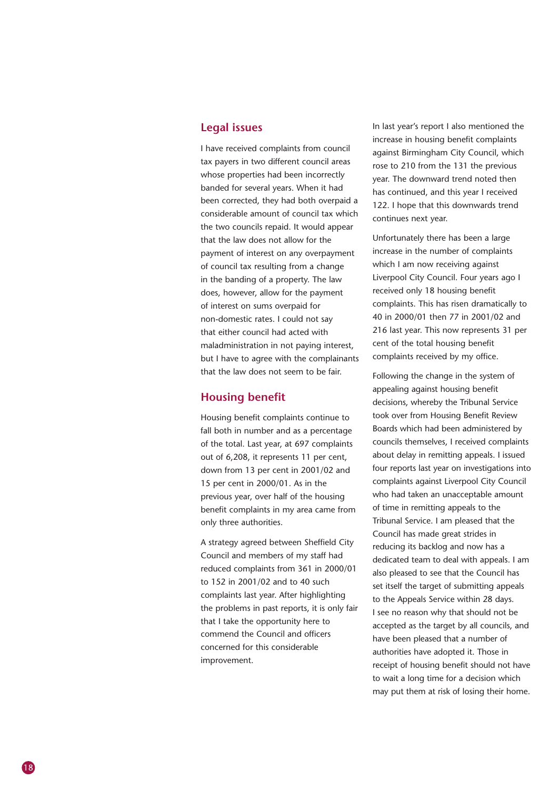#### **Legal issues**

I have received complaints from council tax payers in two different council areas whose properties had been incorrectly banded for several years. When it had been corrected, they had both overpaid a considerable amount of council tax which the two councils repaid. It would appear that the law does not allow for the payment of interest on any overpayment of council tax resulting from a change in the banding of a property. The law does, however, allow for the payment of interest on sums overpaid for non-domestic rates. I could not say that either council had acted with maladministration in not paying interest, but I have to agree with the complainants that the law does not seem to be fair.

#### **Housing benefit**

Housing benefit complaints continue to fall both in number and as a percentage of the total. Last year, at 697 complaints out of 6,208, it represents 11 per cent, down from 13 per cent in 2001/02 and 15 per cent in 2000/01. As in the previous year, over half of the housing benefit complaints in my area came from only three authorities.

A strategy agreed between Sheffield City Council and members of my staff had reduced complaints from 361 in 2000/01 to 152 in 2001/02 and to 40 such complaints last year. After highlighting the problems in past reports, it is only fair that I take the opportunity here to commend the Council and officers concerned for this considerable improvement.

In last year's report I also mentioned the increase in housing benefit complaints against Birmingham City Council, which rose to 210 from the 131 the previous year. The downward trend noted then has continued, and this year I received 122. I hope that this downwards trend continues next year.

Unfortunately there has been a large increase in the number of complaints which I am now receiving against Liverpool City Council. Four years ago I received only 18 housing benefit complaints. This has risen dramatically to 40 in 2000/01 then 77 in 2001/02 and 216 last year. This now represents 31 per cent of the total housing benefit complaints received by my office.

Following the change in the system of appealing against housing benefit decisions, whereby the Tribunal Service took over from Housing Benefit Review Boards which had been administered by councils themselves, I received complaints about delay in remitting appeals. I issued four reports last year on investigations into complaints against Liverpool City Council who had taken an unacceptable amount of time in remitting appeals to the Tribunal Service. I am pleased that the Council has made great strides in reducing its backlog and now has a dedicated team to deal with appeals. I am also pleased to see that the Council has set itself the target of submitting appeals to the Appeals Service within 28 days. I see no reason why that should not be accepted as the target by all councils, and have been pleased that a number of authorities have adopted it. Those in receipt of housing benefit should not have to wait a long time for a decision which may put them at risk of losing their home.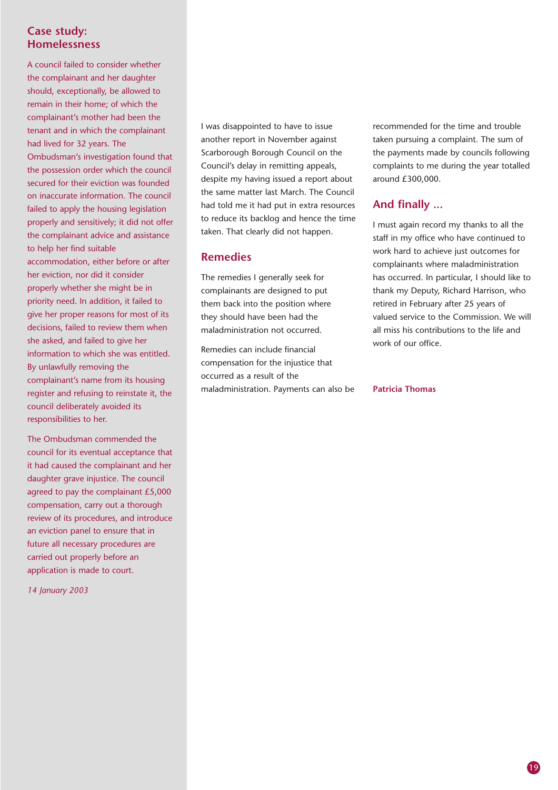#### **Case study: Homelessness**

A council failed to consider whether the complainant and her daughter should, exceptionally, be allowed to remain in their home; of which the complainant's mother had been the tenant and in which the complainant had lived for 32 years. The Ombudsman's investigation found that the possession order which the council secured for their eviction was founded on inaccurate information. The council failed to apply the housing legislation properly and sensitively; it did not offer the complainant advice and assistance to help her find suitable accommodation, either before or after her eviction, nor did it consider properly whether she might be in priority need. In addition, it failed to give her proper reasons for most of its decisions, failed to review them when she asked, and failed to give her information to which she was entitled. By unlawfully removing the complainant's name from its housing register and refusing to reinstate it, the council deliberately avoided its responsibilities to her.

The Ombudsman commended the council for its eventual acceptance that it had caused the complainant and her daughter grave injustice. The council agreed to pay the complainant £5,000 compensation, carry out a thorough review of its procedures, and introduce an eviction panel to ensure that in future all necessary procedures are carried out properly before an application is made to court.

*14 January 2003*

I was disappointed to have to issue another report in November against Scarborough Borough Council on the Council's delay in remitting appeals, despite my having issued a report about the same matter last March. The Council had told me it had put in extra resources to reduce its backlog and hence the time taken. That clearly did not happen.

#### **Remedies**

The remedies I generally seek for complainants are designed to put them back into the position where they should have been had the maladministration not occurred.

Remedies can include financial compensation for the injustice that occurred as a result of the maladministration. Payments can also be

recommended for the time and trouble taken pursuing a complaint. The sum of the payments made by councils following complaints to me during the year totalled around £300,000.

#### **And finally ...**

I must again record my thanks to all the staff in my office who have continued to work hard to achieve just outcomes for complainants where maladministration has occurred. In particular, I should like to thank my Deputy, Richard Harrison, who retired in February after 25 years of valued service to the Commission. We will all miss his contributions to the life and work of our office.

#### **Patricia Thomas**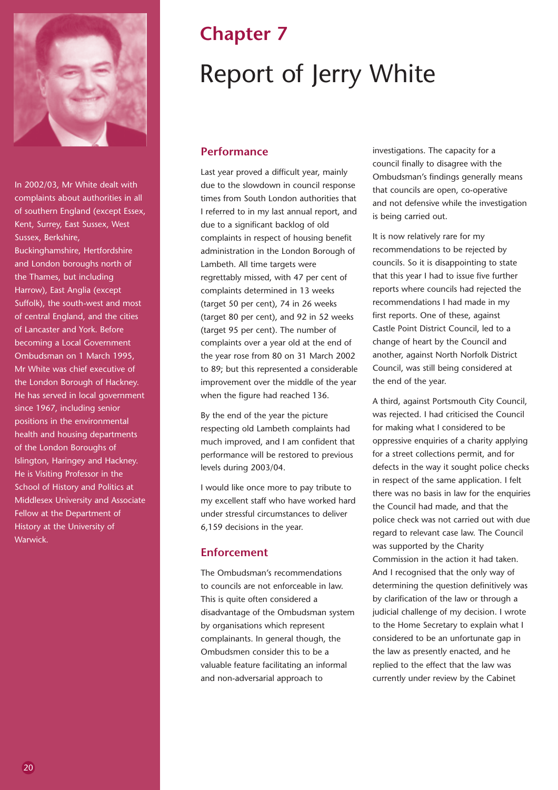

In 2002/03, Mr White dealt with complaints about authorities in all of southern England (except Essex, Kent, Surrey, East Sussex, West Sussex, Berkshire,

Buckinghamshire, Hertfordshire and London boroughs north of the Thames, but including Harrow), East Anglia (except Suffolk), the south-west and most of central England, and the cities of Lancaster and York. Before becoming a Local Government Ombudsman on 1 March 1995, Mr White was chief executive of the London Borough of Hackney. He has served in local government since 1967, including senior positions in the environmental health and housing departments of the London Boroughs of Islington, Haringey and Hackney. He is Visiting Professor in the School of History and Politics at Middlesex University and Associate Fellow at the Department of History at the University of Warwick.

## **Chapter 7** Report of Jerry White

#### **Performance**

Last year proved a difficult year, mainly due to the slowdown in council response times from South London authorities that I referred to in my last annual report, and due to a significant backlog of old complaints in respect of housing benefit administration in the London Borough of Lambeth. All time targets were regrettably missed, with 47 per cent of complaints determined in 13 weeks (target 50 per cent), 74 in 26 weeks (target 80 per cent), and 92 in 52 weeks (target 95 per cent). The number of complaints over a year old at the end of the year rose from 80 on 31 March 2002 to 89; but this represented a considerable improvement over the middle of the year when the figure had reached 136.

By the end of the year the picture respecting old Lambeth complaints had much improved, and I am confident that performance will be restored to previous levels during 2003/04.

I would like once more to pay tribute to my excellent staff who have worked hard under stressful circumstances to deliver 6,159 decisions in the year.

#### **Enforcement**

The Ombudsman's recommendations to councils are not enforceable in law. This is quite often considered a disadvantage of the Ombudsman system by organisations which represent complainants. In general though, the Ombudsmen consider this to be a valuable feature facilitating an informal and non-adversarial approach to

investigations. The capacity for a council finally to disagree with the Ombudsman's findings generally means that councils are open, co-operative and not defensive while the investigation is being carried out.

It is now relatively rare for my recommendations to be rejected by councils. So it is disappointing to state that this year I had to issue five further reports where councils had rejected the recommendations I had made in my first reports. One of these, against Castle Point District Council, led to a change of heart by the Council and another, against North Norfolk District Council, was still being considered at the end of the year.

A third, against Portsmouth City Council, was rejected. I had criticised the Council for making what I considered to be oppressive enquiries of a charity applying for a street collections permit, and for defects in the way it sought police checks in respect of the same application. I felt there was no basis in law for the enquiries the Council had made, and that the police check was not carried out with due regard to relevant case law. The Council was supported by the Charity Commission in the action it had taken. And I recognised that the only way of determining the question definitively was by clarification of the law or through a judicial challenge of my decision. I wrote to the Home Secretary to explain what I considered to be an unfortunate gap in the law as presently enacted, and he replied to the effect that the law was currently under review by the Cabinet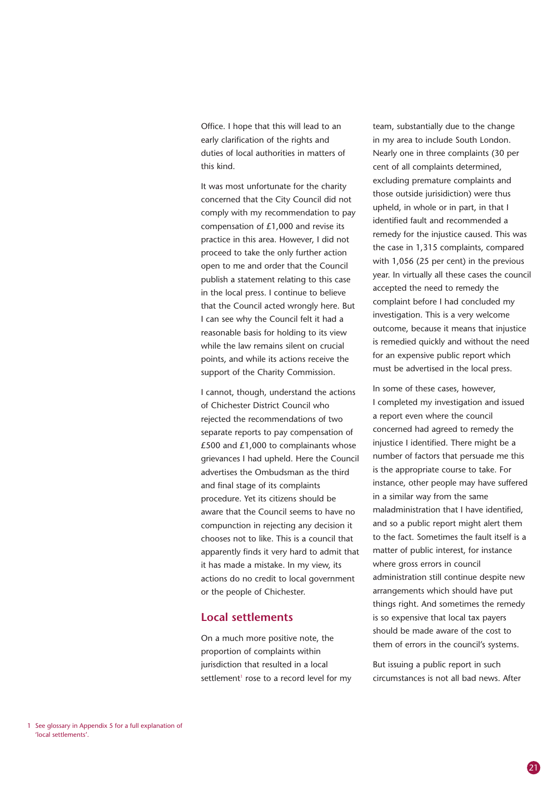Office. I hope that this will lead to an early clarification of the rights and duties of local authorities in matters of this kind.

It was most unfortunate for the charity concerned that the City Council did not comply with my recommendation to pay compensation of £1,000 and revise its practice in this area. However, I did not proceed to take the only further action open to me and order that the Council publish a statement relating to this case in the local press. I continue to believe that the Council acted wrongly here. But I can see why the Council felt it had a reasonable basis for holding to its view while the law remains silent on crucial points, and while its actions receive the support of the Charity Commission.

I cannot, though, understand the actions of Chichester District Council who rejected the recommendations of two separate reports to pay compensation of  $£500$  and  $£1,000$  to complainants whose grievances I had upheld. Here the Council advertises the Ombudsman as the third and final stage of its complaints procedure. Yet its citizens should be aware that the Council seems to have no compunction in rejecting any decision it chooses not to like. This is a council that apparently finds it very hard to admit that it has made a mistake. In my view, its actions do no credit to local government or the people of Chichester.

#### **Local settlements**

On a much more positive note, the proportion of complaints within jurisdiction that resulted in a local settlement<sup>1</sup> rose to a record level for my

team, substantially due to the change in my area to include South London. Nearly one in three complaints (30 per cent of all complaints determined, excluding premature complaints and those outside jurisidiction) were thus upheld, in whole or in part, in that I identified fault and recommended a remedy for the injustice caused. This was the case in 1,315 complaints, compared with 1,056 (25 per cent) in the previous year. In virtually all these cases the council accepted the need to remedy the complaint before I had concluded my investigation. This is a very welcome outcome, because it means that injustice is remedied quickly and without the need for an expensive public report which must be advertised in the local press.

In some of these cases, however, I completed my investigation and issued a report even where the council concerned had agreed to remedy the injustice I identified. There might be a number of factors that persuade me this is the appropriate course to take. For instance, other people may have suffered in a similar way from the same maladministration that I have identified, and so a public report might alert them to the fact. Sometimes the fault itself is a matter of public interest, for instance where gross errors in council administration still continue despite new arrangements which should have put things right. And sometimes the remedy is so expensive that local tax payers should be made aware of the cost to them of errors in the council's systems.

But issuing a public report in such circumstances is not all bad news. After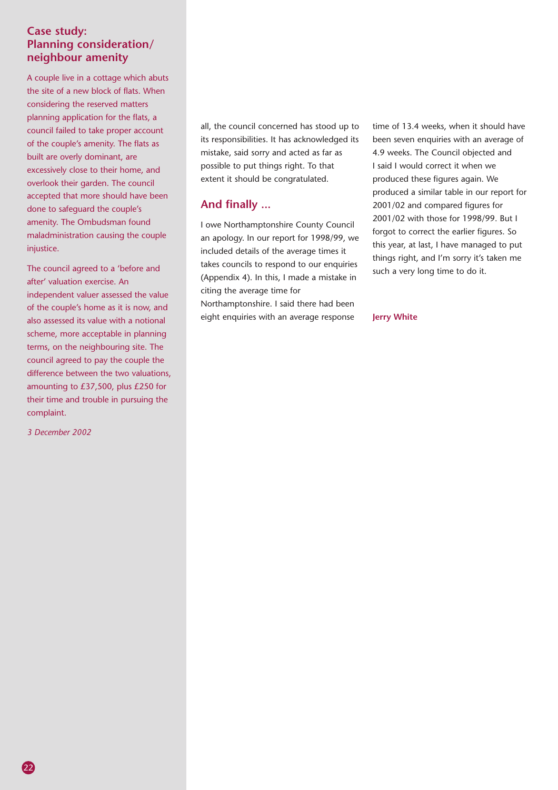#### **Case study: Planning consideration/ neighbour amenity**

A couple live in a cottage which abuts the site of a new block of flats. When considering the reserved matters planning application for the flats, a council failed to take proper account of the couple's amenity. The flats as built are overly dominant, are excessively close to their home, and overlook their garden. The council accepted that more should have been done to safeguard the couple's amenity. The Ombudsman found maladministration causing the couple injustice.

The council agreed to a 'before and after' valuation exercise. An independent valuer assessed the value of the couple's home as it is now, and also assessed its value with a notional scheme, more acceptable in planning terms, on the neighbouring site. The council agreed to pay the couple the difference between the two valuations, amounting to £37,500, plus £250 for their time and trouble in pursuing the complaint.

*3 December 2002*

22

all, the council concerned has stood up to its responsibilities. It has acknowledged its mistake, said sorry and acted as far as possible to put things right. To that extent it should be congratulated.

#### **And finally ...**

I owe Northamptonshire County Council an apology. In our report for 1998/99, we included details of the average times it takes councils to respond to our enquiries (Appendix 4). In this, I made a mistake in citing the average time for Northamptonshire. I said there had been eight enquiries with an average response

time of 13.4 weeks, when it should have been seven enquiries with an average of 4.9 weeks. The Council objected and I said I would correct it when we produced these figures again. We produced a similar table in our report for 2001/02 and compared figures for 2001/02 with those for 1998/99. But I forgot to correct the earlier figures. So this year, at last, I have managed to put things right, and I'm sorry it's taken me such a very long time to do it.

#### **Jerry White**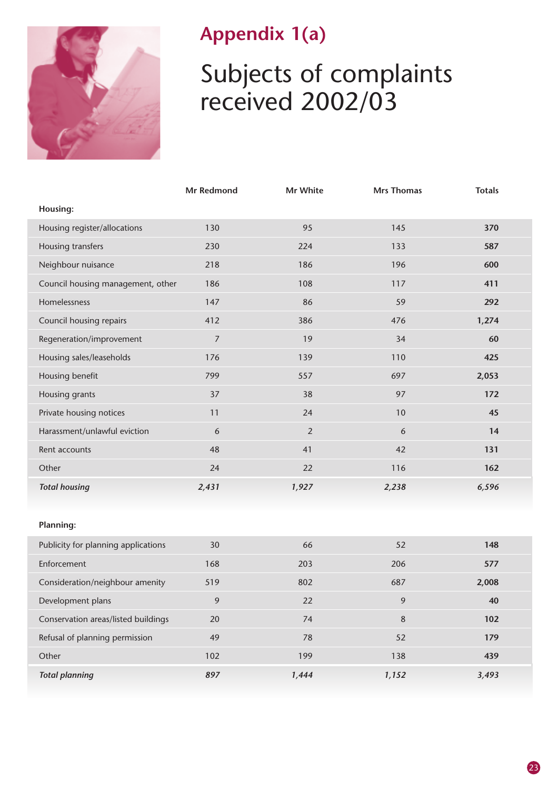

### **Appendix 1(a)**

## Subjects of complaints received 2002/03

|                                     | Mr Redmond       | Mr White       | <b>Mrs Thomas</b> | <b>Totals</b> |
|-------------------------------------|------------------|----------------|-------------------|---------------|
| Housing:                            |                  |                |                   |               |
| Housing register/allocations        | 130              | 95             | 145               | 370           |
| Housing transfers                   | 230              | 224            | 133               | 587           |
| Neighbour nuisance                  | 218              | 186            | 196               | 600           |
| Council housing management, other   | 186              | 108            | 117               | 411           |
| Homelessness                        | 147              | 86             | 59                | 292           |
| Council housing repairs             | 412              | 386            | 476               | 1,274         |
| Regeneration/improvement            | $\boldsymbol{7}$ | 19             | 34                | 60            |
| Housing sales/leaseholds            | 176              | 139            | 110               | 425           |
| Housing benefit                     | 799              | 557            | 697               | 2,053         |
| Housing grants                      | 37               | 38             | 97                | 172           |
| Private housing notices             | 11               | 24             | 10                | 45            |
| Harassment/unlawful eviction        | 6                | $\overline{2}$ | 6                 | 14            |
| Rent accounts                       | 48               | 41             | 42                | 131           |
| Other                               | 24               | 22             | 116               | 162           |
| <b>Total housing</b>                | 2,431            | 1,927          | 2,238             | 6,596         |
|                                     |                  |                |                   |               |
| <b>Planning:</b>                    |                  |                |                   |               |
| Publicity for planning applications | 30               | 66             | 52                | 148           |
| Enforcement                         | 168              | 203            | 206               | 577           |
| Consideration/neighbour amenity     | 519              | 802            | 687               | 2,008         |
| Development plans                   | 9                | 22             | 9                 | 40            |
| Conservation areas/listed buildings | 20               | 74             | $\bf 8$           | 102           |
| Refusal of planning permission      | 49               | 78             | 52                | 179           |
| Other                               | 102              | 199            | 138               | 439           |
| <b>Total planning</b>               | 897              | 1,444          | 1,152             | 3,493         |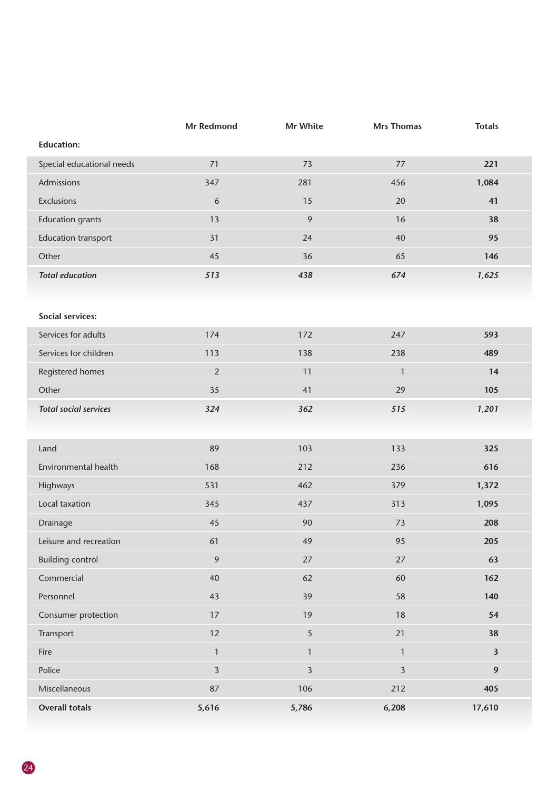|                              | Mr Redmond       | Mr White       | <b>Mrs Thomas</b>       | <b>Totals</b>           |
|------------------------------|------------------|----------------|-------------------------|-------------------------|
| <b>Education:</b>            |                  |                |                         |                         |
| Special educational needs    | 71               | 73             | 77                      | 221                     |
| Admissions                   | 347              | 281            | 456                     | 1,084                   |
| Exclusions                   | $\boldsymbol{6}$ | 15             | 20                      | 41                      |
| <b>Education grants</b>      | 13               | $\mathfrak{g}$ | 16                      | 38                      |
| <b>Education transport</b>   | 31               | 24             | 40                      | 95                      |
| Other                        | 45               | 36             | 65                      | 146                     |
| <b>Total education</b>       | 513              | 438            | 674                     | 1,625                   |
|                              |                  |                |                         |                         |
| Social services:             |                  |                |                         |                         |
| Services for adults          | 174              | 172            | 247                     | 593                     |
| Services for children        | 113              | 138            | 238                     | 489                     |
| Registered homes             | $\sqrt{2}$       | 11             | $\mathbf{1}$            | 14                      |
| Other                        | 35               | 41             | 29                      | 105                     |
| <b>Total social services</b> | 324              | 362            | 515                     | 1,201                   |
|                              |                  |                |                         |                         |
| Land                         | 89               | 103            | 133                     | 325                     |
| Environmental health         | 168              | 212            | 236                     | 616                     |
| Highways                     | 531              | 462            | 379                     | 1,372                   |
| Local taxation               | 345              | 437            | 313                     | 1,095                   |
| Drainage                     | 45               | 90             | 73                      | 208                     |
| Leisure and recreation       | 61               | 49             | 95                      | 205                     |
| <b>Building control</b>      | $\overline{9}$   | 27             | 27                      | 63                      |
| Commercial                   | 40               | 62             | 60                      | 162                     |
| Personnel                    | 43               | 39             | 58                      | 140                     |
| Consumer protection          | 17               | 19             | 18                      | 54                      |
| Transport                    | 12               | $\overline{5}$ | 21                      | 38                      |
| Fire                         | $\mathbf{1}$     | $\mathbbm{1}$  | $\mathbf{1}$            | $\overline{\mathbf{3}}$ |
| Police                       | $\overline{3}$   | $\overline{3}$ | $\overline{\mathbf{3}}$ | $\mathbf{9}$            |
| Miscellaneous                | 87               | 106            | 212                     | 405                     |
| <b>Overall totals</b>        | 5,616            | 5,786          | 6,208                   | 17,610                  |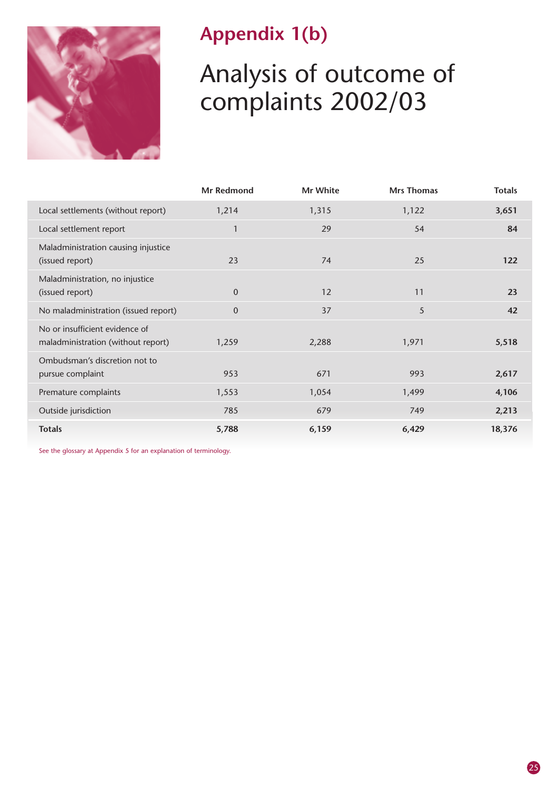

### **Appendix 1(b)**

## Analysis of outcome of complaints 2002/03

|                                                                      | <b>Mr Redmond</b> | Mr White | <b>Mrs Thomas</b> | <b>Totals</b> |
|----------------------------------------------------------------------|-------------------|----------|-------------------|---------------|
| Local settlements (without report)                                   | 1,214             | 1,315    | 1,122             | 3,651         |
| Local settlement report                                              | $\mathbf{1}$      | 29       | 54                | 84            |
| Maladministration causing injustice<br>(issued report)               | 23                | 74       | 25                | 122           |
| Maladministration, no injustice<br>(issued report)                   | $\mathbf{0}$      | 12       | 11                | 23            |
| No maladministration (issued report)                                 | $\mathbf 0$       | 37       | 5                 | 42            |
| No or insufficient evidence of<br>maladministration (without report) | 1,259             | 2,288    | 1,971             | 5,518         |
| Ombudsman's discretion not to<br>pursue complaint                    | 953               | 671      | 993               | 2,617         |
| Premature complaints                                                 | 1,553             | 1,054    | 1,499             | 4,106         |
| Outside jurisdiction                                                 | 785               | 679      | 749               | 2,213         |
| <b>Totals</b>                                                        | 5,788             | 6,159    | 6,429             | 18,376        |

See the glossary at Appendix 5 for an explanation of terminology.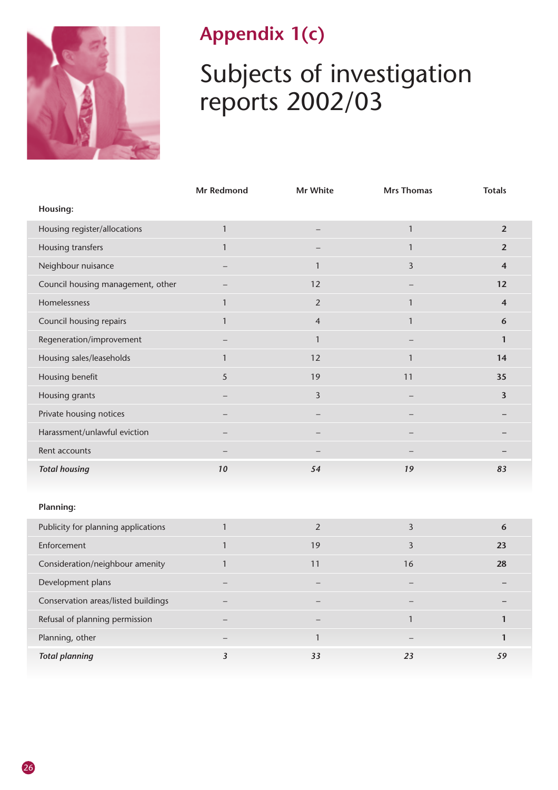

### **Appendix 1(c)**

## Subjects of investigation reports 2002/03

|                                   | Mr Redmond   | Mr White       | <b>Mrs Thomas</b> | <b>Totals</b>           |
|-----------------------------------|--------------|----------------|-------------------|-------------------------|
| Housing:                          |              |                |                   |                         |
| Housing register/allocations      | $\mathbf{1}$ |                | $\mathbf{1}$      | $\overline{2}$          |
| Housing transfers                 | $\mathbf{1}$ |                | 1                 | $\overline{2}$          |
| Neighbour nuisance                |              | $\mathbf{1}$   | $\overline{3}$    | $\overline{\mathbf{4}}$ |
| Council housing management, other |              | 12             | -                 | 12                      |
| Homelessness                      | $\mathbf{1}$ | $\overline{2}$ | $\overline{1}$    | $\overline{\mathbf{4}}$ |
| Council housing repairs           | $\mathbf{1}$ | $\overline{4}$ | $\mathbf{1}$      | 6                       |
| Regeneration/improvement          |              | $\mathbf{1}$   |                   | $\mathbf{1}$            |
| Housing sales/leaseholds          | $\mathbf{1}$ | 12             | $\mathbf{1}$      | 14                      |
| Housing benefit                   | 5            | 19             | 11                | 35                      |
| Housing grants                    |              | $\overline{3}$ |                   | $\overline{\mathbf{3}}$ |
| Private housing notices           |              |                |                   |                         |
| Harassment/unlawful eviction      |              |                |                   |                         |
| Rent accounts                     |              |                |                   |                         |
| <b>Total housing</b>              | 10           | 54             | 19                | 83                      |
|                                   |              |                |                   |                         |

#### **Planning:**

| Publicity for planning applications |                          |    |                   | $\mathbf b$ |
|-------------------------------------|--------------------------|----|-------------------|-------------|
| Enforcement                         |                          | 19 |                   | 23          |
| Consideration/neighbour amenity     |                          | 11 | 16                | 28          |
| Development plans                   |                          |    |                   |             |
| Conservation areas/listed buildings |                          |    |                   |             |
| Refusal of planning permission      |                          |    |                   |             |
| Planning, other                     | $\overline{\phantom{m}}$ |    | $\qquad \qquad -$ |             |
| <b>Total planning</b>               |                          | 33 | 23                | 59          |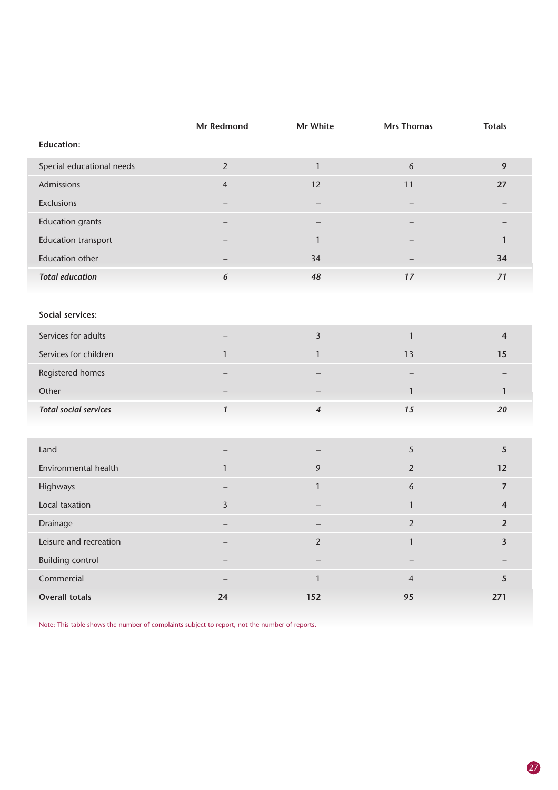|                              | Mr Redmond               | Mr White                 | <b>Mrs Thomas</b>        | <b>Totals</b>           |
|------------------------------|--------------------------|--------------------------|--------------------------|-------------------------|
| <b>Education:</b>            |                          |                          |                          |                         |
| Special educational needs    | $\overline{2}$           | $\mathbf{1}$             | 6                        | 9                       |
| Admissions                   | $\overline{4}$           | 12                       | 11                       | 27                      |
| Exclusions                   | —                        |                          |                          |                         |
| <b>Education grants</b>      |                          |                          |                          |                         |
| <b>Education transport</b>   |                          | $\mathbf{1}$             |                          | $\mathbf{1}$            |
| <b>Education other</b>       | $\qquad \qquad -$        | 34                       |                          | 34                      |
| <b>Total education</b>       | $\boldsymbol{6}$         | 48                       | $17$                     | 71                      |
|                              |                          |                          |                          |                         |
| Social services:             |                          |                          |                          |                         |
| Services for adults          |                          | $\overline{\mathbf{3}}$  | $\mathbf{1}$             | $\overline{\mathbf{4}}$ |
| Services for children        | $\mathbf{1}$             | $\mathbf{1}$             | 13                       | 15                      |
| Registered homes             | $\overline{\phantom{0}}$ | $\overline{\phantom{0}}$ | $\qquad \qquad -$        |                         |
| Other                        |                          |                          | $\mathbf{1}$             | $\mathbf{1}$            |
| <b>Total social services</b> | $\mathbf{1}$             | $\overline{\mathbf{4}}$  | 15                       | 20                      |
|                              |                          |                          |                          |                         |
| Land                         | $\qquad \qquad -$        |                          | 5                        | 5                       |
| Environmental health         | $\mathbf{1}$             | 9                        | $\overline{2}$           | 12                      |
| Highways                     | $\overline{\phantom{0}}$ | $\mathbf{1}$             | $\boldsymbol{6}$         | $\overline{7}$          |
| Local taxation               | $\overline{\mathbf{3}}$  |                          | $\mathbf{1}$             | $\overline{\mathbf{4}}$ |
| Drainage                     | $\qquad \qquad -$        | $\qquad \qquad -$        | $\sqrt{2}$               | $\overline{2}$          |
| Leisure and recreation       | $\overline{\phantom{0}}$ | $\overline{2}$           | $\mathbf{1}$             | $\overline{\mathbf{3}}$ |
| <b>Building control</b>      | $\overline{\phantom{0}}$ |                          | $\overline{\phantom{0}}$ |                         |
| Commercial                   |                          | $\mathbf{1}$             | $\overline{4}$           | 5                       |
| <b>Overall totals</b>        | 24                       | 152                      | 95                       | 271                     |

Note: This table shows the number of complaints subject to report, not the number of reports.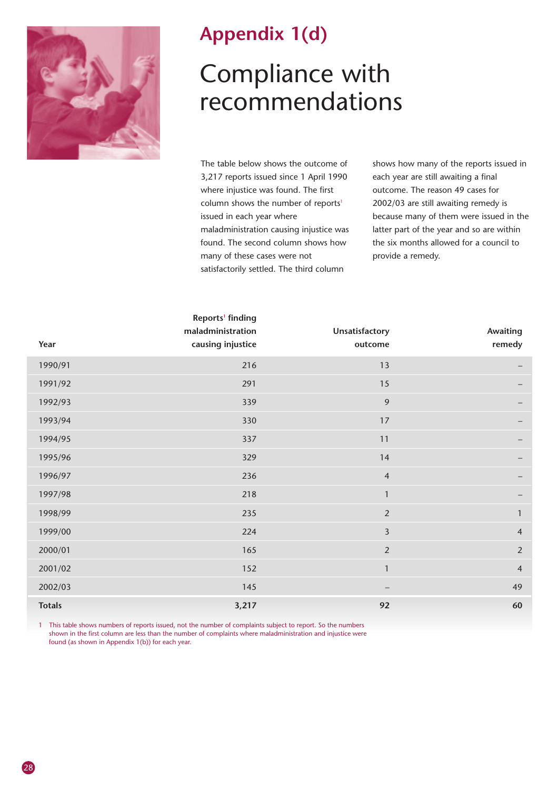

### **Appendix 1(d)**

## Compliance with recommendations

The table below shows the outcome of 3,217 reports issued since 1 April 1990 where injustice was found. The first column shows the number of reports<sup>1</sup> issued in each year where maladministration causing injustice was found. The second column shows how many of these cases were not satisfactorily settled. The third column

shows how many of the reports issued in each year are still awaiting a final outcome. The reason 49 cases for 2002/03 are still awaiting remedy is because many of them were issued in the latter part of the year and so are within the six months allowed for a council to provide a remedy.

| Year          | Reports <sup>1</sup> finding<br>maladministration<br>causing injustice | Unsatisfactory<br>outcome | Awaiting<br>remedy |
|---------------|------------------------------------------------------------------------|---------------------------|--------------------|
| 1990/91       | 216                                                                    | 13                        |                    |
| 1991/92       | 291                                                                    | 15                        |                    |
| 1992/93       | 339                                                                    | 9                         |                    |
| 1993/94       | 330                                                                    | 17                        |                    |
| 1994/95       | 337                                                                    | 11                        |                    |
| 1995/96       | 329                                                                    | 14                        | -                  |
| 1996/97       | 236                                                                    | $\overline{4}$            |                    |
| 1997/98       | 218                                                                    | $\mathbf{1}$              |                    |
| 1998/99       | 235                                                                    | $\overline{2}$            | $\mathbf{1}$       |
| 1999/00       | 224                                                                    | $\overline{3}$            | $\overline{4}$     |
| 2000/01       | 165                                                                    | $\overline{2}$            | $\overline{2}$     |
| 2001/02       | 152                                                                    | $\mathbf{1}$              | $\overline{4}$     |
| 2002/03       | 145                                                                    | -                         | 49                 |
| <b>Totals</b> | 3,217                                                                  | 92                        | 60                 |

1 This table shows numbers of reports issued, not the number of complaints subject to report. So the numbers shown in the first column are less than the number of complaints where maladministration and injustice were found (as shown in Appendix 1(b)) for each year.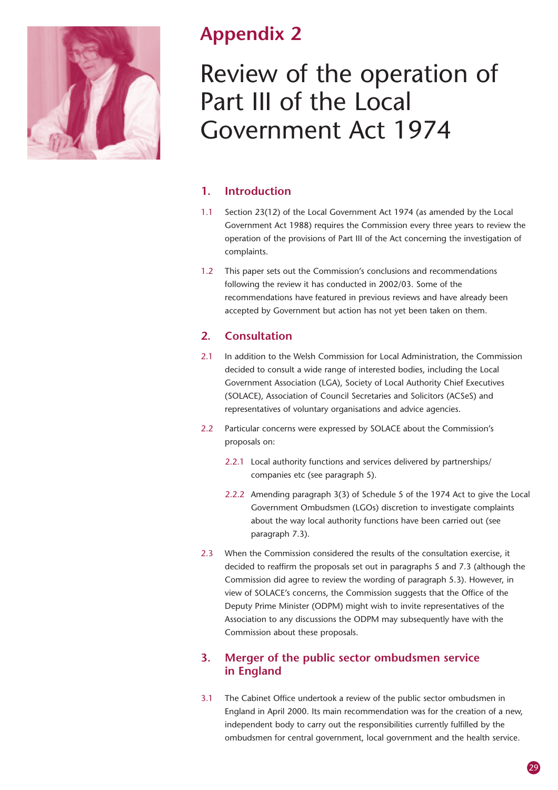

### **Appendix 2**

## Review of the operation of Part III of the Local Government Act 1974

#### **1. Introduction**

- 1.1 Section 23(12) of the Local Government Act 1974 (as amended by the Local Government Act 1988) requires the Commission every three years to review the operation of the provisions of Part III of the Act concerning the investigation of complaints.
- 1.2 This paper sets out the Commission's conclusions and recommendations following the review it has conducted in 2002/03. Some of the recommendations have featured in previous reviews and have already been accepted by Government but action has not yet been taken on them.

#### **2. Consultation**

- 2.1 In addition to the Welsh Commission for Local Administration, the Commission decided to consult a wide range of interested bodies, including the Local Government Association (LGA), Society of Local Authority Chief Executives (SOLACE), Association of Council Secretaries and Solicitors (ACSeS) and representatives of voluntary organisations and advice agencies.
- 2.2 Particular concerns were expressed by SOLACE about the Commission's proposals on:
	- 2.2.1 Local authority functions and services delivered by partnerships/ companies etc (see paragraph 5).
	- 2.2.2 Amending paragraph 3(3) of Schedule 5 of the 1974 Act to give the Local Government Ombudsmen (LGOs) discretion to investigate complaints about the way local authority functions have been carried out (see paragraph 7.3).
- 2.3 When the Commission considered the results of the consultation exercise, it decided to reaffirm the proposals set out in paragraphs 5 and 7.3 (although the Commission did agree to review the wording of paragraph 5.3). However, in view of SOLACE's concerns, the Commission suggests that the Office of the Deputy Prime Minister (ODPM) might wish to invite representatives of the Association to any discussions the ODPM may subsequently have with the Commission about these proposals.

#### **3. Merger of the public sector ombudsmen service in England**

3.1 The Cabinet Office undertook a review of the public sector ombudsmen in England in April 2000. Its main recommendation was for the creation of a new, independent body to carry out the responsibilities currently fulfilled by the ombudsmen for central government, local government and the health service.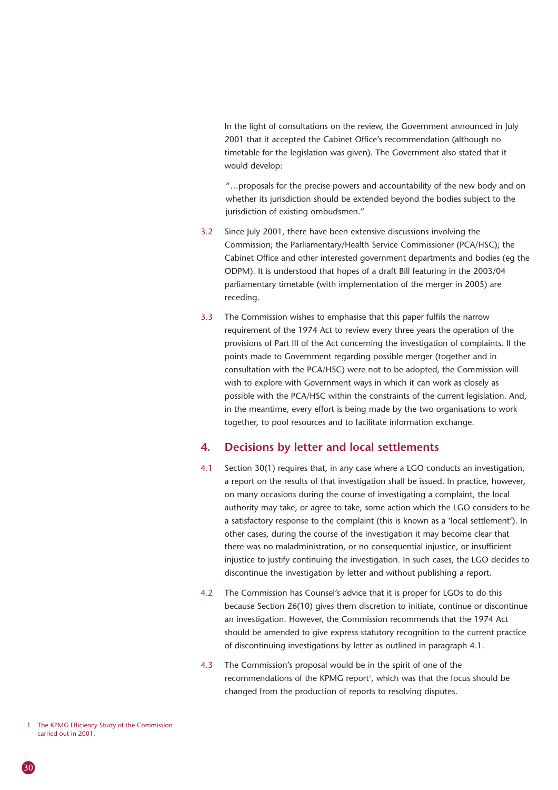In the light of consultations on the review, the Government announced in July 2001 that it accepted the Cabinet Office's recommendation (although no timetable for the legislation was given). The Government also stated that it would develop:

"…proposals for the precise powers and accountability of the new body and on whether its jurisdiction should be extended beyond the bodies subject to the jurisdiction of existing ombudsmen."

- 3.2 Since July 2001, there have been extensive discussions involving the Commission; the Parliamentary/Health Service Commissioner (PCA/HSC); the Cabinet Office and other interested government departments and bodies (eg the ODPM). It is understood that hopes of a draft Bill featuring in the 2003/04 parliamentary timetable (with implementation of the merger in 2005) are receding.
- 3.3 The Commission wishes to emphasise that this paper fulfils the narrow requirement of the 1974 Act to review every three years the operation of the provisions of Part III of the Act concerning the investigation of complaints. If the points made to Government regarding possible merger (together and in consultation with the PCA/HSC) were not to be adopted, the Commission will wish to explore with Government ways in which it can work as closely as possible with the PCA/HSC within the constraints of the current legislation. And, in the meantime, every effort is being made by the two organisations to work together, to pool resources and to facilitate information exchange.

#### **4. Decisions by letter and local settlements**

- 4.1 Section 30(1) requires that, in any case where a LGO conducts an investigation, a report on the results of that investigation shall be issued. In practice, however, on many occasions during the course of investigating a complaint, the local authority may take, or agree to take, some action which the LGO considers to be a satisfactory response to the complaint (this is known as a 'local settlement'). In other cases, during the course of the investigation it may become clear that there was no maladministration, or no consequential injustice, or insufficient injustice to justify continuing the investigation. In such cases, the LGO decides to discontinue the investigation by letter and without publishing a report.
- 4.2 The Commission has Counsel's advice that it is proper for LGOs to do this because Section 26(10) gives them discretion to initiate, continue or discontinue an investigation. However, the Commission recommends that the 1974 Act should be amended to give express statutory recognition to the current practice of discontinuing investigations by letter as outlined in paragraph 4.1.
- 4.3 The Commission's proposal would be in the spirit of one of the recommendations of the KPMG report<sup>1</sup>, which was that the focus should be changed from the production of reports to resolving disputes.

<sup>1</sup> The KPMG Efficiency Study of the Commission carried out in 2001.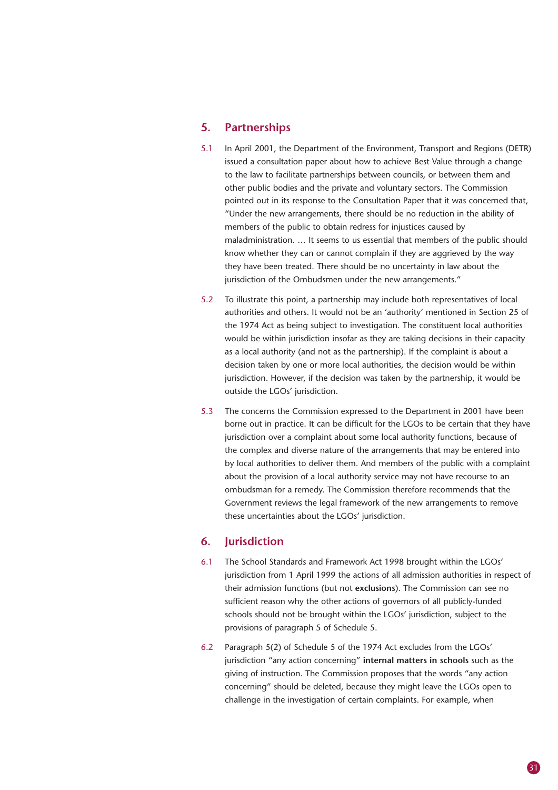#### **5. Partnerships**

- 5.1 In April 2001, the Department of the Environment, Transport and Regions (DETR) issued a consultation paper about how to achieve Best Value through a change to the law to facilitate partnerships between councils, or between them and other public bodies and the private and voluntary sectors. The Commission pointed out in its response to the Consultation Paper that it was concerned that, "Under the new arrangements, there should be no reduction in the ability of members of the public to obtain redress for injustices caused by maladministration. … It seems to us essential that members of the public should know whether they can or cannot complain if they are aggrieved by the way they have been treated. There should be no uncertainty in law about the jurisdiction of the Ombudsmen under the new arrangements."
- 5.2 To illustrate this point, a partnership may include both representatives of local authorities and others. It would not be an 'authority' mentioned in Section 25 of the 1974 Act as being subject to investigation. The constituent local authorities would be within jurisdiction insofar as they are taking decisions in their capacity as a local authority (and not as the partnership). If the complaint is about a decision taken by one or more local authorities, the decision would be within jurisdiction. However, if the decision was taken by the partnership, it would be outside the LGOs' jurisdiction.
- 5.3 The concerns the Commission expressed to the Department in 2001 have been borne out in practice. It can be difficult for the LGOs to be certain that they have jurisdiction over a complaint about some local authority functions, because of the complex and diverse nature of the arrangements that may be entered into by local authorities to deliver them. And members of the public with a complaint about the provision of a local authority service may not have recourse to an ombudsman for a remedy. The Commission therefore recommends that the Government reviews the legal framework of the new arrangements to remove these uncertainties about the LGOs' jurisdiction.

#### **6. Jurisdiction**

- 6.1 The School Standards and Framework Act 1998 brought within the LGOs' jurisdiction from 1 April 1999 the actions of all admission authorities in respect of their admission functions (but not **exclusions**). The Commission can see no sufficient reason why the other actions of governors of all publicly-funded schools should not be brought within the LGOs' jurisdiction, subject to the provisions of paragraph 5 of Schedule 5.
- 6.2 Paragraph 5(2) of Schedule 5 of the 1974 Act excludes from the LGOs' jurisdiction "any action concerning" **internal matters in schools** such as the giving of instruction. The Commission proposes that the words "any action concerning" should be deleted, because they might leave the LGOs open to challenge in the investigation of certain complaints. For example, when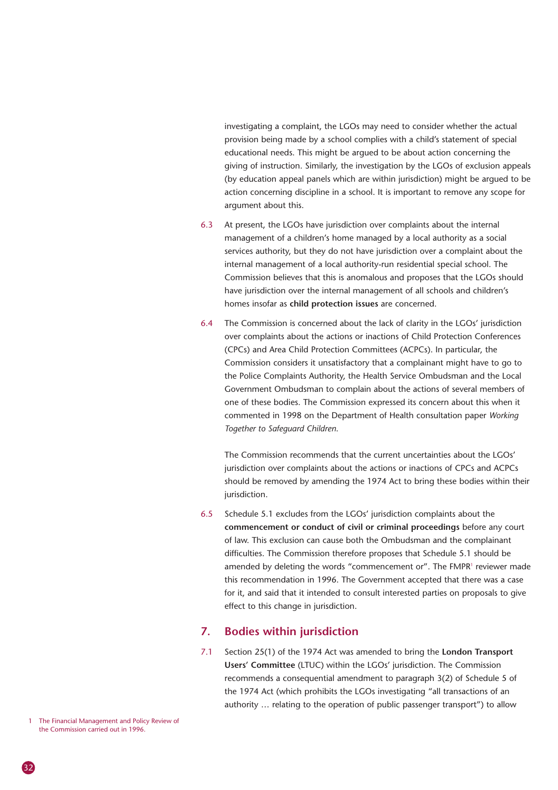investigating a complaint, the LGOs may need to consider whether the actual provision being made by a school complies with a child's statement of special educational needs. This might be argued to be about action concerning the giving of instruction. Similarly, the investigation by the LGOs of exclusion appeals (by education appeal panels which are within jurisdiction) might be argued to be action concerning discipline in a school. It is important to remove any scope for argument about this.

- 6.3 At present, the LGOs have jurisdiction over complaints about the internal management of a children's home managed by a local authority as a social services authority, but they do not have jurisdiction over a complaint about the internal management of a local authority-run residential special school. The Commission believes that this is anomalous and proposes that the LGOs should have jurisdiction over the internal management of all schools and children's homes insofar as **child protection issues** are concerned.
- 6.4 The Commission is concerned about the lack of clarity in the LGOs' jurisdiction over complaints about the actions or inactions of Child Protection Conferences (CPCs) and Area Child Protection Committees (ACPCs). In particular, the Commission considers it unsatisfactory that a complainant might have to go to the Police Complaints Authority, the Health Service Ombudsman and the Local Government Ombudsman to complain about the actions of several members of one of these bodies. The Commission expressed its concern about this when it commented in 1998 on the Department of Health consultation paper *Working Together to Safeguard Children*.

The Commission recommends that the current uncertainties about the LGOs' jurisdiction over complaints about the actions or inactions of CPCs and ACPCs should be removed by amending the 1974 Act to bring these bodies within their jurisdiction.

6.5 Schedule 5.1 excludes from the LGOs' jurisdiction complaints about the **commencement or conduct of civil or criminal proceedings** before any court of law. This exclusion can cause both the Ombudsman and the complainant difficulties. The Commission therefore proposes that Schedule 5.1 should be amended by deleting the words "commencement or". The FMPR1 reviewer made this recommendation in 1996. The Government accepted that there was a case for it, and said that it intended to consult interested parties on proposals to give effect to this change in jurisdiction.

#### **7. Bodies within jurisdiction**

7.1 Section 25(1) of the 1974 Act was amended to bring the **London Transport Users' Committee** (LTUC) within the LGOs' jurisdiction. The Commission recommends a consequential amendment to paragraph 3(2) of Schedule 5 of the 1974 Act (which prohibits the LGOs investigating "all transactions of an authority … relating to the operation of public passenger transport") to allow

<sup>1</sup> The Financial Management and Policy Review of the Commission carried out in 1996.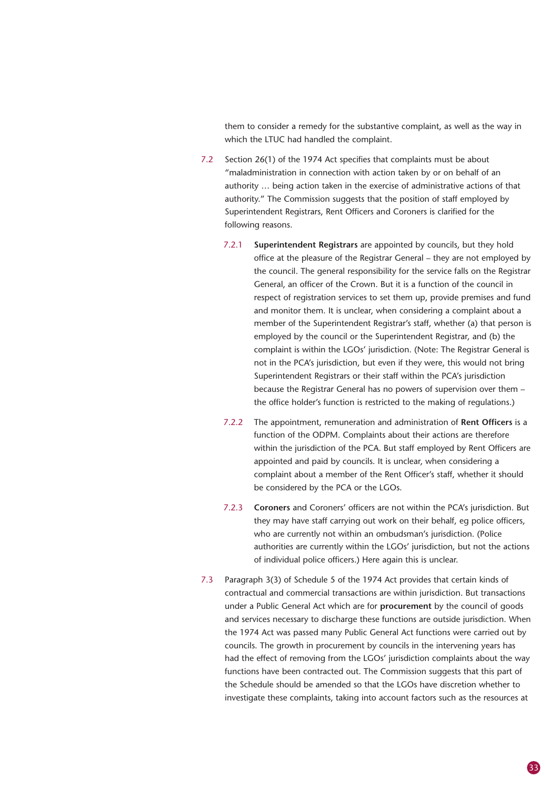them to consider a remedy for the substantive complaint, as well as the way in which the LTUC had handled the complaint.

- 7.2 Section 26(1) of the 1974 Act specifies that complaints must be about "maladministration in connection with action taken by or on behalf of an authority … being action taken in the exercise of administrative actions of that authority." The Commission suggests that the position of staff employed by Superintendent Registrars, Rent Officers and Coroners is clarified for the following reasons.
	- 7.2.1 **Superintendent Registrars** are appointed by councils, but they hold office at the pleasure of the Registrar General – they are not employed by the council. The general responsibility for the service falls on the Registrar General, an officer of the Crown. But it is a function of the council in respect of registration services to set them up, provide premises and fund and monitor them. It is unclear, when considering a complaint about a member of the Superintendent Registrar's staff, whether (a) that person is employed by the council or the Superintendent Registrar, and (b) the complaint is within the LGOs' jurisdiction. (Note: The Registrar General is not in the PCA's jurisdiction, but even if they were, this would not bring Superintendent Registrars or their staff within the PCA's jurisdiction because the Registrar General has no powers of supervision over them – the office holder's function is restricted to the making of regulations.)
	- 7.2.2 The appointment, remuneration and administration of **Rent Officers** is a function of the ODPM. Complaints about their actions are therefore within the jurisdiction of the PCA. But staff employed by Rent Officers are appointed and paid by councils. It is unclear, when considering a complaint about a member of the Rent Officer's staff, whether it should be considered by the PCA or the LGOs.
	- 7.2.3 **Coroners** and Coroners' officers are not within the PCA's jurisdiction. But they may have staff carrying out work on their behalf, eg police officers, who are currently not within an ombudsman's jurisdiction. (Police authorities are currently within the LGOs' jurisdiction, but not the actions of individual police officers.) Here again this is unclear.
- 7.3 Paragraph 3(3) of Schedule 5 of the 1974 Act provides that certain kinds of contractual and commercial transactions are within jurisdiction. But transactions under a Public General Act which are for **procurement** by the council of goods and services necessary to discharge these functions are outside jurisdiction. When the 1974 Act was passed many Public General Act functions were carried out by councils. The growth in procurement by councils in the intervening years has had the effect of removing from the LGOs' jurisdiction complaints about the way functions have been contracted out. The Commission suggests that this part of the Schedule should be amended so that the LGOs have discretion whether to investigate these complaints, taking into account factors such as the resources at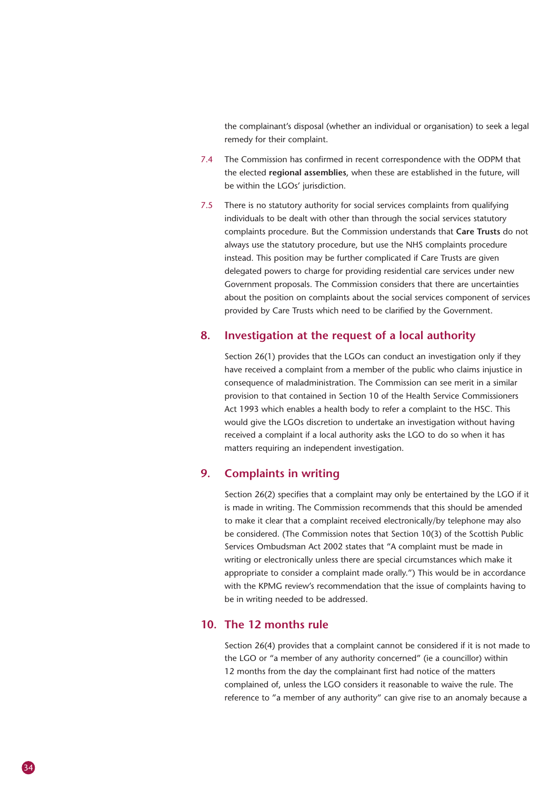the complainant's disposal (whether an individual or organisation) to seek a legal remedy for their complaint.

- 7.4 The Commission has confirmed in recent correspondence with the ODPM that the elected **regional assemblies**, when these are established in the future, will be within the LGOs' jurisdiction.
- 7.5 There is no statutory authority for social services complaints from qualifying individuals to be dealt with other than through the social services statutory complaints procedure. But the Commission understands that **Care Trusts** do not always use the statutory procedure, but use the NHS complaints procedure instead. This position may be further complicated if Care Trusts are given delegated powers to charge for providing residential care services under new Government proposals. The Commission considers that there are uncertainties about the position on complaints about the social services component of services provided by Care Trusts which need to be clarified by the Government.

#### **8. Investigation at the request of a local authority**

Section 26(1) provides that the LGOs can conduct an investigation only if they have received a complaint from a member of the public who claims injustice in consequence of maladministration. The Commission can see merit in a similar provision to that contained in Section 10 of the Health Service Commissioners Act 1993 which enables a health body to refer a complaint to the HSC. This would give the LGOs discretion to undertake an investigation without having received a complaint if a local authority asks the LGO to do so when it has matters requiring an independent investigation.

#### **9. Complaints in writing**

Section 26(2) specifies that a complaint may only be entertained by the LGO if it is made in writing. The Commission recommends that this should be amended to make it clear that a complaint received electronically/by telephone may also be considered. (The Commission notes that Section 10(3) of the Scottish Public Services Ombudsman Act 2002 states that "A complaint must be made in writing or electronically unless there are special circumstances which make it appropriate to consider a complaint made orally.") This would be in accordance with the KPMG review's recommendation that the issue of complaints having to be in writing needed to be addressed.

#### **10. The 12 months rule**

Section 26(4) provides that a complaint cannot be considered if it is not made to the LGO or "a member of any authority concerned" (ie a councillor) within 12 months from the day the complainant first had notice of the matters complained of, unless the LGO considers it reasonable to waive the rule. The reference to "a member of any authority" can give rise to an anomaly because a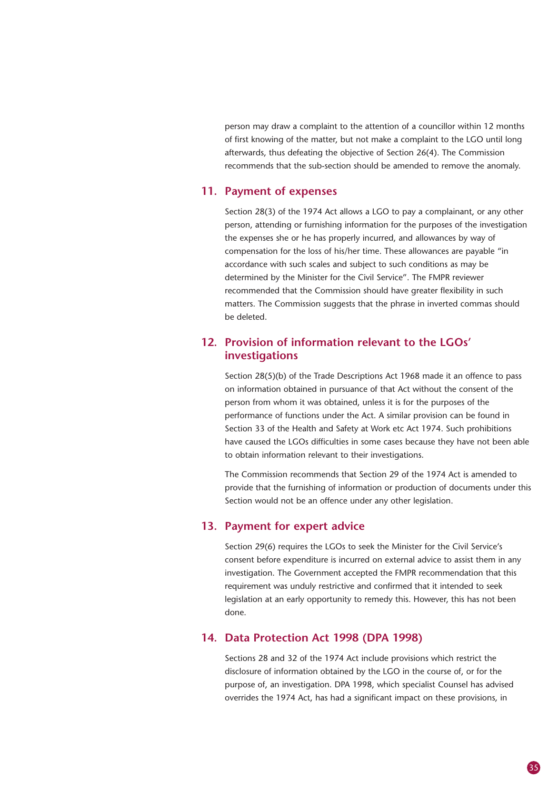person may draw a complaint to the attention of a councillor within 12 months of first knowing of the matter, but not make a complaint to the LGO until long afterwards, thus defeating the objective of Section 26(4). The Commission recommends that the sub-section should be amended to remove the anomaly.

#### **11. Payment of expenses**

Section 28(3) of the 1974 Act allows a LGO to pay a complainant, or any other person, attending or furnishing information for the purposes of the investigation the expenses she or he has properly incurred, and allowances by way of compensation for the loss of his/her time. These allowances are payable "in accordance with such scales and subject to such conditions as may be determined by the Minister for the Civil Service". The FMPR reviewer recommended that the Commission should have greater flexibility in such matters. The Commission suggests that the phrase in inverted commas should be deleted.

#### **12. Provision of information relevant to the LGOs' investigations**

Section 28(5)(b) of the Trade Descriptions Act 1968 made it an offence to pass on information obtained in pursuance of that Act without the consent of the person from whom it was obtained, unless it is for the purposes of the performance of functions under the Act. A similar provision can be found in Section 33 of the Health and Safety at Work etc Act 1974. Such prohibitions have caused the LGOs difficulties in some cases because they have not been able to obtain information relevant to their investigations.

The Commission recommends that Section 29 of the 1974 Act is amended to provide that the furnishing of information or production of documents under this Section would not be an offence under any other legislation.

#### **13. Payment for expert advice**

Section 29(6) requires the LGOs to seek the Minister for the Civil Service's consent before expenditure is incurred on external advice to assist them in any investigation. The Government accepted the FMPR recommendation that this requirement was unduly restrictive and confirmed that it intended to seek legislation at an early opportunity to remedy this. However, this has not been done.

#### **14. Data Protection Act 1998 (DPA 1998)**

Sections 28 and 32 of the 1974 Act include provisions which restrict the disclosure of information obtained by the LGO in the course of, or for the purpose of, an investigation. DPA 1998, which specialist Counsel has advised overrides the 1974 Act, has had a significant impact on these provisions, in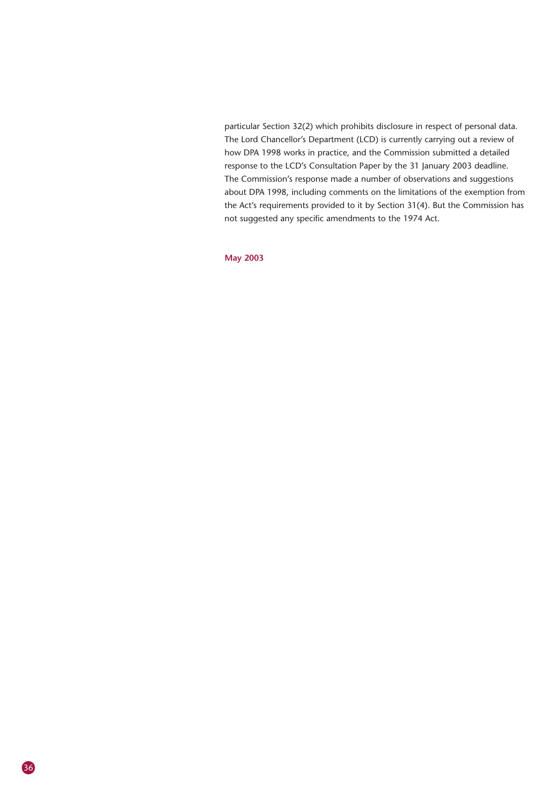particular Section 32(2) which prohibits disclosure in respect of personal data. The Lord Chancellor's Department (LCD) is currently carrying out a review of how DPA 1998 works in practice, and the Commission submitted a detailed response to the LCD's Consultation Paper by the 31 January 2003 deadline. The Commission's response made a number of observations and suggestions about DPA 1998, including comments on the limitations of the exemption from the Act's requirements provided to it by Section 31(4). But the Commission has not suggested any specific amendments to the 1974 Act.

#### **May 2003**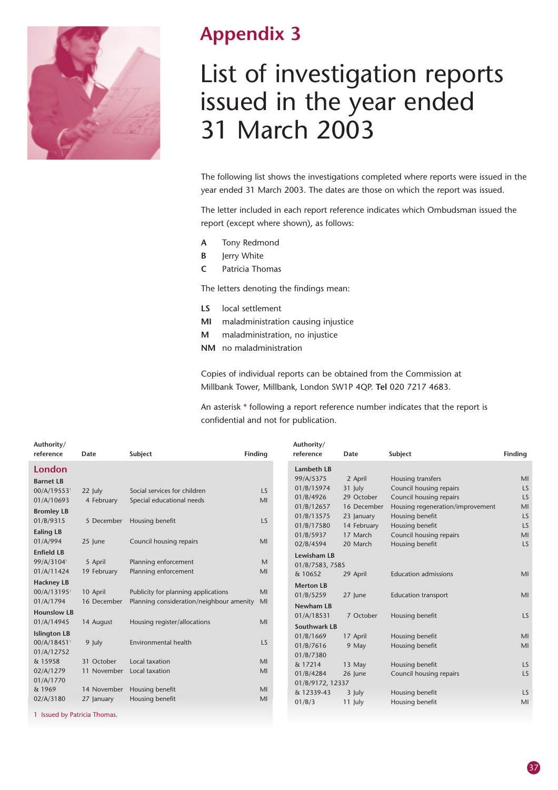

### **Appendix 3**

## List of investigation reports issued in the year ended 31 March 2003

The following list shows the investigations completed where reports were issued in the year ended 31 March 2003. The dates are those on which the report was issued.

The letter included in each report reference indicates which Ombudsman issued the report (except where shown), as follows:

- **A** Tony Redmond
- **B** Jerry White
- **C** Patricia Thomas

The letters denoting the findings mean:

- **LS** local settlement
- **MI** maladministration causing injustice
- **M** maladministration, no injustice
- **NM** no maladministration

Copies of individual reports can be obtained from the Commission at Millbank Tower, Millbank, London SW1P 4QP. **Tel** 020 7217 4683.

An asterisk \* following a report reference number indicates that the report is confidential and not for publication.

| Authority/<br>reference                                   | Date                      | Subject                                                                         | <b>Finding</b>  | Authority/<br>reference                               | Date                                 | Subject                                                                                | Finding        |
|-----------------------------------------------------------|---------------------------|---------------------------------------------------------------------------------|-----------------|-------------------------------------------------------|--------------------------------------|----------------------------------------------------------------------------------------|----------------|
| London<br><b>Barnet LB</b>                                |                           |                                                                                 |                 | <b>Lambeth LB</b><br>99/A/5375                        | 2 April                              | Housing transfers                                                                      | MI             |
| 00/A/195531<br>01/A/10693                                 | 22 July<br>4 February     | Social services for children<br>Special educational needs                       | <b>LS</b><br>MI | 01/B/15974<br>01/B/4926<br>01/B/12657                 | 31 July<br>29 October<br>16 December | Council housing repairs<br>Council housing repairs<br>Housing regeneration/improvement | LS<br>LS<br>MI |
| <b>Bromley LB</b><br>01/B/9315<br><b>Ealing LB</b>        | 5 December                | Housing benefit                                                                 | LS              | 01/B/13575<br>01/B/17580                              | 23 January<br>14 February            | Housing benefit<br>Housing benefit                                                     | LS<br>LS       |
| 01/A/994                                                  | 25 June                   | Council housing repairs                                                         | MI              | 01/B/5937<br>02/B/4594                                | 17 March<br>20 March                 | Council housing repairs<br>Housing benefit                                             | MI<br>LS       |
| <b>Enfield LB</b><br>99/A/3104 <sup>1</sup><br>01/A/11424 | 5 April<br>19 February    | Planning enforcement<br>Planning enforcement                                    | M<br>MI         | <b>Lewisham LB</b><br>01/B/7583, 7585<br>& 10652      | 29 April                             | <b>Education admissions</b>                                                            | M <sub>l</sub> |
| <b>Hackney LB</b><br>00/A/131951<br>01/A/1794             | 10 April<br>16 December   | Publicity for planning applications<br>Planning consideration/neighbour amenity | MI<br>MI        | <b>Merton LB</b><br>01/B/5259                         | 27 June                              | <b>Education transport</b>                                                             | MI             |
| <b>Hounslow LB</b><br>01/A/14945                          | 14 August                 | Housing register/allocations                                                    | MI              | <b>Newham LB</b><br>01/A/18531<br><b>Southwark LB</b> | 7 October                            | Housing benefit                                                                        | LS             |
| <b>Islington LB</b><br>00/A/184511<br>01/A/12752          | 9 July                    | Environmental health                                                            | LS              | 01/B/1669<br>01/B/7616<br>01/B/7380                   | 17 April<br>9 May                    | Housing benefit<br>Housing benefit                                                     | MI<br>MI       |
| & 15958<br>02/A/1279<br>01/A/1770                         | 31 October<br>11 November | Local taxation<br>Local taxation                                                | MI<br>MI        | & 17214<br>01/B/4284                                  | 13 May<br>26 June                    | Housing benefit<br>Council housing repairs                                             | LS<br>LS       |
| & 1969<br>02/A/3180                                       | 14 November<br>27 January | Housing benefit<br>Housing benefit                                              | MI<br>MI        | 01/B/9172, 12337<br>& 12339-43<br>01/B/3              | 3 July<br>11 July                    | Housing benefit<br>Housing benefit                                                     | LS<br>MI       |
| 1 Issued by Patricia Thomas.                              |                           |                                                                                 |                 |                                                       |                                      |                                                                                        |                |

37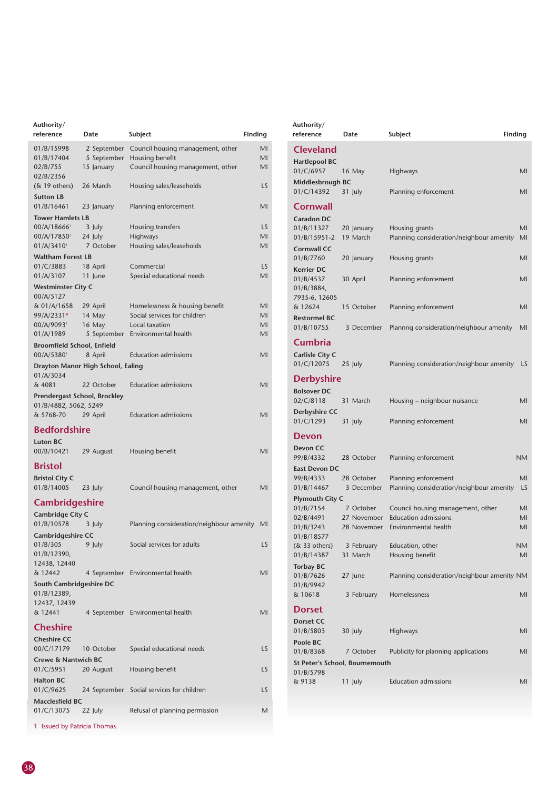| Authority/<br>reference                | Date                              | Subject<br>Finding                            |           |
|----------------------------------------|-----------------------------------|-----------------------------------------------|-----------|
| 01/B/15998                             |                                   | 2 September Council housing management, other | MI        |
| 01/B/17404                             |                                   | 5 September Housing benefit                   | MI        |
| 02/B/755                               | 15 January                        | Council housing management, other             | MI        |
| 02/B/2356<br>$(\&$ 19 others)          | 26 March                          | Housing sales/leaseholds                      | LS        |
| <b>Sutton LB</b>                       |                                   |                                               |           |
| 01/B/16461                             | 23 January                        | Planning enforcement                          | MI        |
| <b>Tower Hamlets LB</b>                |                                   |                                               |           |
| $00/A/18666$ <sup>1</sup>              | 3 July                            | Housing transfers                             | <b>LS</b> |
| 00/A/17850 <sup>1</sup><br>01/A/3410'  | 24 July<br>7 October              | Highways<br>Housing sales/leaseholds          | MI<br>MI  |
| <b>Waltham Forest LB</b>               |                                   |                                               |           |
| 01/C/3883                              | 18 April                          | Commercial                                    | LS.       |
| 01/A/3107                              | 11 June                           | Special educational needs                     | MI        |
| <b>Westminster City C</b>              |                                   |                                               |           |
| 00/A/5127<br>& 01/A/1658               | 29 April                          | Homelessness & housing benefit                | MI        |
| 99/A/2331*                             | 14 May                            | Social services for children                  | MI        |
| 00/A/9093 <sup>1</sup>                 | 16 May                            | Local taxation                                | MI        |
| 01/A/1989                              |                                   | 5 September Environmental health              | MI        |
| Broomfield School, Enfield             |                                   |                                               |           |
| 00/A/53801                             | 8 April                           | <b>Education admissions</b>                   | MI        |
| 01/A/3034                              | Drayton Manor High School, Ealing |                                               |           |
| & 4081                                 | 22 October                        | <b>Education admissions</b>                   | MI        |
| Prendergast School, Brockley           |                                   |                                               |           |
| 01/B/4882, 5062, 5249                  |                                   |                                               |           |
| & 5768-70                              | 29 April                          | <b>Education admissions</b>                   | MI        |
| <b>Bedfordshire</b>                    |                                   |                                               |           |
| <b>Luton BC</b>                        |                                   |                                               |           |
| 00/B/10421                             | 29 August                         | Housing benefit                               | MI        |
| <b>Bristol</b>                         |                                   |                                               |           |
| <b>Bristol City C</b>                  |                                   |                                               |           |
| 01/B/14005                             | 23 July                           | Council housing management, other             | MI        |
| <b>Cambridgeshire</b>                  |                                   |                                               |           |
| Cambridge City C                       |                                   |                                               |           |
| 01/B/10578                             | 3 July                            | Planning consideration/neighbour amenity      | MI        |
| Cambridgeshire CC<br>01/B/305          | 9 July                            | Social services for adults                    | LS        |
| 01/B/12390,                            |                                   |                                               |           |
| 12438, 12440                           |                                   |                                               |           |
| & 12442                                |                                   | 4 September Environmental health              | MI        |
| South Cambridgeshire DC<br>01/B/12389, |                                   |                                               |           |
| 12437, 12439                           |                                   |                                               |           |
| & 12441                                |                                   | 4 September Environmental health              | MI        |
| <b>Cheshire</b>                        |                                   |                                               |           |
| <b>Cheshire CC</b>                     |                                   |                                               |           |
| 00/C/17179                             | 10 October                        | Special educational needs                     | LS        |
| <b>Crewe &amp; Nantwich BC</b>         |                                   |                                               |           |
| 01/C/5951                              | 20 August                         | Housing benefit                               | LS        |
| <b>Halton BC</b><br>01/C/9625          |                                   | 24 September Social services for children     | LS        |
| <b>Macclesfield BC</b>                 |                                   |                                               |           |
| 01/C/13075                             | 22 July                           | Refusal of planning permission                | M         |

| Authority/<br>reference                      | Date                                        | Subject                                                    | Finding  |
|----------------------------------------------|---------------------------------------------|------------------------------------------------------------|----------|
| Cleveland<br><b>Hartlepool BC</b>            |                                             |                                                            |          |
| 01/C/6957<br>Middlesbrough BC                | 16 May                                      | Highways                                                   | MI       |
| 01/C/14392                                   | 31 July                                     | Planning enforcement                                       | MI       |
| Cornwall<br><b>Caradon DC</b>                |                                             |                                                            |          |
| 01/B/11327<br>01/B/15951-2                   | 20 January<br>19 March                      | Housing grants<br>Planning consideration/neighbour amenity | MI<br>MI |
| <b>Cornwall CC</b><br>01/B/7760              | 20 January                                  | Housing grants                                             | MI       |
| <b>Kerrier DC</b><br>01/B/4537<br>01/B/3884, | 30 April                                    | Planning enforcement                                       | MI       |
| 7935-6, 12605<br>& 12624                     | 15 October                                  | Planning enforcement                                       | MI       |
| <b>Restormel BC</b><br>01/B/10755            | 3 December                                  | Plannng consideration/neighbour amenity                    | MI       |
| Cumbria<br>Carlisle City C                   |                                             |                                                            |          |
| 01/C/12075                                   | 25 July                                     | Planning consideration/neighbour amenity                   | LS       |
| <b>Derbyshire</b>                            |                                             |                                                            |          |
| <b>Bolsover DC</b><br>02/C/8118              | 31 March                                    | Housing – neighbour nuisance                               | MI       |
| Derbyshire CC<br>01/C/1293                   | 31 July                                     | Planning enforcement                                       | MI       |
| Devon                                        |                                             |                                                            |          |
| Devon CC<br>99/B/4332                        | 28 October                                  | Planning enforcement                                       | ΝM       |
| <b>East Devon DC</b><br>99/B/4333            | 28 October                                  | Planning enforcement                                       | MI       |
| 01/B/14467<br><b>Plymouth City C</b>         | 3 December                                  | Planning consideration/neighbour amenity                   | LS       |
| 01/B/7154                                    | 7 October                                   | Council housing management, other                          | MI       |
| 02/B/4491<br>01/B/3243                       | 27 November<br>28 November                  | <b>Education admissions</b><br>Environmental health        | MI<br>MI |
| 01/B/18577<br>$(\&$ 33 others)               | 3 February                                  | Education, other                                           | NΜ       |
| 01/B/14387                                   | 31 March                                    | Housing benefit                                            | MI       |
| <b>Torbay BC</b><br>01/B/7626<br>01/B/9942   | 27 June                                     | Planning consideration/neighbour amenity NM                |          |
| & 10618                                      | 3 February                                  | Homelessness                                               | MI       |
| <b>Dorset</b>                                |                                             |                                                            |          |
| <b>Dorset CC</b><br>01/B/5803                | 30 July                                     | Highways                                                   | MI       |
| Poole BC                                     |                                             |                                                            |          |
| 01/B/8368                                    | 7 October<br>St Peter's School, Bournemouth | Publicity for planning applications                        | MI       |
| 01/B/5798                                    |                                             | <b>Education admissions</b>                                |          |
| & 9138                                       | 11 July                                     |                                                            | MI       |

1 Issued by Patricia Thomas.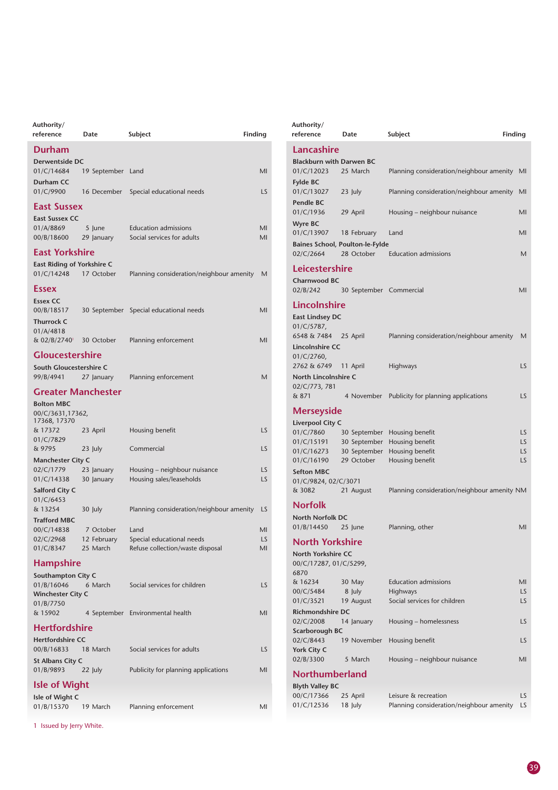| Authority/<br>reference                             | Date                    | Finding<br>Subject                                            |          |
|-----------------------------------------------------|-------------------------|---------------------------------------------------------------|----------|
| <b>Durham</b>                                       |                         |                                                               |          |
| Derwentside DC<br>01/C/14684                        | 19 September            | Land                                                          | MI       |
| Durham CC<br>01/C/9900                              | 16 December             | Special educational needs                                     | LS       |
| <b>East Sussex</b>                                  |                         |                                                               |          |
| <b>East Sussex CC</b>                               |                         |                                                               |          |
| 01/A/8869<br>00/B/18600                             | 5 June<br>29 January    | <b>Education admissions</b><br>Social services for adults     | MI<br>MI |
| East Yorkshire                                      |                         |                                                               |          |
| East Riding of Yorkshire C<br>01/C/14248            | 17 October              | Planning consideration/neighbour amenity                      | M        |
| Essex                                               |                         |                                                               |          |
| <b>Essex CC</b><br>00/B/18517<br><b>Thurrock C</b>  | 30 September            | Special educational needs                                     | MI       |
| 01/A/4818<br>& 02/B/27401                           | 30 October              | Planning enforcement                                          | MI       |
| <b>Gloucestershire</b>                              |                         |                                                               |          |
| South Gloucestershire C                             |                         |                                                               |          |
| 99/B/4941                                           | 27 January              | Planning enforcement                                          | M        |
| <b>Greater Manchester</b>                           |                         |                                                               |          |
| <b>Bolton MBC</b>                                   |                         |                                                               |          |
| 00/C/3631,17362,<br>17368, 17370                    |                         |                                                               |          |
| & 17372                                             | 23 April                | Housing benefit                                               | LS       |
| 01/C/7829<br>& 9795                                 | 23 July                 | Commercial                                                    | LS       |
| <b>Manchester City C</b>                            |                         |                                                               |          |
| 02/C/1779                                           | 23 January              | Housing – neighbour nuisance                                  | LS       |
| 01/C/14338                                          | 30 January              | Housing sales/leaseholds                                      | LS.      |
| Salford City C<br>01/C/6453                         |                         |                                                               |          |
| & 13254                                             | 30 July                 | Planning consideration/neighbour amenity                      | LS       |
| <b>Trafford MBC</b>                                 |                         |                                                               |          |
| 00/C/14838                                          | 7 October               | Land                                                          | MI       |
| 02/C/2968<br>01/C/8347                              | 12 February<br>25 March | Special educational needs<br>Refuse collection/waste disposal | LS<br>MI |
| <b>Hampshire</b>                                    |                         |                                                               |          |
| Southampton City C                                  |                         |                                                               |          |
| 01/B/16046<br><b>Winchester City C</b><br>01/B/7750 | 6 March                 | Social services for children                                  | LS.      |
| & 15902                                             |                         | 4 September Environmental health                              | MI       |
| <b>Hertfordshire</b>                                |                         |                                                               |          |
| <b>Hertfordshire CC</b>                             |                         |                                                               |          |
| 00/B/16833                                          | 18 March                | Social services for adults                                    | LS.      |
| <b>St Albans City C</b><br>01/B/9893                | 22 July                 | Publicity for planning applications                           | MI       |
| <b>Isle of Wight</b>                                |                         |                                                               |          |
| Isle of Wight C                                     |                         |                                                               |          |
| 01/B/15370                                          | 19 March                | Planning enforcement                                          | MI       |

reference Date Subject **Finding Lancashire Blackburn with Darwen BC** 01/C/12023 25 March Planning consideration/neighbour amenity MI **Fylde BC** 01/C/13027 23 July Planning consideration/neighbour amenity MI **Pendle BC**<br>01/C/1936 29 April Housing – neighbour nuisance MI **Wyre BC** 01/C/13907 18 February Land MI **Baines School, Poulton-le-Fylde** 02/C/2664 28 October Education admissions M **Leicestershire Charnwood BC** 02/B/242 30 September Commercial MI **Lincolnshire East Lindsey DC** 01/C/5787, 6548 & 7484 25 April Planning consideration/neighbour amenity M **Lincolnshire CC** 01/C/2760, 2762 & 6749 11 April Highways LS **North Lincolnshire C** 02/C/773, 781 & 871 4 November Publicity for planning applications LS **Merseyside Liverpool City C** 01/C/7860 30 September Housing benefit LS<br>01/C/15191 30 September Housing benefit LS 30 September Housing benefit **LS** 01/C/16273 30 September Housing benefit **LS** 01/C/16190 29 October Housing benefit Material Communication CS **Sefton MBC** 01/C/9824, 02/C/3071 & 3082 21 August Planning consideration/neighbour amenity NM **Norfolk North Norfolk DC** 01/B/14450 25 June Planning, other MI **North Yorkshire North Yorkshire CC** 00/C/17287, 01/C/5299, 6870<br>& 16234 & 16234 30 May Education admissions MI 00/C/5484 8 July Highways LS 01/C/3521 19 August Social services for children LS **Richmondshire DC**<br>02/C/2008 14 14 January Housing – homelessness LS **Scarborough BC** 02/C/8443 19 November Housing benefit **York City C** 5 March Housing – neighbour nuisance MI **Northumberland Blyth Valley BC**

25 April Leisure & recreation LS

01/C/12536 18 July Planning consideration/neighbour amenity LS

**Authority/**

1 Issued by Jerry White.

39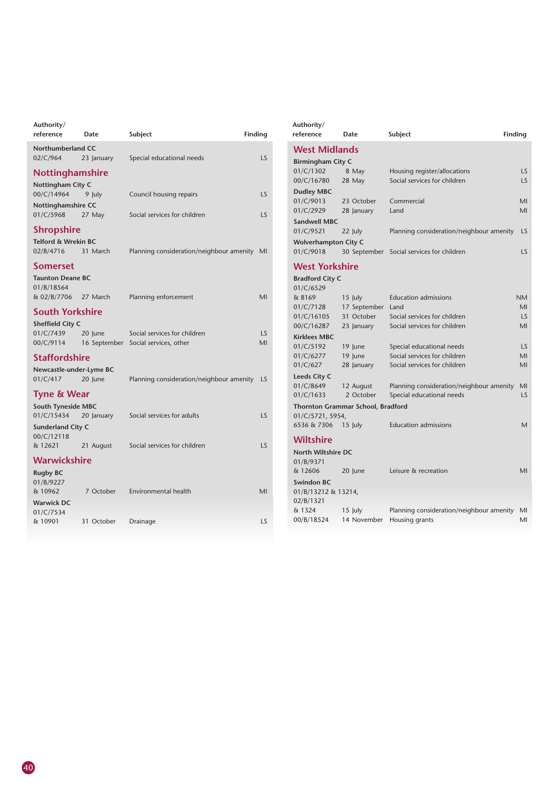| Authority/<br>reference                | Date       | Subject                                                             | Finding   |
|----------------------------------------|------------|---------------------------------------------------------------------|-----------|
| <b>Northumberland CC</b><br>02/C/964   | 23 January | Special educational needs                                           | LS        |
| Nottinghamshire                        |            |                                                                     |           |
| Nottingham City C                      |            |                                                                     |           |
| 00/C/14964<br>Nottinghamshire CC       | 9 July     | Council housing repairs                                             | LS        |
| 01/C/5968                              | 27 May     | Social services for children                                        | LS        |
| <b>Shropshire</b>                      |            |                                                                     |           |
| Telford & Wrekin BC                    |            |                                                                     |           |
| 02/B/4716                              | 31 March   | Planning consideration/neighbour amenity MI                         |           |
| <b>Somerset</b>                        |            |                                                                     |           |
| <b>Taunton Deane BC</b><br>01/B/18564  |            |                                                                     |           |
| & 02/B/7706                            | 27 March   | Planning enforcement                                                | MI        |
| <b>South Yorkshire</b>                 |            |                                                                     |           |
| Sheffield City C                       |            |                                                                     |           |
| 01/C/7439<br>00/C/9114                 | 20 lune    | Social services for children<br>16 September Social services, other | LS.<br>MI |
| <b>Staffordshire</b>                   |            |                                                                     |           |
| Newcastle-under-Lyme BC                |            |                                                                     |           |
| 01/C/417                               | 20 June    | Planning consideration/neighbour amenity                            | LS        |
| <b>Tyne &amp; Wear</b>                 |            |                                                                     |           |
| <b>South Tyneside MBC</b>              |            |                                                                     |           |
| 01/C/15434<br><b>Sunderland City C</b> | 20 January | Social services for adults                                          | LS        |
| 00/C/12118                             |            |                                                                     |           |
| & 12621                                | 21 August  | Social services for children                                        | LS        |
| <b>Warwickshire</b>                    |            |                                                                     |           |
| <b>Rugby BC</b>                        |            |                                                                     |           |
| 01/B/9227<br>& 10962                   | 7 October  | Environmental health                                                | MI        |
| <b>Warwick DC</b>                      |            |                                                                     |           |
| 01/C/7534                              |            |                                                                     |           |
| & 10901                                | 31 October | Drainage                                                            | LS        |

| Authority/<br>reference     | Date                                     | Subject                                  | Finding   |
|-----------------------------|------------------------------------------|------------------------------------------|-----------|
| <b>West Midlands</b>        |                                          |                                          |           |
| <b>Birmingham City C</b>    |                                          |                                          |           |
| 01/C/1302                   | 8 May                                    | Housing register/allocations             | LS        |
| 00/C/16780                  | 28 May                                   | Social services for children             | LS.       |
| <b>Dudley MBC</b>           |                                          |                                          |           |
| 01/C/9013                   | 23 October                               | Commercial                               | MI        |
| 01/C/2929                   | 28 January                               | Land                                     | MI        |
| <b>Sandwell MBC</b>         |                                          |                                          |           |
| 01/C/9521                   | 22 July                                  | Planning consideration/neighbour amenity | LS        |
| <b>Wolverhampton City C</b> |                                          |                                          |           |
| 01/C/9018                   | 30 September                             | Social services for children             | LS        |
| <b>West Yorkshire</b>       |                                          |                                          |           |
| <b>Bradford City C</b>      |                                          |                                          |           |
| 01/C/6529                   |                                          |                                          |           |
| & 8169                      | $15$ July                                | <b>Education admissions</b>              | <b>NM</b> |
| 01/C/7128                   | 17 September                             | Land                                     | MI        |
| 01/C/16105                  | 31 October                               | Social services for children             | LS        |
| 00/C/16287                  | 23 January                               | Social services for children             | MI        |
| <b>Kirklees MBC</b>         |                                          |                                          |           |
| 01/C/5192                   | 19 June                                  | Special educational needs                | LS        |
| 01/C/6277                   | 19 June                                  | Social services for children             | MI        |
| 01/C/627                    | 28 January                               | Social services for children             | MI        |
| Leeds City C                |                                          |                                          |           |
| 01/C/8649                   | 12 August                                | Planning consideration/neighbour amenity | MI        |
| 01/C/1633                   | 2 October                                | Special educational needs                | LS        |
|                             | <b>Thornton Grammar School, Bradford</b> |                                          |           |
| 01/C/5721, 5954,            |                                          |                                          |           |
| 6536 & 7306                 | $15$ July                                | <b>Education admissions</b>              | Μ         |
| <b>Wiltshire</b>            |                                          |                                          |           |
| North Wiltshire DC          |                                          |                                          |           |
| 01/B/9371                   |                                          |                                          |           |
| & 12606                     | 20 June                                  | Leisure & recreation                     | MI        |
| <b>Swindon BC</b>           |                                          |                                          |           |
| 01/B/13212 & 13214,         |                                          |                                          |           |
| 02/B/1321                   |                                          |                                          |           |
| & 1324                      | $15$ July                                | Planning consideration/neighbour amenity | MI        |
| 00/B/18524                  | 14 November                              | Housing grants                           | MI        |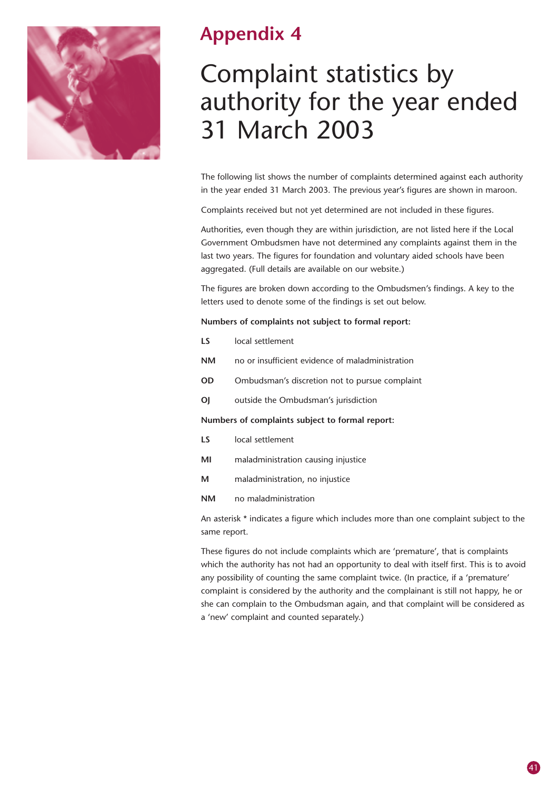

### **Appendix 4**

## Complaint statistics by authority for the year ended 31 March 2003

The following list shows the number of complaints determined against each authority in the year ended 31 March 2003. The previous year's figures are shown in maroon.

Complaints received but not yet determined are not included in these figures.

Authorities, even though they are within jurisdiction, are not listed here if the Local Government Ombudsmen have not determined any complaints against them in the last two years. The figures for foundation and voluntary aided schools have been aggregated. (Full details are available on our website.)

The figures are broken down according to the Ombudsmen's findings. A key to the letters used to denote some of the findings is set out below.

#### **Numbers of complaints not subject to formal report:**

- **NM** no or insufficient evidence of maladministration
- **OD** Ombudsman's discretion not to pursue complaint
- **OJ** outside the Ombudsman's jurisdiction

#### **Numbers of complaints subject to formal report:**

- **LS** local settlement
- **MI** maladministration causing injustice
- **M** maladministration, no injustice
- **NM** no maladministration

An asterisk \* indicates a figure which includes more than one complaint subject to the same report.

These figures do not include complaints which are 'premature', that is complaints which the authority has not had an opportunity to deal with itself first. This is to avoid any possibility of counting the same complaint twice. (In practice, if a 'premature' complaint is considered by the authority and the complainant is still not happy, he or she can complain to the Ombudsman again, and that complaint will be considered as a 'new' complaint and counted separately.)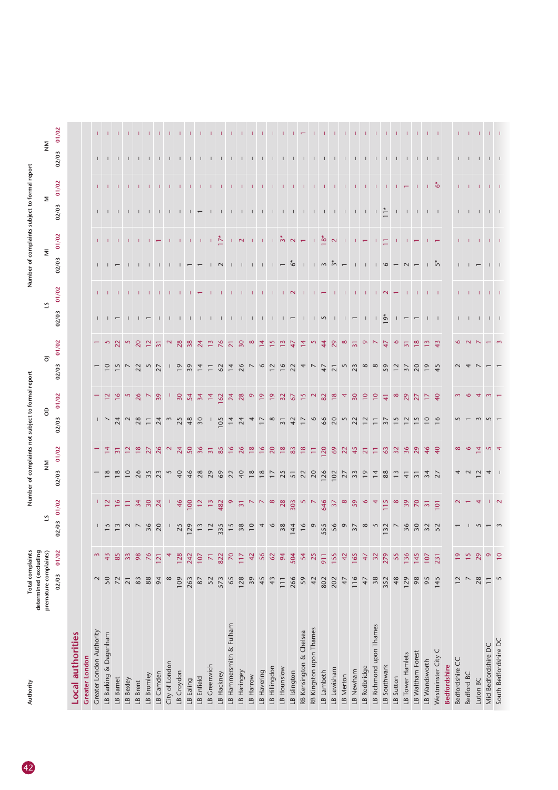| Authority                | Total complaints<br>determined (excluding |                 |                 | n<br>Mumb                 | complain                    |                 | ject to form    |                      |                          |                 |               | m<br>Num     |                | complain                 | ect to forma                |       |                              |              |
|--------------------------|-------------------------------------------|-----------------|-----------------|---------------------------|-----------------------------|-----------------|-----------------|----------------------|--------------------------|-----------------|---------------|--------------|----------------|--------------------------|-----------------------------|-------|------------------------------|--------------|
|                          | premature complaints)                     |                 |                 |                           | $\mathop{\geq}_{\mathbf Z}$ |                 | 8               |                      | $\overline{\circ}$       |                 | 2             |              |                | Σ                        | Σ                           |       | $\mathop{\geq}_{\mathbf{Z}}$ |              |
|                          | 02/03                                     | 01/02           | 02/03           | 01/02                     | 02/03                       | 01/02           | 02/03           | 01/02                | 02/03                    | 01/02           | 02/03         | 01/02        | 02/03          | 01/02                    | 02/03                       | 01/02 | 02/03                        | 01/02        |
| <b>Local authorities</b> |                                           |                 |                 |                           |                             |                 |                 |                      |                          |                 |               |              |                |                          |                             |       |                              |              |
| <b>Greater London</b>    |                                           |                 |                 |                           |                             |                 |                 |                      |                          |                 |               |              |                |                          |                             |       |                              |              |
| Greater London Authority | $\sim$                                    | $\mathfrak{g}$  |                 |                           |                             |                 |                 |                      | $\overline{\phantom{0}}$ |                 |               | $\mathbf{L}$ |                |                          |                             |       |                              | $\mathbf{L}$ |
| LB Barking & Dagenham    | 50                                        | 43              | $\frac{1}{5}$   | $\overline{12}$           |                             | $\frac{1}{4}$   |                 |                      | $\overline{c}$           | <b>S</b>        |               |              |                | $1 - 1$                  | $1 - 1$                     |       | $1 - 1$                      |              |
| LB Barnet                | 72                                        | 85              | $\sim$          |                           |                             | $\overline{31}$ | $-724$          |                      |                          | $\overline{2}$  |               |              |                |                          | $\perp$                     |       |                              |              |
| LB Bexley                | $\overline{21}$                           | 33              |                 | Ξ                         |                             | $\tilde{c}$     |                 |                      | $15 - 23 - 5$            | $\sim$          |               |              |                |                          |                             |       |                              |              |
| LB Brent                 | $83$                                      | 98              |                 | 34                        | 26                          | $\frac{8}{18}$  | 28              | 26                   |                          | $\overline{20}$ |               |              |                | -11                      |                             |       |                              |              |
| LB Bromley               | $88\,$                                    | 76              | 36              | 30                        | 35                          | $\overline{27}$ | $\overline{-}$  |                      |                          | $\approx$       |               |              |                | -11                      | $\mathbf{1}$                |       |                              |              |
| LB Camden                | 94                                        | 121             | 20              | 24                        | 23                          | 26              | $^{24}$         | $\overline{39}$      | 27                       | $\overline{31}$ |               |              |                |                          |                             |       |                              |              |
| City of London           | $\infty$                                  |                 |                 |                           | 5                           |                 |                 |                      | $\mathbf{L}$             | $\sim$          |               |              |                | T.                       | $\mathbf{I}$                |       |                              |              |
| LB Croydon               | 109                                       | 128             | 25              | 46                        | 40                          | 24              | 25              | $\overline{30}$      | $\overline{19}$          | 28              |               |              |                |                          |                             |       |                              |              |
| LB Ealing                | 263                                       | 242             | 129             | 100                       | 46                          | 50              | 48              | 54                   | 39                       | 38              |               |              |                |                          |                             |       |                              |              |
| LB Enfield               | $87\,$                                    | 107             | $13$            | $\overline{12}$           | 28                          | 36              | 30              | $\overline{34}$      | $\overline{4}$           | $\overline{z}$  |               |              |                |                          |                             |       |                              |              |
| LB Greenwich             | 52                                        | $\overline{z}$  |                 | $\frac{3}{2}$             | 29                          | $\overline{31}$ |                 | $\overline{4}$       | $\overline{-}$           | $\frac{1}{2}$   |               |              |                |                          |                             |       |                              |              |
| LB Hackney               | 573                                       | 822             | 335             | 482                       | $69$                        | 85              | 105             | 162                  | 62                       | 76              |               |              | $\sim$         | $\frac{1}{2}$            |                             |       |                              |              |
| LB Hammersmith & Fulham  | 65                                        | 70              | 15              | $\circ$                   |                             | $\frac{8}{1}$   | $\frac{4}{3}$   | 24                   | $\overline{4}$           | $\overline{z}$  |               |              |                |                          |                             |       |                              |              |
| LB Haringey              | 128                                       | 117             | $38$            | $\overline{\mathbf{5}}$   | 22                          | 26              | $\overline{24}$ | 28                   | 26                       | 30              |               |              |                | $\mathbb{R}^n$           |                             |       |                              |              |
| LB Harrow                | 39                                        | 42              | $\overline{10}$ |                           | $\frac{8}{2}$               | $\frac{8}{18}$  |                 |                      | $\overline{ }$           | $\infty$        |               |              |                | Т.                       | $\mathbf{I}$                |       |                              |              |
| LB Havering              | 45                                        | 56              |                 |                           | $\frac{8}{2}$               | $\frac{6}{ }$   | $\overline{a}$  | $\overline{6}$       | $\circ$                  | $\overline{4}$  |               |              | $\perp$        | H.                       | Ι.                          |       |                              |              |
| LB Hillingdon            | 43                                        | 62              | 9               | $\infty$                  | $\overline{1}$              | 20              | $\infty$        | $\overline{9}$       | $\overline{12}$          | $\frac{5}{1}$   |               |              |                |                          | $\mathbf{1}$                |       |                              |              |
| LB Hounslow              | 111                                       | 94              | 38              | 28                        | 25                          | $\frac{8}{18}$  | $\overline{3}$  | 32                   | $\frac{8}{16}$           |                 |               |              |                | $\tilde{\mathcal{E}}$    | $\mathbf{L}$                |       |                              |              |
| LB Islington             | 266                                       | 504             | 144             | 303                       | $\overline{5}$              | 83              | $\frac{5}{4}$   | $\frac{2}{\sqrt{2}}$ | $\overline{2}$           | 4               |               | $\sim$       | ŵ              | $\sim$                   | $\mathbf{L}$                |       |                              |              |
| RB Kensington & Chelsea  | 59                                        | 54              | 16              | $\sim$                    | 22                          | $\frac{8}{2}$   | $\overline{1}$  | $\frac{5}{3}$        | $\overline{4}$           | $\overline{4}$  |               |              | $\Box$         | $\overline{\phantom{m}}$ | $\mathbf{1}$                |       | $\perp$                      |              |
| RB Kingston upon Thames  | 42                                        | 25              |                 |                           | 20                          | $\Xi$           | $\circ$         |                      | $\overline{\phantom{0}}$ |                 |               |              |                |                          | $\Box$                      |       |                              |              |
| LB Lambeth               | 802                                       | 911             | 555             | 646                       | 126                         | 120             | 66              | $82\,$               | 47                       | $\ddot{4}$      | S             |              |                | $18*$                    | $\mathbf{1}$                |       |                              |              |
| LB Lewisham              | 202                                       | 155             | 56              | $\overline{37}$           | 102                         | 69              | 20              | $\frac{8}{18}$       | $\overline{2}$           | $\mathbf{g}$    |               |              | $m \ddot{m}$   | $\sim$                   | $\mathbf{L}$                |       |                              |              |
| LB Merton                | 47                                        | 42              | $\circ$         | $\infty$                  | 27                          | 22              | S               |                      | $5\over 23$              | $\infty$        |               |              |                |                          | $\mathbf{I}$                |       |                              |              |
| LB Newham                | 116                                       | 165             | $\overline{37}$ | 59                        | 33                          | 45              | $\overline{2}$  | 30                   |                          | $\overline{31}$ |               |              |                |                          | $\mathbf{1}$                |       |                              |              |
| LB Redbridge             | 47                                        | 47              | $\infty$        | $\circ$                   | $\overline{19}$             | $\overline{2}$  |                 | $\overline{10}$      | $\infty$ $\infty$        | $\circ$         |               |              |                |                          |                             |       |                              |              |
| LB Richmond upon Thames  | $38$                                      | 32              | $\sim$          | 4                         | 14                          | Ξ               | $\overline{-}$  | $\overline{10}$      |                          |                 |               |              |                |                          | $\mathbf{1}$ $\mathbf{1}$   |       |                              |              |
| LB Southwark             | 352                                       | 279             | 132             | 115                       | $88$                        | 63              | $\frac{2}{3}$   | $\frac{4}{3}$        | 59                       | $\ddot{4}$      | $\frac{5}{2}$ | $\sim$       | $\circ$        | Ξ                        | $\Gamma^*$                  |       |                              |              |
| LB Sutton                | 48                                        | 55              |                 |                           | $\frac{3}{2}$               | 32              |                 | $\infty$             | $\overline{12}$          | $\circ$         |               |              |                |                          |                             |       |                              |              |
| LB Tower Hamlets         | 129                                       | 136             | 36              | $\overline{39}$           | $\overline{4}$              | 36              |                 | 29                   | $\overline{37}$          | $\overline{5}$  |               |              | $\sim$         |                          |                             |       |                              |              |
| LB Waltham Forest        | 98                                        | 145             | 50              | $\mathsf{S}^{\mathsf{C}}$ | $\overline{3}$              | 29              |                 | 27                   | $\overline{c}$           | $\frac{8}{18}$  |               |              |                |                          | $\perp$                     |       | $\Box$                       |              |
| LB Wandsworth            | 95                                        | 107             |                 | $\overline{\mathbf{3}}$   | $34$<br>27                  | 46              | $\tilde{=}$     | $\overline{17}$      | $\overline{e}$           | $\frac{3}{2}$   |               |              |                |                          |                             |       |                              |              |
| Westminster City C       | 145                                       | 231             | 32<br>52        | 101                       |                             | 40              | $\circ$         | $\overline{40}$      | 45                       | 43              | $1 - 1$       |              | $\overline{5}$ |                          | $\mathbf{1}$ $\mathbf{1}$   | Ő     | $1 - 1$                      |              |
| <b>Bedfordshire</b>      |                                           |                 |                 |                           |                             |                 |                 |                      |                          |                 |               |              |                |                          |                             |       |                              |              |
| Bedfordshire CC          | $\overline{12}$                           | $\overline{9}$  |                 |                           |                             | $\infty$        |                 |                      |                          |                 | $\mathbf{L}$  |              | $\mathbf{L}$   |                          | $\mathbf{L}$                | T.    | Ι.                           |              |
| Bedford BC               | $\overline{\phantom{0}}$                  | $\frac{5}{2}$   |                 |                           |                             | P               |                 |                      |                          |                 | $\mathbf{I}$  | - 11         | $\Box$         | Т.                       | $\Box$                      | - 11  | - 11                         |              |
| Luton BC                 | 28                                        | 29              |                 | 4                         | $\sim$                      | $\overline{4}$  |                 |                      |                          |                 | $\mathbf{L}$  | т.           |                | т.                       | $\mathbf{I}$                | л.    | $\mathbf{L}$                 |              |
| Mid Bedfordshire DC      | $\equiv$                                  | $\circ$         |                 |                           |                             |                 |                 |                      |                          |                 | $\Box$        |              |                | $\mathbf{L}$             | $\frac{1}{2}$ $\frac{1}{2}$ |       |                              |              |
| South Bedfordshire DC    | $\overline{5}$                            | $\overline{10}$ |                 | $\sim$                    |                             |                 |                 |                      |                          |                 |               |              |                |                          |                             |       |                              |              |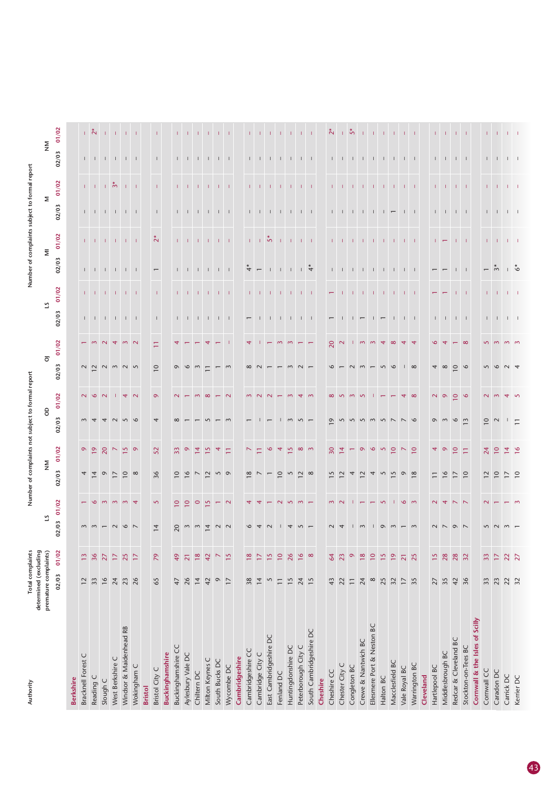| Authority                      | determined (excluding | Total complaints |                | Number             | ŏ                        | complaints       |                | to forn                 |                                                 |                |                                                                           |                          | Number of complain                                                |                           | subject                                                                   | to form                |                             |               |
|--------------------------------|-----------------------|------------------|----------------|--------------------|--------------------------|------------------|----------------|-------------------------|-------------------------------------------------|----------------|---------------------------------------------------------------------------|--------------------------|-------------------------------------------------------------------|---------------------------|---------------------------------------------------------------------------|------------------------|-----------------------------|---------------|
|                                | premature complaints) |                  | ಼              |                    |                          | $\mathop{\geq}$  | $\mathsf{S}$   |                         | $\overline{\circ}$                              |                | 5                                                                         |                          | $\overline{\Xi}$                                                  |                           |                                                                           | Σ                      | $\mathop{\geq}_{\mathbf Z}$ |               |
|                                | 02/03                 | 01/02            | 02/03          | 01/02              | 02/03                    | 01/02            | 02/03          | 01/02                   | 02/03                                           | 01/02          | 02/03                                                                     | 01/02                    | 02/03                                                             | 01/02                     | 02/03                                                                     | 01/02                  | 02/03                       | 01/02         |
| <b>Berkshire</b>               |                       |                  |                |                    |                          |                  |                |                         |                                                 |                |                                                                           |                          |                                                                   |                           |                                                                           |                        |                             |               |
| Bracknell Forest C             | 12                    | $\frac{1}{2}$    |                |                    | $\overline{4}$           | 0 <sub>0</sub>   | $\sim$         | $\sim$                  |                                                 |                |                                                                           |                          |                                                                   |                           |                                                                           |                        |                             |               |
| Reading C                      | 33                    | 36               | $m \, m$       | ۱O                 | $\overline{4}$           |                  |                | $\circ$                 |                                                 |                |                                                                           | $1 - 1 - 1$              | $1 - 1$ .                                                         | $1 - 1$                   | $\Gamma = \Gamma = \Gamma$                                                | $1 - 1$                | $\Gamma = \Gamma = \Gamma$  | $\frac{1}{2}$ |
| Slough C                       | 16                    | $\overline{27}$  |                | $\sim$             | $\circ$                  | 20               |                | $\sim$                  |                                                 |                |                                                                           |                          | - 11                                                              | $-1$                      |                                                                           | -11                    |                             |               |
| West Berkshire C               | 24                    | $\Box$           | $\sim$         |                    | $\overline{1}$           | $\triangleright$ |                |                         |                                                 |                |                                                                           | Τ.                       | $\mathbf{I}$                                                      |                           |                                                                           | $\stackrel{*}{\infty}$ | $\mathbf{1}$                |               |
| Windsor & Maidenhead RB        | 23                    | 25               | $\circ$ $\sim$ | $m \omega 4$       | $\overline{10}$          | $\frac{15}{9}$   |                | $\overline{4}$          | $\begin{array}{c} \n 0 \\ 1 \\ 0\n \end{array}$ | $\sim$         | $\begin{array}{cccccccccccccc} 1 & 1 & 1 & 1 & 1 & 1 & 1 & 1 \end{array}$ | $1 - 1$                  | $1 - 1$                                                           | $1 - 1 - 1$               | $\begin{array}{cccccccccc} 1 & 1 & 1 & 1 & 1 \end{array}$                 |                        | $\perp$ $\perp$             |               |
| Wokingham C                    | 26                    | $\overline{17}$  |                |                    | $\infty$                 |                  |                | $\sim$                  |                                                 |                |                                                                           |                          |                                                                   |                           |                                                                           | $1 - 1$                |                             |               |
| <b>Bristol</b>                 |                       |                  |                |                    |                          |                  |                |                         |                                                 |                |                                                                           |                          |                                                                   |                           |                                                                           |                        |                             |               |
| Bristol City C                 | 65                    | 29               | $\overline{1}$ | $\mathsf{S}$       | 36                       | 52               | 4              | $\sigma$                | $\overline{10}$                                 | Ξ              | $\mathbf{I}$                                                              | $\mathbf{I}$             | $\overline{\phantom{m}}$                                          | $\stackrel{*}{\sim}$      | $\perp$                                                                   | $\mathbf{I}$           |                             |               |
| <b>Buckinghamshire</b>         |                       |                  |                |                    |                          |                  |                |                         |                                                 |                |                                                                           |                          |                                                                   |                           |                                                                           |                        |                             |               |
| Buckinghamshire CC             | 47                    | 49               | 20             | $\circ$            | $\overline{10}$          | 33               |                |                         | $\sigma$                                        |                | $\mathbf{L}$                                                              | $\mathbf{L}$             | $\mathbf{L}$                                                      |                           |                                                                           |                        |                             |               |
| Aylesbury Vale DC              | 26                    | $\overline{21}$  | $\sim$         | $\circ$            | $\frac{6}{ }$            | $\circ$          |                |                         | $\circ$                                         |                |                                                                           | $-1$ $-1$                | $\mathbf{L}$                                                      | $\pm 1$                   | $\begin{array}{cccccccccccccc} 1 & 1 & 1 & 1 & 1 & 1 & 1 & 1 \end{array}$ | - 11                   | $\Box$                      |               |
| Chiltern DC                    | $\overline{1}$        | $\frac{8}{18}$   | $\sim$         | $\circ$            | $\overline{\phantom{0}}$ | 혼                |                |                         | $\sim$                                          |                |                                                                           |                          | $\Box$                                                            |                           |                                                                           |                        | $\Box$                      |               |
| Milton Keynes C                | 42                    | 42               | $\overline{4}$ | $\mathbf{\hat{S}}$ | $\sim$                   | $\mathcal{L}$    |                |                         |                                                 |                | $\begin{array}{cccccccccccccc} & 1 & 1 & 1 & 1 & 1 & 1 & 1 \end{array}$   |                          | $\mathbf{L}$                                                      | $-1$ , $-1$ , $-1$ , $-1$ |                                                                           |                        |                             |               |
| South Bucks DC                 | $\circ$               | $\triangleright$ | $\sim$         |                    | 5                        |                  |                |                         |                                                 |                |                                                                           | $1 - 1 - 1$              |                                                                   |                           |                                                                           |                        | $\Box$                      |               |
| Wycombe DC                     | $\overline{17}$       | 15               | $\sim$         | $\sim$             | $\sigma$                 | Ξ                |                |                         | $\sim$                                          |                |                                                                           |                          | $-1$                                                              |                           |                                                                           | $-1$                   |                             | $1 - 1$       |
| Cambridgeshire                 |                       |                  |                |                    |                          |                  |                |                         |                                                 |                |                                                                           |                          |                                                                   |                           |                                                                           |                        |                             |               |
| Cambridgeshire CC              | 38                    | $\frac{8}{18}$   |                |                    | $^{\circ}$               |                  |                |                         |                                                 |                |                                                                           |                          | $\ddot{ }$                                                        |                           |                                                                           | $\mathbf{L}$           |                             |               |
| Cambridge City C               | $\overline{1}$        | $\overline{17}$  |                |                    |                          | Ξ                |                |                         |                                                 |                |                                                                           | $1 - 1$                  | $\overline{\phantom{m}}$                                          | $1 + 5$                   | $1 - 1$                                                                   | $\Box$                 | $1 - 1$                     |               |
| East Cambridgeshire DC         | $\mathcal{L}$         | $\frac{5}{2}$    |                |                    |                          | $\circ$          |                |                         |                                                 |                |                                                                           | -11                      | $\pm$                                                             |                           | $\Box$                                                                    |                        | $\perp$                     |               |
| Fenland DC                     | $\overline{-}$        | $\overline{10}$  |                | $\sim$             | $\overline{0}$           | 4                |                |                         |                                                 |                | $\mathbf{L}$                                                              | $\mathbf{L}$             | $\pm$                                                             | $\pm 1$                   |                                                                           | -1                     | $\perp$                     |               |
| Huntingdonshire DC             | 15                    | 26               |                | $\sim$             | 5                        | $\frac{5}{2}$    |                |                         |                                                 |                | $-1$ $-1$ $-1$                                                            | $\perp$                  | $\perp$                                                           | $\pm 1$                   | $\begin{array}{cccccccccc} 1 & 1 & 1 & 1 & 1 \end{array}$                 | -1                     | $\Box$                      |               |
| Peterborough City C            | 24                    | $\frac{8}{16}$   |                | $\sim$             | $\overline{2}$           | $\infty$         | $\sqrt{2}$     |                         | $\sim$                                          |                |                                                                           | -11                      | $\frac{4}{4}$                                                     | $-1$ $-1$                 |                                                                           | $1 - 1$                | $\mathbf{1}$ $\mathbf{1}$   | -11           |
| South Cambridgeshire DC        | 15                    | $\infty$         |                |                    | $\infty$                 |                  |                |                         |                                                 |                |                                                                           | - 11                     |                                                                   |                           |                                                                           |                        |                             |               |
| Cheshire                       |                       |                  |                |                    |                          |                  |                |                         |                                                 |                |                                                                           |                          |                                                                   |                           |                                                                           |                        |                             |               |
| Cheshire CC                    | 43                    | 64               |                |                    |                          | 30               | $\circ$        |                         |                                                 | $\overline{0}$ | $\overline{ }$                                                            | $\overline{\phantom{0}}$ |                                                                   |                           |                                                                           |                        |                             | Ñ             |
| Chester City C                 | 22                    | 23               |                |                    |                          | 혼                |                |                         |                                                 | $\sim$         | $\mathbf{I}$                                                              | -11                      |                                                                   |                           |                                                                           |                        | $1 - 1$                     |               |
| Congleton BC                   | $\overline{-}$        | $\circ$          |                |                    |                          |                  |                |                         |                                                 |                | $\perp$                                                                   | -11                      | $\begin{array}{cccccccccccccc} 1 & -1 & -1 & -1 & -1 \end{array}$ | 1 - 1 - 1 - 1             | $\begin{array}{cccccccccc} 1 & 1 & 1 & 1 & 1 \end{array}$                 | $\pm 1$                | $\mathbf{L}$                | $\zeta$       |
| Crewe & Nantwich BC            | 24                    | $\frac{8}{18}$   |                |                    |                          | $\circ$          |                |                         |                                                 | $m \, m$       |                                                                           | л.                       |                                                                   |                           |                                                                           | $\pm 1$                | $\mathbf{L}$                |               |
| Ellesmere Port & Neston BC     | $\infty$              | $\overline{10}$  |                |                    | 4                        | $\circ$          | $\sim$         |                         |                                                 |                |                                                                           | т.                       | $\mathbb{L}$                                                      | $\pm$                     | $\mathbf{L}$                                                              |                        | $\mathbb{L}$                |               |
| Halton BC                      | 25                    | $\frac{5}{2}$    |                | $\sqrt{2}$         | 5                        | $\mathcal{L}$    | $\overline{5}$ |                         | $\sim$                                          | $\overline{4}$ |                                                                           | Т.                       | $\perp$                                                           | л.                        | $\overline{1}$ $\overline{1}$                                             | Т.                     | $\Box$                      |               |
| Macclesfield BC                | 32                    | $\overline{19}$  |                |                    | $\overline{5}$           | $\overline{10}$  |                |                         | $\circ$                                         | $\infty$       |                                                                           | ÷.                       | $\mathbb{L}$                                                      | - 11                      |                                                                           | ÷.                     |                             |               |
| Vale Royal BC                  | $\overline{1}$        | $\overline{21}$  |                | $\frac{6}{3}$      | $\circ$                  | $\triangleright$ |                |                         | $1\infty$                                       | 4              | $1 \quad 1$                                                               | $1 - 1$                  | $1 - 1$                                                           | $1 - 1$                   | $\perp$ $\perp$                                                           | $1 - 1$                | $1 \quad 1$                 | $1 - 1$       |
| Warrington BC                  | 35                    | 25               |                |                    | $\infty$                 | $\overline{10}$  | $\circ$        | $\infty$                |                                                 | $\overline{4}$ |                                                                           |                          |                                                                   |                           |                                                                           |                        |                             |               |
| Cleveland                      |                       |                  |                |                    |                          |                  |                |                         |                                                 |                |                                                                           |                          |                                                                   |                           |                                                                           |                        |                             |               |
| Hartlepool BC                  | 27                    | $\frac{5}{2}$    |                |                    |                          | 4                | $\sigma$       | $\overline{\mathbf{c}}$ | 4                                               |                | $\mathbf{L}$                                                              |                          | $\overline{\phantom{m}}$                                          | T.                        |                                                                           | T.                     | $\mathbf{L}$                | $\mathbf{L}$  |
| Middlesbrough BC               | 35                    | 28               |                |                    |                          | $\circ$          |                | $\sigma$                | $\infty$                                        |                |                                                                           |                          |                                                                   | $\overline{\phantom{m}}$  | $\begin{array}{cccccccccc} 1 & -1 & -1 & -1 & -1 \end{array}$             | -11                    | $\mathbf{1}$                |               |
| Redcar & Cleveland BC          | 42                    | 28               |                | $\sim$ $\sim$      |                          | $\overline{10}$  | $\circ$        | $\approx$               | $\circ$                                         |                | $1 - 1 - 1$                                                               |                          |                                                                   | $1 - 1$                   |                                                                           |                        | $1 - 1$                     | $1 - 1 - 1$   |
| Stockton-on-Tees BC            | 36                    | 32               |                |                    | $\overline{10}$          | Ξ                | $\mathbf{c}$   | $\circ$                 |                                                 | $\infty$       |                                                                           |                          | $1 - 1$                                                           |                           |                                                                           |                        |                             |               |
| Cornwall & the Isles of Scilly |                       |                  |                |                    |                          |                  |                |                         |                                                 |                |                                                                           |                          |                                                                   |                           |                                                                           |                        |                             |               |
| Cornwall CC                    | 33                    | 33               |                |                    |                          | 24               | $\subseteq$    |                         |                                                 |                |                                                                           |                          | $-5$                                                              |                           |                                                                           |                        |                             |               |
| Caradon DC                     | 23                    | $\overline{17}$  |                |                    | $\subseteq$              | $\overline{10}$  | $\sim$         |                         | $\circ$                                         |                | $1 - 1 - 1 - 1$                                                           | $1 - 1$                  |                                                                   | $1 - 1$                   | $1 - 1 - 1 - 1$                                                           | $1 - 1$                | $1 - 1 - 1 - 1$             | 1   1   1   1 |
| Carrick DC                     | 22                    | 22               |                |                    |                          | $\overline{4}$   |                | 4                       | $\sim$                                          | $m \, m$       |                                                                           | $-1$                     | $\sim$ 1 $\circ$                                                  | $-1$ $-1$                 |                                                                           | $\pm$ $\pm$            |                             |               |
| Kerrier DC                     | 32                    | $\overline{27}$  |                |                    | $\overline{10}$          | $\frac{8}{16}$   | $\equiv$       | $\overline{5}$          |                                                 |                |                                                                           |                          |                                                                   |                           |                                                                           |                        |                             |               |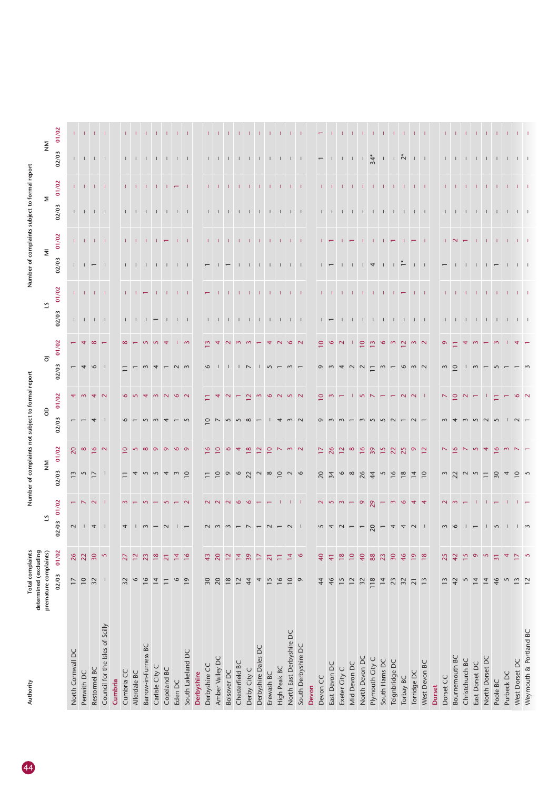| Authority                       | Total complaints<br>determined (excluding |                          |                | mum<br>Z                  |                             |                          |                          |                                               |                                                                                                          |                       |                                                                          | Numl                                                                        |                               |             |                                                                       |                                |                                                                               |                                                                                       |
|---------------------------------|-------------------------------------------|--------------------------|----------------|---------------------------|-----------------------------|--------------------------|--------------------------|-----------------------------------------------|----------------------------------------------------------------------------------------------------------|-----------------------|--------------------------------------------------------------------------|-----------------------------------------------------------------------------|-------------------------------|-------------|-----------------------------------------------------------------------|--------------------------------|-------------------------------------------------------------------------------|---------------------------------------------------------------------------------------|
|                                 | premature complaints)                     |                          |                |                           | $\mathop{\geq}_{\mathbf Z}$ |                          | $\theta$                 |                                               | $\overline{\circ}$                                                                                       |                       | 5                                                                        |                                                                             | $\overline{\Xi}$              |             | Σ                                                                     |                                | $\mathop{\geq}_{\mathbf Z}$                                                   |                                                                                       |
|                                 | 02/03                                     | 01/02                    | 02/03          | 01/02                     | 02/03                       | 01/02                    | 02/03                    | 01/02                                         | 02/03                                                                                                    | 01/02                 | 02/03                                                                    | 01/02                                                                       | 02/03                         | 01/02       | 02/03                                                                 | 01/02                          | 02/03                                                                         | 01/02                                                                                 |
| North Cornwall DC               | $\overline{17}$                           | 26                       | $\sim$         |                           | $\frac{3}{2}$               | $\overline{c}$           | $\overline{\phantom{0}}$ |                                               | $\overline{\phantom{0}}$                                                                                 |                       |                                                                          |                                                                             |                               |             |                                                                       |                                |                                                                               |                                                                                       |
| Penwith DC                      | $\overline{10}$                           | 22                       |                |                           | $\overline{5}$              |                          |                          |                                               |                                                                                                          |                       | $\Gamma = \Gamma = \Gamma = \Gamma$                                      |                                                                             |                               |             | $\Gamma = \Gamma = \Gamma = \Gamma$                                   |                                | $1\leq 1\leq 1\leq 1$                                                         |                                                                                       |
| Restormel BC                    | 32                                        | 30                       | $\overline{4}$ | N N                       | $\sim$                      | $\circ$ $\sim$           | $\overline{4}$           |                                               | $\begin{array}{c c c c c} \hline \textbf{0} & \textbf{1} & \textbf{0} & \textbf{1} \\\hline \end{array}$ |                       |                                                                          |                                                                             |                               |             |                                                                       |                                |                                                                               |                                                                                       |
| Council for the Isles of Scilly | $\mathbf{I}$                              | $\mathsf{S}$             |                |                           |                             |                          |                          |                                               |                                                                                                          |                       |                                                                          |                                                                             |                               |             |                                                                       |                                |                                                                               |                                                                                       |
| Cumbria                         |                                           |                          |                |                           |                             |                          |                          |                                               |                                                                                                          |                       |                                                                          |                                                                             |                               |             |                                                                       |                                |                                                                               |                                                                                       |
| Cumbria CC                      | 32                                        | $\overline{27}$          |                |                           |                             |                          |                          |                                               |                                                                                                          |                       |                                                                          |                                                                             |                               |             |                                                                       |                                |                                                                               |                                                                                       |
| Allerdale BC                    | $\circ$                                   | $\overline{12}$          |                |                           |                             |                          |                          |                                               |                                                                                                          |                       |                                                                          | $1 - 1$                                                                     |                               | $1 - 1 -$   |                                                                       |                                |                                                                               |                                                                                       |
| Barrow-in-Furness BC            | 16                                        | 23                       |                |                           |                             | $\infty$                 |                          |                                               |                                                                                                          |                       | $\begin{array}{cccccccccccccc} 1 & 1 & 1 & 1 & \leftarrow & \end{array}$ |                                                                             | $1 - 1 - 1$                   |             | $1 - 1 - 1$                                                           | 1201111                        |                                                                               |                                                                                       |
| Carlisle City C                 | $\overline{1}$                            | $18$                     |                |                           |                             | $\circ$                  |                          |                                               |                                                                                                          |                       |                                                                          |                                                                             | $\Box$                        |             |                                                                       |                                |                                                                               |                                                                                       |
| Copeland BC                     | $\overline{\phantom{a}}$                  | $\overline{21}$          |                |                           |                             | $\circ$                  |                          |                                               |                                                                                                          |                       |                                                                          |                                                                             |                               |             |                                                                       | $\mathbf{L}$                   |                                                                               |                                                                                       |
| Eden DC                         | $\mathsf{\circ}$                          | $\overline{4}$           |                |                           |                             | $\mathbf{\Omega}$        |                          | $\mathbf{\Omega}$                             |                                                                                                          |                       | $-1$ $-1$ $-1$                                                           |                                                                             | $1 - 1 - 1$                   |             | $\begin{array}{cccccccccc} 1 & 1 & 1 & 1 & 1 \end{array}$             | $\overline{\phantom{m}}$       | $\begin{array}{cccccccccccccc} 1 & 1 & 1 & 1 & 1 & 1 & 1 & 1 & 1 \end{array}$ |                                                                                       |
| South Lakeland DC               | $\overline{19}$                           | 16                       |                | $\sim$                    | $\circ$                     |                          |                          |                                               |                                                                                                          |                       |                                                                          | $-1$                                                                        |                               | $1 - 1$     |                                                                       |                                |                                                                               |                                                                                       |
| Derbyshire                      |                                           |                          |                |                           |                             |                          |                          |                                               |                                                                                                          |                       |                                                                          |                                                                             |                               |             |                                                                       |                                |                                                                               |                                                                                       |
| Derbyshire CC                   | 30                                        | 43                       |                |                           |                             |                          |                          |                                               |                                                                                                          |                       |                                                                          |                                                                             |                               |             |                                                                       |                                |                                                                               |                                                                                       |
| Amber Valley DC                 | 20                                        | 20                       |                |                           | $\overline{a}$              |                          |                          |                                               |                                                                                                          |                       | $1 - 1$                                                                  |                                                                             |                               |             | $1 - 1$                                                               | $1 - 1$                        | $1 - 1$                                                                       |                                                                                       |
| <b>Bolsover DC</b>              | 18                                        | 12                       |                |                           | $\circ$                     |                          |                          |                                               |                                                                                                          |                       | $\Box$                                                                   |                                                                             |                               |             |                                                                       |                                |                                                                               |                                                                                       |
| Chesterfield BC                 | 12                                        | $\overline{14}$          |                |                           |                             |                          |                          |                                               |                                                                                                          |                       |                                                                          |                                                                             |                               |             |                                                                       |                                |                                                                               |                                                                                       |
| Derby City C                    | 44                                        | 39                       |                | $\circ$                   | $6\frac{2}{2}$              |                          | $\infty$                 |                                               | $\sqrt{2}$                                                                                               | $\sim$                |                                                                          |                                                                             |                               |             |                                                                       |                                |                                                                               |                                                                                       |
| Derbyshire Dales DC             | $\overline{\mathcal{A}}$                  | $\overline{17}$          |                | $- - - 1 - 1 - 1$         | $\sim$ $\infty$             |                          |                          | $\sim$                                        |                                                                                                          |                       |                                                                          |                                                                             |                               | $1 - 1 - 1$ |                                                                       | The Local Control of the Local |                                                                               | $\begin{array}{cccccccccccccc} 1 & 1 & 1 & 1 & 1 & 1 & 1 & 1 & 1 & 1 & 1 \end{array}$ |
| Erewash BC                      | 15                                        | $\overline{21}$          |                |                           |                             | $\overline{\phantom{0}}$ |                          | $\circ$                                       | $\sqrt{5}$                                                                                               | $\overline{4}$        |                                                                          |                                                                             | $\mathbf{I}$                  |             |                                                                       |                                |                                                                               |                                                                                       |
| High Peak BC                    | 16                                        | Ξ                        |                |                           | $\overline{a}$              |                          |                          |                                               |                                                                                                          |                       |                                                                          | $-1$ , $-1$ , $-1$ , $-1$                                                   | $\Box$                        | - 11        | $1 - 1 - 1$                                                           |                                |                                                                               |                                                                                       |
| North East Derbyshire DC        | $\overline{10}$                           | $\overline{14}$          |                |                           |                             |                          |                          |                                               |                                                                                                          | $\circ$               |                                                                          |                                                                             | $\Box$                        | $-1 - 1$    | $-1$                                                                  |                                |                                                                               |                                                                                       |
| South Derbyshire DC             | $\circ$                                   | $\circ$                  |                |                           |                             |                          |                          |                                               |                                                                                                          |                       |                                                                          |                                                                             |                               |             |                                                                       |                                |                                                                               |                                                                                       |
| Devon                           |                                           |                          |                |                           |                             |                          |                          |                                               |                                                                                                          |                       |                                                                          |                                                                             |                               |             |                                                                       |                                |                                                                               |                                                                                       |
| Devon CC                        | 44                                        | 40                       |                | N <sub>g</sub>            | 20                          |                          |                          | $\circ$                                       | $\sigma$                                                                                                 | $\circ$               |                                                                          |                                                                             |                               |             |                                                                       |                                | $\overline{\phantom{0}}$                                                      |                                                                                       |
| East Devon DC                   | 46                                        | $\overline{4}$           |                |                           | 34                          | 26                       |                          |                                               |                                                                                                          | $\circ$               | $\overline{1}$ $\overline{1}$                                            | $1 - 1$                                                                     | $\overline{1}$ $\overline{1}$ |             |                                                                       |                                |                                                                               |                                                                                       |
| Exeter City C                   | 15                                        | $\frac{8}{18}$           |                | $\sim$                    | $\circ$                     | $\overline{2}$           |                          |                                               | $\overline{4}$                                                                                           | $\sim$                |                                                                          | $\begin{array}{cccccccccccccc} 1 & 1 & 1 & 1 & 1 & 1 & 1 & 1 & \end{array}$ | $\Box$                        |             | 1   1   1   1   1   1   1   1   1                                     | 1 1 1 1 1 1 1 1 1 1 1 1        | $1$ $1$ $1$ $1$ $\frac{1}{20}$ $1$ $1$ $\frac{5}{10}$ $1$ $1$                 |                                                                                       |
| Mid Devon DC                    | 12                                        | $\overline{10}$          |                |                           | $\infty$                    | $\infty$                 |                          |                                               | $\sim$                                                                                                   |                       |                                                                          |                                                                             |                               |             |                                                                       |                                |                                                                               |                                                                                       |
| North Devon DC                  | 32                                        | 40                       |                | $-98 - 9$                 | 26                          | $\frac{8}{1}$            |                          |                                               | $\sim$                                                                                                   | $\subseteq$           |                                                                          |                                                                             |                               |             |                                                                       |                                |                                                                               | <b>TELEVISION CONTROL</b>                                                             |
| Plymouth City C                 | 118                                       | 88                       |                |                           | $\frac{4}{4}$               | 39                       |                          |                                               | $\equiv$                                                                                                 | $\overline{13}$       |                                                                          |                                                                             |                               |             |                                                                       |                                |                                                                               |                                                                                       |
| South Hams DC                   | $\overline{14}$                           | 23                       |                |                           |                             |                          |                          |                                               | $\frac{1}{2}$                                                                                            | $\frac{1}{2}$         |                                                                          |                                                                             | $\mathbf{1}$ 4 $\mathbf{1}$   |             |                                                                       |                                |                                                                               |                                                                                       |
| Teignbridge DC                  | 23                                        | 30                       |                |                           |                             |                          |                          |                                               |                                                                                                          |                       |                                                                          |                                                                             | $\overline{1}$ $\overline{1}$ |             |                                                                       |                                |                                                                               |                                                                                       |
| Torbay BC                       | 32                                        | 46                       |                | $\circ$                   |                             |                          |                          |                                               | $\circ$                                                                                                  | $N$ $\omega$ $\omega$ |                                                                          |                                                                             |                               |             |                                                                       |                                |                                                                               |                                                                                       |
| Torridge DC                     | $\overline{21}$                           | $\overline{19}$          |                |                           |                             |                          |                          | $\begin{array}{c} 2 & 1 \\ 1 & 1 \end{array}$ |                                                                                                          |                       |                                                                          | $-1$                                                                        | $1 - 1$                       |             |                                                                       |                                |                                                                               |                                                                                       |
| West Devon BC                   | 13                                        | $\frac{8}{18}$           |                |                           |                             | $\overline{2}$           |                          |                                               |                                                                                                          |                       |                                                                          |                                                                             |                               |             |                                                                       |                                |                                                                               |                                                                                       |
| <b>Dorset</b>                   |                                           |                          |                |                           |                             |                          |                          |                                               |                                                                                                          |                       |                                                                          |                                                                             |                               |             |                                                                       |                                |                                                                               |                                                                                       |
| Dorset CC                       | 13                                        | 25                       |                |                           | $\sim$                      |                          |                          |                                               | $\sim$                                                                                                   | $\sigma$              |                                                                          |                                                                             |                               |             |                                                                       |                                |                                                                               |                                                                                       |
| Bournemouth BC                  | 42                                        | 42                       |                |                           | 22                          | $\circ$                  |                          | $\circ$                                       | $\circ$                                                                                                  |                       |                                                                          |                                                                             |                               |             | $1 - 1$                                                               |                                | $1 - 1$                                                                       |                                                                                       |
| Christchurch BC                 | $\overline{5}$                            | $\frac{5}{1}$            |                |                           |                             |                          |                          |                                               |                                                                                                          |                       |                                                                          |                                                                             | $\perp$                       |             |                                                                       |                                |                                                                               |                                                                                       |
| East Dorset DC                  | 14                                        | $\circ$                  |                | $\mathbf{1}$              | $\sim$                      |                          |                          |                                               | $\sim$                                                                                                   |                       |                                                                          |                                                                             | $\perp$                       |             |                                                                       |                                |                                                                               |                                                                                       |
| North Dorset DC                 | 14                                        | $\sim$                   |                |                           | $\overline{-}$              | 4                        | $\sim$                   |                                               |                                                                                                          |                       |                                                                          |                                                                             |                               |             | $\begin{array}{cccccccccccccc} 1 & 1 & 1 & 1 & 1 & 1 & 1 \end{array}$ | $1 - 1 - 1 - 1$                |                                                                               |                                                                                       |
| Poole BC                        | 46                                        | $\overline{31}$          |                | $\mathbf{1}$ $\mathbf{1}$ | 30                          | $\circ$                  | $\overline{5}$           |                                               |                                                                                                          | $\sim$                |                                                                          |                                                                             | $\overline{1}$ $\overline{1}$ |             |                                                                       |                                |                                                                               |                                                                                       |
| Purbeck DC                      | $\overline{S}$                            | $\overline{\mathcal{A}}$ |                |                           |                             |                          |                          |                                               |                                                                                                          |                       |                                                                          |                                                                             | $\perp$                       |             |                                                                       |                                |                                                                               |                                                                                       |
| West Dorset DC                  | $\begin{array}{c} 13 \\ 1 \end{array}$    | $\overline{17}$          |                |                           | $\circ$ $\circ$             |                          |                          |                                               |                                                                                                          |                       | 1 1 1 1 1 1 1 1 1 1                                                      |                                                                             |                               |             | $1 - 1$                                                               |                                |                                                                               |                                                                                       |
| Weymouth & Portland BC          |                                           | $\overline{5}$           |                |                           |                             |                          |                          |                                               |                                                                                                          |                       |                                                                          |                                                                             |                               |             |                                                                       |                                |                                                                               |                                                                                       |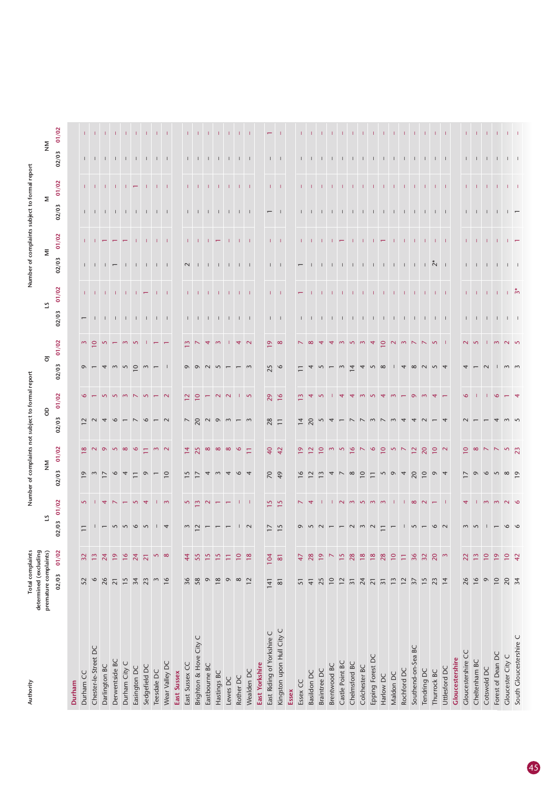| Authority                  | Total complaints<br>determined (excluding |                     |                | Number              |                          | complain                                                                                         |                |                         |                                                                           |                          |                                                                                   |                | Number of compla                                              |              |                                                                               |              |                 |                     |
|----------------------------|-------------------------------------------|---------------------|----------------|---------------------|--------------------------|--------------------------------------------------------------------------------------------------|----------------|-------------------------|---------------------------------------------------------------------------|--------------------------|-----------------------------------------------------------------------------------|----------------|---------------------------------------------------------------|--------------|-------------------------------------------------------------------------------|--------------|-----------------|---------------------|
|                            | premature complaints)                     |                     | 21             |                     |                          | $\mathop{\geq}$                                                                                  | $\theta$       |                         | $\overline{\circ}$                                                        |                          | 51                                                                                |                | $\overline{\Xi}$                                              |              |                                                                               | Σ            | $\mathop{\geq}$ |                     |
|                            | 02/03                                     | 01/02               | 02/03          | 01/02               | 02/03                    | 01/02                                                                                            | 02/03          | 01/02                   | 02/03                                                                     | 01/02                    | 02/03                                                                             | 01/02          | 02/03                                                         | 01/02        | 02/03                                                                         | 01/02        | 02/03           | 01/02               |
| Durham                     |                                           |                     |                |                     |                          |                                                                                                  |                |                         |                                                                           |                          |                                                                                   |                |                                                               |              |                                                                               |              |                 |                     |
| Durham CC                  | 52                                        | 32                  | $\overline{1}$ | $\overline{5}$      | $\overline{0}$           | $\infty$                                                                                         | $\sim$         | $\circ$                 | $\circ$ $-$                                                               | $\sim$                   | $\overline{\phantom{m}}$                                                          |                |                                                               |              |                                                                               |              |                 |                     |
| Chester-le-Street DC       | $\mathsf{\circ}$                          | 13                  |                |                     |                          | $\sim$                                                                                           |                |                         |                                                                           | $\circ$                  | $\mathbf{I}$                                                                      | $1 - 1$        | $1 - 1$                                                       |              |                                                                               | $1 - 1$      | $1 - 1$         | $1 - 1$             |
| Darlington BC              | 26                                        | 24                  |                |                     |                          |                                                                                                  |                |                         | $\overline{4}$                                                            | $\sim$                   |                                                                                   |                | $\overline{\phantom{0}}$                                      |              |                                                                               | $\mathbf{1}$ |                 | -11                 |
| Derwentside BC             | $\overline{21}$                           | $\overline{19}$     |                |                     | $\circ$                  | 0000                                                                                             |                | $\sim$                  |                                                                           |                          |                                                                                   | $1 - 1$        |                                                               |              |                                                                               | $\Box$       |                 |                     |
| Durham City C              | 15                                        | $\frac{6}{ }$       |                |                     |                          |                                                                                                  |                | $\sim$                  |                                                                           | $\sim$                   |                                                                                   |                |                                                               |              |                                                                               |              |                 |                     |
| Easington DC               | 34                                        | 24                  |                | $\overline{5}$      |                          | $\circ$                                                                                          |                |                         |                                                                           | $\mathsf{S}$             |                                                                                   |                |                                                               |              |                                                                               |              |                 |                     |
| Sedgefield DC              | 23                                        | $\overline{21}$     |                | $\overline{4}$      |                          | Ξ                                                                                                |                |                         | $\begin{array}{c} m & m & \square & m \\ m & m & \square & m \end{array}$ |                          | $\begin{array}{cccccccccccccc} 1 & 1 & 1 & 1 & 1 & 1 & 1 & 1 & 1 & 1 \end{array}$ | $\leftarrow$   | $1 - 1$                                                       |              | 1 1 1 1 1 1 1 1 1                                                             | $\mathbf{I}$ | $\Box$          |                     |
| Teesdale DC                | $\sim$                                    |                     |                |                     |                          | $\sim$                                                                                           |                |                         |                                                                           |                          |                                                                                   | $\mathbb T$    | $-1$                                                          |              |                                                                               | -1           | $\Box$          |                     |
| Wear Valley DC             | 16                                        | $\sim$ $\infty$     |                | $\sim$              | $\overline{10}$          | $\sim$                                                                                           |                |                         |                                                                           |                          |                                                                                   | $\blacksquare$ |                                                               | л.           |                                                                               | л.           | $\perp$         |                     |
| East Sussex                |                                           |                     |                |                     |                          |                                                                                                  |                |                         |                                                                           |                          |                                                                                   |                |                                                               |              |                                                                               |              |                 |                     |
| East Sussex CC             | 36                                        | $\overline{4}$      |                |                     | 5                        | $\overline{4}$                                                                                   |                | $\mathbf{r}$            |                                                                           | $\mathbf{\tilde{z}}$     |                                                                                   |                | $\sim$                                                        | $\mathbb{L}$ |                                                                               |              | $\mathbf{L}$    |                     |
| Brighton & Hove City C     | 58                                        | 55                  |                | $527$               |                          | 25                                                                                               | $\frac{20}{3}$ | $\subseteq$             |                                                                           |                          |                                                                                   |                | $\Box$                                                        |              |                                                                               |              |                 |                     |
| Eastbourne BC              | $\circ$                                   | $\frac{5}{15}$      |                |                     |                          |                                                                                                  |                |                         |                                                                           | $\overline{4}$           |                                                                                   |                |                                                               | л.           |                                                                               | <b>T</b>     | $\Phi$          |                     |
| Hastings BC                | $\frac{8}{18}$                            | $\frac{5}{2}$       |                |                     |                          | $\infty$ $\infty$                                                                                | $\sim$ $\sim$  | $\sim$                  |                                                                           |                          |                                                                                   |                | $\mathbf{1}$ $\mathbf{1}$                                     |              |                                                                               |              |                 |                     |
| Lewes DC                   | $\circ$                                   | Ξ                   |                |                     |                          | $\infty$                                                                                         |                | $\sim$                  |                                                                           |                          | $1$ , $1$ , $1$ , $1$ , $1$ , $1$                                                 |                |                                                               |              | $\begin{array}{cccccccccccccc} 1 & 1 & 1 & 1 & 1 & 1 & 1 & 1 & 1 \end{array}$ |              |                 |                     |
| Rother DC                  | $\infty$                                  | $\overline{10}$     |                |                     |                          | $\bullet$                                                                                        |                |                         |                                                                           | 4                        |                                                                                   | <b>T</b>       | $1 - 1 - 1$                                                   | $\mathbf{L}$ |                                                                               | $\mathbf{L}$ | $\mathbf{L}$    | - 11                |
| Wealden DC                 | 12                                        | $\frac{8}{18}$      | $\sim$         | $1 - 1$             |                          | $\equiv$                                                                                         |                | $\overline{5}$          |                                                                           | $\sim$                   |                                                                                   |                |                                                               | $\Box$       |                                                                               | $\Box$       |                 |                     |
| East Yorkshire             |                                           |                     |                |                     |                          |                                                                                                  |                |                         |                                                                           |                          |                                                                                   |                |                                                               |              |                                                                               |              |                 |                     |
| East Riding of Yorkshire C | 141                                       | 104                 | $\overline{1}$ | $\frac{5}{15}$      | $68 - 40$                | $\begin{array}{c} 40 \\ 42 \end{array}$                                                          | 28             | $29$ 16                 | 25                                                                        | $\sim$ $\infty$          | $1 - 1$                                                                           | $1 - 1$        | $1 - 1$                                                       | $1 - 1$      | $-1$                                                                          | $1 - 1$      | $1 - 1$         |                     |
| Kingston upon Hull City C  | $\overline{\otimes}$                      | $\overline{\infty}$ | $\frac{5}{15}$ |                     |                          |                                                                                                  |                |                         |                                                                           |                          |                                                                                   |                |                                                               |              |                                                                               |              |                 |                     |
| Essex                      |                                           |                     |                |                     |                          |                                                                                                  |                |                         |                                                                           |                          |                                                                                   |                |                                                               |              |                                                                               |              |                 |                     |
| Essex CC                   | 51                                        | $\overline{4}$      |                | $\sim$              | $\frac{8}{16}$           | Q                                                                                                | $\overline{4}$ | $\overline{\mathbf{c}}$ |                                                                           | $\overline{\phantom{0}}$ |                                                                                   |                |                                                               | T.           |                                                                               |              | $1 - 1$         |                     |
| Basildon DC                | $\overline{4}$                            | 28                  |                | $\overline{4}$      | $\overline{12}$          | $\tilde{\phantom{a}}$                                                                            | 20             |                         |                                                                           |                          |                                                                                   |                |                                                               |              |                                                                               |              |                 |                     |
| Braintree DC               | 25                                        | $\overline{9}$      |                |                     |                          | $\subseteq$                                                                                      |                |                         |                                                                           | $\overline{4}$           | .                                                                                 |                |                                                               |              | $1 - 1 - 1$                                                                   |              |                 |                     |
| Brentwood BC               | $\overline{10}$                           | $\triangleright$    |                |                     |                          |                                                                                                  |                |                         |                                                                           | $\overline{4}$           |                                                                                   |                |                                                               |              |                                                                               |              |                 |                     |
| Castle Point BC            | $\overline{12}$                           | $\frac{5}{2}$       |                |                     |                          | $\overline{5}$                                                                                   |                |                         | $\sim$                                                                    |                          |                                                                                   |                | $1 - 1$                                                       |              |                                                                               |              |                 |                     |
| Chelmsford BC              | $\overline{31}$                           | 28                  |                |                     | $\infty$                 | $\circ$                                                                                          |                |                         | $\overline{4}$                                                            | $\sim$                   |                                                                                   |                |                                                               |              |                                                                               |              |                 |                     |
| Colchester BC              | 24                                        | $18$                |                | $N$ $m$ $n$ $m$ $m$ | $\overline{10}$          | $\overline{\phantom{0}}$                                                                         |                |                         |                                                                           | $\sim$                   |                                                                                   | <b>T</b>       | $\begin{array}{cccccccccc} 1 & 1 & 1 & 1 & 1 & 1 \end{array}$ |              |                                                                               |              |                 |                     |
| Epping Forest DC           | $\overline{\mathbf{2}}$                   | $\frac{8}{18}$      |                |                     | $\overline{1}$           | $\circ$                                                                                          |                |                         | $4 - 8$                                                                   | $\overline{4}$           |                                                                                   |                |                                                               |              |                                                                               |              | $\mathbf{L}$    | - 11                |
| Harlow DC                  | $\overline{31}$                           | 28                  |                |                     | S                        | $\overline{10}$                                                                                  |                |                         |                                                                           | $0$ $N$ $m$ $N$          |                                                                                   |                |                                                               |              |                                                                               |              |                 |                     |
| Maldon DC                  | $\overline{1}$                            | $\overline{10}$     |                |                     | $\circ$                  | $\mathbf{S}$                                                                                     |                |                         |                                                                           |                          |                                                                                   |                | $1 - 1$                                                       | $\mathbf{L}$ |                                                                               | $\mathbf{L}$ | $\mathbf{I}$    |                     |
| Rochford DC                | $\overline{12}$                           | Ξ                   |                | - 11                | $\overline{4}$           | $\overline{ }$                                                                                   |                |                         | $\overline{4}$                                                            |                          |                                                                                   |                |                                                               |              |                                                                               | - 1          | $\Box$          |                     |
| Southend-on-Sea BC         | $\overline{37}$                           | 36                  |                | $\infty$            | 20                       | 12                                                                                               |                |                         | $\infty$                                                                  |                          |                                                                                   |                | $\pm$                                                         | $\mathbf{I}$ | $\pm$                                                                         |              |                 | -11                 |
| Tendring DC                | 15                                        | 32                  |                | $\sim$ $-$          | $\subseteq$              | 20                                                                                               |                |                         |                                                                           | $\sim$                   |                                                                                   | -11            |                                                               |              |                                                                               | $\mathbf{L}$ |                 |                     |
| Thurrock BC                | 23                                        | 20                  |                |                     |                          | $\overline{10}$                                                                                  |                |                         |                                                                           | $\overline{5}$           |                                                                                   |                | $\frac{1}{2}$ $\frac{1}{2}$                                   | $1 - 1 - 1$  | $-1$ $-1$ $-1$                                                                |              | $1 - 1 - 1$     | $1 - 1 - 1$         |
| Uttlesford DC              | $\overline{14}$                           | $\sim$              |                |                     |                          | $\sim$                                                                                           |                |                         |                                                                           |                          |                                                                                   |                |                                                               |              |                                                                               |              |                 |                     |
| Gloucestershire            |                                           |                     |                |                     |                          |                                                                                                  |                |                         |                                                                           |                          |                                                                                   |                |                                                               |              |                                                                               |              |                 |                     |
| Gloucestershire CC         | 26                                        | 22                  |                |                     | $\overline{\phantom{0}}$ | $\overline{10}$                                                                                  |                |                         |                                                                           | $\sim$                   |                                                                                   |                |                                                               | $1 - 1$      |                                                                               |              |                 |                     |
| Cheltenham BC              | 16                                        | $13\,$              |                |                     | $\circ$                  | $\begin{array}{c c} \infty & \sim & \sim & \infty \\ \hline \sim & \sim & \infty \\ \end{array}$ |                |                         |                                                                           | $\sim$                   | $1 - 1$                                                                           |                | $1 - 1$                                                       |              | $\begin{array}{cccccccccccccc} 1 & 1 & 1 & 1 & 1 & 1 & \end{array}$           |              |                 |                     |
| Cotswold DC                | $\circ$                                   | $\overline{10}$     |                |                     | $\circ$                  |                                                                                                  |                |                         |                                                                           | т.                       |                                                                                   | $1 - 1$        | $-1$ $-1$                                                     | $\mathbf{L}$ |                                                                               | $1 - 1$      |                 |                     |
| Forest of Dean DC          | $\overline{10}$                           | $\overline{19}$     |                |                     |                          |                                                                                                  |                | ۱O                      |                                                                           | $\sim$                   |                                                                                   |                |                                                               |              |                                                                               |              |                 |                     |
| Gloucester City C          | 20                                        | $\overline{10}$     |                | $m \nmid N$ 0       | 500                      |                                                                                                  |                |                         |                                                                           | N <sub>o</sub>           | $\begin{array}{cccccccccc} -1 & -1 & -1 & -1 & -1 \end{array}$                    | $\frac{1}{2}$  | $1 - 1$                                                       |              | $\overline{1}$ $\overline{1}$                                                 | $1 - 1$      |                 | $-1$ $-1$ $-1$ $-1$ |
| South Gloucestershire C    | $\overline{34}$                           | 42                  |                |                     |                          |                                                                                                  |                |                         |                                                                           |                          |                                                                                   |                |                                                               |              |                                                                               |              |                 |                     |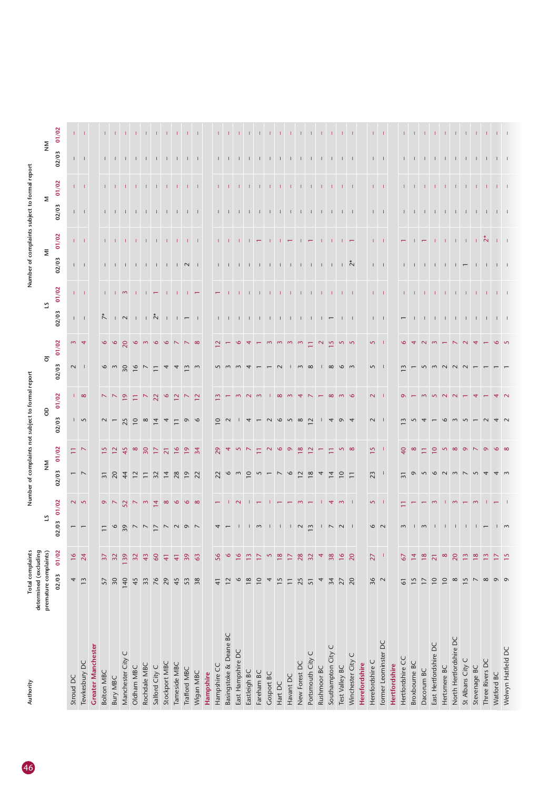| Authority                 | Total complaints<br>determined (excluding |                      |                          |                    |                               |                   | Number of complaints not subject to formal report |                            |                             |                          |                                                                |             |                           |                          | Number of complaints subject to formal report |              |                                                       |                     |
|---------------------------|-------------------------------------------|----------------------|--------------------------|--------------------|-------------------------------|-------------------|---------------------------------------------------|----------------------------|-----------------------------|--------------------------|----------------------------------------------------------------|-------------|---------------------------|--------------------------|-----------------------------------------------|--------------|-------------------------------------------------------|---------------------|
|                           | premature complaints)                     |                      |                          |                    | $\mathsf{\underline{\Sigma}}$ |                   | 8                                                 |                            | $\overline{\circ}$          |                          | 5                                                              |             | $\overline{\Xi}$          |                          | $\mathsf{\Sigma}$                             |              | $\mathop{\geq}_{\mathbf Z}$                           |                     |
|                           | 02/03                                     | 01/02                | 02/03 01/02              |                    | 02/03                         | 01/02             | 02/03                                             | 01/02                      | 02/03                       | 01/02                    | 02/03                                                          | 01/02       | 02/03                     | 01/02                    | 02/03                                         | 01/02        | 02/03                                                 | 01/02               |
| Stroud DC                 | 4                                         | $\frac{91}{2}$       | $\overline{\phantom{0}}$ |                    |                               | $\Xi$             |                                                   |                            |                             |                          |                                                                |             |                           |                          |                                               |              |                                                       |                     |
| Tewkesbury DC             | 13                                        | 24                   | $\overline{ }$           | $\sim$ 5           | $ \sim$                       | $\sim$            | $\sqrt{2}$                                        | $\frac{1}{2}$ $\infty$     | $\frac{1}{2}$               | $m \neq$                 | $1 - 1$                                                        | $1 - 1$     | $1 - 1$                   | $1 - 1$                  | $1 - 1$                                       | $1 - 1$      | $\Gamma = \Gamma$                                     |                     |
| <b>Greater Manchester</b> |                                           |                      |                          |                    |                               |                   |                                                   |                            |                             |                          |                                                                |             |                           |                          |                                               |              |                                                       |                     |
| <b>Bolton MBC</b>         | 57                                        | $\overline{37}$      |                          |                    | $\overline{31}$               |                   | $\sim$                                            | $\sim$                     |                             | $\mathbf{\hat{e}}$       | $\tilde{\wedge}$                                               |             |                           | $\mathbf{L}$             |                                               |              |                                                       |                     |
| <b>Bury MBC</b>           | 30                                        | 32                   | $\circ$                  | $\circ$ $\sim$     | $\overline{c}$                |                   |                                                   |                            | $\frac{6}{3}$               | $\circ$                  | $\sqrt{2}$                                                     |             | $\mathbf{L} = \mathbf{L}$ |                          | $1 - 1$                                       |              |                                                       |                     |
| Manchester City C         | 140                                       | 139                  | 39                       | $52 - 92$          | 44                            | 45                | 25                                                | $\overline{\circ}$         | 50                          | $\infty$                 |                                                                | $\sim$      | $\mathbb{L}$              |                          | $\Box$                                        |              |                                                       |                     |
| Oldham MBC                | 45                                        | 32                   | $\overline{\phantom{0}}$ |                    | 12                            | $\infty$          | 10                                                | Ξ                          | $\frac{6}{2}$               | $\bullet$                | $\mathbf{L}$                                                   |             | $\mathbf{L}$              | $\mathbf{I}$             | $\Box$                                        |              |                                                       |                     |
| Rochdale MBC              | 33                                        | 43                   | $\overline{\phantom{0}}$ |                    | $\overline{-}$                | 30                | $\infty$                                          | $\overline{\phantom{0}}$   | $\sim$                      | $\sim$                   |                                                                |             | $\mathbf{1}$              |                          | $\Box$                                        |              |                                                       |                     |
| Salford City C            | 76                                        | 60                   | $\geq$                   |                    | 32                            | $\overline{17}$   | $\overline{1}$                                    | $\overline{2}$             | $\Xi$                       | $\mathbf{\hat{o}}$       | $\overline{N}$                                                 |             |                           | $\mathbf{L}$             | $\mathbf{1}$                                  |              |                                                       |                     |
| Stockport MBC             | 29                                        | $\overline{+}$       |                          | $\infty$           | $\overline{14}$               | $\overline{21}$   | 4                                                 | $\circ$                    | 4                           | $\circ$                  | $\perp$                                                        |             | $-1$ $-1$                 | $\mathbf{I}$             | $\perp$                                       |              | $\perp$                                               |                     |
| Tameside MBC              | 45                                        | $\frac{4}{3}$        |                          | $\circ$            | 28                            | $\frac{6}{ }$     | $\overline{1}$                                    | $\overline{2}$             | 4                           | $\overline{\phantom{0}}$ |                                                                |             |                           | $\mathbf{L}$             | т.                                            |              | $\mathbb{L}$                                          |                     |
| Trafford MBC              | 53                                        | $\overline{39}$      | $\circ$                  | $\mathbf{\hat{e}}$ | $19$ $22$                     | $\overline{19}$   | $\circ$                                           | $\boldsymbol{\mathrel{N}}$ | $\frac{m}{2}$ $\frac{m}{2}$ | $\mathbb N$              | $\vert \vert$ $\vert$ $\vert$ $\vert$                          |             |                           |                          |                                               | $\mathbf{L}$ |                                                       |                     |
| Wigan MBC                 | 38                                        | 63                   |                          | $\infty$           |                               | 34                | $\circ$                                           | $\overline{\mathbf{C}}$    |                             | $\infty$                 |                                                                |             |                           | $1 - 1$                  | $1 - 1$                                       |              | $1 - 1$                                               |                     |
| Hampshire                 |                                           |                      |                          |                    |                               |                   |                                                   |                            |                             |                          |                                                                |             |                           |                          |                                               |              |                                                       |                     |
| Hampshire CC              | $\frac{4}{1}$                             | 56                   |                          |                    | 22                            | 29                | $\circ$                                           |                            |                             |                          | $\mathbb{L}$                                                   |             |                           | T.                       | $\mathbf{L}$                                  |              | $\mathbf{L}$                                          |                     |
| Basingstoke & Deane BC    | 12                                        | $\bullet$            |                          |                    | $\circ$                       | 4                 |                                                   |                            |                             |                          | $\perp$                                                        |             | $1 - 1$                   | $\Box$                   | $\Box$                                        |              | $\Box$                                                |                     |
| East Hampshire DC         | $\circ$                                   | $\frac{6}{2}$        |                          |                    | $\mathbf{\hat{z}}$            |                   |                                                   |                            |                             | $\circ$                  | $\perp$                                                        |             |                           |                          | $\perp$                                       |              |                                                       |                     |
| Eastleigh BC              | $18$                                      | $\frac{2}{3}$        |                          |                    | $\overline{10}$               |                   |                                                   |                            |                             |                          | $\mathbf{1}$                                                   |             | $\perp$                   |                          | $\perp$                                       |              |                                                       |                     |
| Fareham BC                | $\overline{10}$                           | $\overline{17}$      |                          |                    | 5                             | Ξ                 |                                                   |                            |                             |                          | $\mathbf{I}$                                                   |             | $\Box$                    |                          | $\Box$                                        |              |                                                       |                     |
| Gosport BC                | 4                                         | $\mathcal{L}$        |                          |                    |                               | $\mathbf{\Omega}$ |                                                   |                            |                             | $\sim$                   |                                                                |             |                           |                          |                                               |              |                                                       |                     |
| Hart DC                   | 15                                        | $18$                 |                          |                    |                               | $\infty$          | $\circ$                                           | $\infty$                   |                             | $\sim$                   | 1.1.1.1                                                        | -11         | $1 - 1 - 1$               | л.                       | $1 - 1 - 1$                                   |              | $\perp$                                               | <b>TELESCO</b>      |
| Havant DC                 | $\overline{-}$                            | $\Box$               |                          |                    | 9                             | $\sigma$          | $\sim$                                            |                            |                             | $\sim$                   |                                                                | л.          |                           | $\overline{\phantom{m}}$ |                                               |              | $\Box$                                                |                     |
| New Forest DC             | 25                                        | 28                   | $\sim$                   | $\sim$             | $\approx$                     | $\frac{8}{18}$    | $\infty$                                          | ₹                          | $\sim$                      | $\sim$                   |                                                                |             | $\mathbb{L}$              |                          | $\mathbf{L}$                                  |              |                                                       | -11                 |
| Portsmouth City C         | $\overline{51}$                           | 32                   | $\sim$                   |                    | 18                            | $\tilde{c}$       | $\approx$                                         |                            | $\infty$                    | Ξ                        | $1 - 1$                                                        | $\pm$       | $\Box$                    | $\overline{\phantom{m}}$ | $\Box$                                        | $\mathbf{I}$ | $\perp$                                               | - 11                |
| Rushmoor BC               | $\overline{\phantom{a}}$                  | $\overline{4}$       |                          |                    |                               |                   |                                                   |                            |                             | $\sim$                   | $\overline{1}$ $\overline{1}$                                  | Т.          | $\pm$                     | т.                       | $\Box$                                        |              | $\perp$                                               | $\pm$               |
| Southampton City C        | 34                                        | 38                   |                          | 4                  |                               | Ξ                 |                                                   | $\infty$                   | $\infty$                    | $\overline{2}$           |                                                                |             | $\Box$                    |                          |                                               |              |                                                       |                     |
| Test Valley BC            | 27                                        | $\frac{6}{1}$        |                          | $\sim$             | $\overline{10}$               | $\sqrt{2}$        | $\circ$                                           |                            | $\infty$ m                  | 5                        | $\Box$                                                         | $\mathbb T$ | $\frac{1}{2}$             | $\mathbf{L}$             | $1 \quad 1 \quad 1$                           |              | $\begin{array}{cccccccccc} 1 & 1 & 1 & 1 \end{array}$ | $-1$ $-1$           |
| Winchester City C         | $\overline{20}$                           | 20                   |                          |                    |                               | $\infty$          |                                                   |                            |                             |                          |                                                                |             |                           |                          |                                               |              |                                                       |                     |
| Herefordshire             |                                           |                      |                          |                    |                               |                   |                                                   |                            |                             |                          |                                                                |             |                           |                          |                                               |              |                                                       |                     |
| Herefordshire C           | 36                                        | 27                   | $\circ$ $\sim$           | $\sim$ $\sim$      | 23                            | $\frac{5}{1}$     | $\sim$ $\sqrt{ }$                                 | $\sim$                     | $\sqrt{ }$                  | $\sim$                   | $1 - 1$                                                        | $1 - 1$     | $\Gamma = 1$              | $1 - 1$                  | $1 - 1$                                       | $1 - 1$      | $1 - 1$                                               | $1 - 1$             |
| former Leominster DC      |                                           |                      |                          |                    | $\overline{\phantom{a}}$      |                   |                                                   |                            |                             | $\Box$                   |                                                                |             |                           |                          |                                               |              |                                                       |                     |
| Hertfordshire             |                                           |                      |                          |                    |                               |                   |                                                   |                            |                             |                          |                                                                |             |                           |                          |                                               |              |                                                       |                     |
| Hertfordshire CC          | $\overline{6}$                            | $\frac{2}{\sqrt{2}}$ |                          |                    | $\overline{31}$               | $\overline{40}$   |                                                   |                            | 3                           |                          |                                                                | T.          | $\mathbf{L}$              |                          | $\mathbf{L}$                                  |              |                                                       |                     |
| Broxbourne BC             | 15                                        | $\overline{4}$       |                          |                    | $\circ$                       | $\infty$          |                                                   |                            |                             |                          |                                                                |             |                           |                          | $\perp$                                       |              |                                                       |                     |
| Dacorum BC                | $\overline{1}$                            | $\frac{8}{18}$       |                          |                    |                               | Ξ                 |                                                   |                            | $\sqrt{2}$                  |                          | $\mathbb{L}$                                                   |             | $\mathbf{I}$              |                          | $\mathbf{L}$                                  |              |                                                       |                     |
| East Hertfordshire DC     | $\overline{10}$                           | $\overline{21}$      |                          |                    |                               | $\overline{0}$    |                                                   |                            | $\sim$                      |                          | $\perp$                                                        | -1          | $\perp$                   |                          | $\mathbf{I}$                                  |              |                                                       |                     |
| Hertsmere BC              | $\overline{10}$                           | $\infty$             |                          |                    |                               | $\overline{5}$    |                                                   |                            | $\sim$                      |                          | $\mathbf{I}$                                                   | ÷.          | т.                        | J.                       | $\mathbf{1}$                                  |              | $\Phi$                                                | -11                 |
| North Hertfordshire DC    | $\infty$                                  | $\overline{20}$      |                          | $\sim$             |                               | $\infty$          |                                                   | $\sim$                     | $\sim$                      |                          |                                                                |             | $\perp$                   | ÷.                       | $\mathbf{L}$                                  |              |                                                       |                     |
| St Albans City C          | $\frac{5}{1}$                             | $\frac{3}{2}$        |                          |                    |                               | $\sigma$          |                                                   |                            | $\sim$                      |                          | $\begin{array}{cccccccccc} -1 & -1 & -1 & -1 & -1 \end{array}$ |             |                           |                          | $\mathbf{L}$                                  |              |                                                       | <b>CONTRACTOR</b>   |
| Stevenage BC              | $\overline{\phantom{a}}$                  | $\frac{8}{18}$       |                          | $\sim$             |                               |                   |                                                   |                            |                             |                          |                                                                |             |                           | $\frac{1}{2}$            | $\mathbf{1}$ $\mathbf{1}$                     |              | $\Box$                                                |                     |
| Three Rivers DC           | $\infty$                                  | $\frac{1}{2}$        |                          |                    |                               | $\sigma$          |                                                   |                            |                             |                          |                                                                |             | $\Box$                    |                          |                                               |              | - 11                                                  |                     |
| Watford BC                | $\circ$                                   | $\overline{1}$       |                          |                    |                               | $\infty$          | 4                                                 |                            |                             | $\circ$                  | $1 - 1$                                                        | $1 - 1$     | $1 - 1$                   | $1 - 1$                  | $1 - 1$                                       |              |                                                       | $-1$ $-1$ $-1$ $-1$ |
| Welwyn Hatfield DC        | $\circ$                                   | 15                   |                          |                    |                               | $\infty$          |                                                   |                            |                             |                          |                                                                |             |                           |                          |                                               |              |                                                       |                     |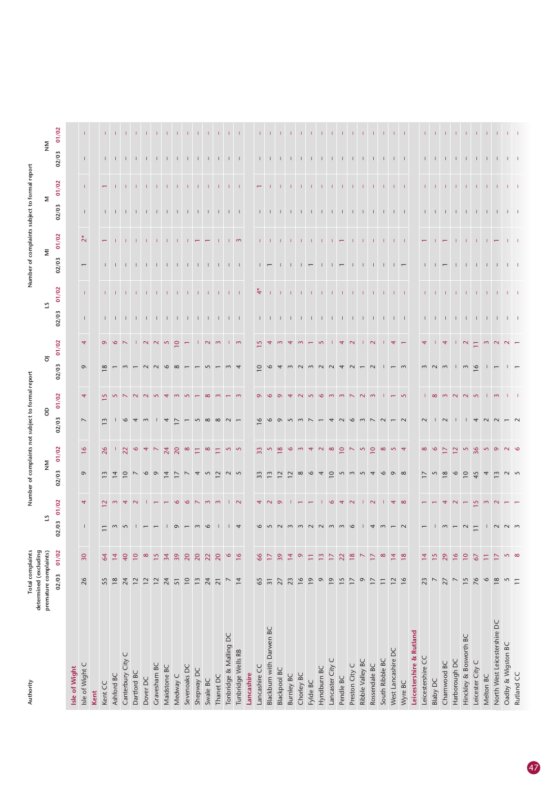| Authority                    | Total complaints<br>determined (excluding |                            |              |                |                                         |                          | Number of complaints not subject to formal report |                |                |                          |                                                                       |                     |                               |                      |                                                                   | Number of complaints subject to formal report |                              |             |
|------------------------------|-------------------------------------------|----------------------------|--------------|----------------|-----------------------------------------|--------------------------|---------------------------------------------------|----------------|----------------|--------------------------|-----------------------------------------------------------------------|---------------------|-------------------------------|----------------------|-------------------------------------------------------------------|-----------------------------------------------|------------------------------|-------------|
|                              | premature complaints)                     |                            |              |                | $\mathop{\geqq}\limits_{\mathop{\sum}}$ |                          | $\theta$                                          |                | $\overline{0}$ |                          | $\mathbf{S}$                                                          |                     | $\overline{\Xi}$              |                      | Σ                                                                 |                                               | $\mathop{\geq}_{\mathbf{Z}}$ |             |
|                              | 02/03                                     | 01/02                      | 02/03        | 01/02          | 02/03                                   | 01/02                    | 02/03                                             | 01/02          | 02/03          | 01/02                    | 02/03                                                                 | 01/02               | 02/03                         | 01/02                | 02/03                                                             | 01/02                                         | 02/03                        | 01/02       |
| Isle of Wight                |                                           |                            |              |                |                                         |                          |                                                   |                |                |                          |                                                                       |                     |                               |                      |                                                                   |                                               |                              |             |
| Isle of Wight C              | 26                                        | $\overline{30}$            | $\mathsf{L}$ | $\overline{4}$ | $\circ$                                 | $\frac{6}{2}$            | $\overline{\phantom{a}}$                          | $\overline{4}$ | $\circ$        | $\overline{4}$           | $\mathbb{L}$                                                          | $\mathbf{I}$        | $\overline{\phantom{m}}$      | $\stackrel{*}{\sim}$ | $\mathbf{I}$                                                      | $\mathbb T$                                   | $\mathbb{L}$                 | $\Gamma$    |
| Kent                         |                                           |                            |              |                |                                         |                          |                                                   |                |                |                          |                                                                       |                     |                               |                      |                                                                   |                                               |                              |             |
| Kent CC                      | 55                                        | 64                         |              | $\sim$         | $\sim$                                  | 26                       | $\sim$                                            |                | $\infty$       | $\sigma$                 |                                                                       | $1 - 1$             |                               |                      |                                                                   |                                               |                              |             |
| Ashford BC                   | 18                                        | $\overline{4}$             |              | $\sim$         |                                         |                          |                                                   |                |                | $\infty$                 |                                                                       |                     |                               |                      | $1 - 1$                                                           |                                               |                              |             |
| Canterbury City C            | 24                                        | 40                         |              | ₹              | $\subseteq$                             | $\overline{2}$           |                                                   |                |                |                          |                                                                       |                     |                               |                      |                                                                   |                                               | $1 - 1 - 1$                  |             |
| Dartford BC                  | $\overline{12}$                           | $\overline{10}$            |              |                |                                         |                          |                                                   |                |                |                          |                                                                       |                     |                               |                      |                                                                   |                                               |                              |             |
| Dover DC                     | 12                                        | $\infty$                   |              |                | $\infty$                                |                          |                                                   |                |                |                          |                                                                       | $1 - 1$             |                               |                      |                                                                   | $1 - 1 - 1$                                   | $\mathbf{1}$ $\mathbf{1}$    |             |
| Gravesham BC                 | 12                                        | $\frac{5}{2}$              |              |                | $\circ$                                 |                          |                                                   |                |                | $\sim$                   |                                                                       | $\pm 1$             |                               |                      |                                                                   |                                               | $\mathbf{1}$                 |             |
| Maidstone BC                 | 24                                        | 34                         |              |                | $\overline{4}$                          | 24                       | 4                                                 |                | $\circ$        | $\mathsf{S}$             | 1 1 1 1 1 1 1 1 1 1                                                   | $\Gamma$            | 1 1 1 1 1 1 1 1 1 1           |                      |                                                                   | $\Gamma$                                      | $\Box$                       | -11         |
| Medway C                     | 51                                        | 39                         |              | $\circ$        | $\overline{1}$                          | 20                       | $\overline{\phantom{0}}$                          |                | $\infty$       | $\subseteq$              |                                                                       | $\pm$               |                               |                      | $-1$ $-1$ $-1$                                                    | -11                                           | $\Box$                       |             |
| Sevenoaks DC                 | $\overline{10}$                           | $\overline{20}$            |              | $\circ$        | $\overline{\phantom{0}}$                | $\infty$                 |                                                   |                |                | $\overline{\phantom{0}}$ |                                                                       | $\mathbf{I}$        |                               |                      |                                                                   | - 11                                          |                              |             |
| Shepway DC                   | 13                                        | $\overline{20}$            |              |                | 4                                       | Ξ                        |                                                   |                |                |                          |                                                                       |                     | $\mathbf{1}$ .                |                      | $\mathbf{I}$                                                      | $\mathbf{L}$                                  | $\mathbf{I}$                 |             |
| Swale BC                     | 24                                        | 22                         |              |                |                                         | $\infty$                 |                                                   |                |                | N <sub>m</sub>           |                                                                       | $\mathbf{I}$        | $-1$ $-1$                     |                      |                                                                   |                                               |                              |             |
| Thanet DC                    | $\overline{21}$                           | $\overline{20}$            |              |                | $\sim$                                  |                          |                                                   |                |                |                          |                                                                       | $\mathbf{I}$        |                               |                      | $\mathbf{1}$ $\mathbf{1}$                                         | $1 - 1$                                       | $\mathbf{1}$ $\mathbf{1}$    |             |
| Tonbridge & Malling DC       | $\overline{\phantom{0}}$                  | $\bullet$                  |              |                |                                         |                          |                                                   |                |                |                          | $\begin{array}{cccccccccccccc} 1 & 1 & 1 & 1 & 1 & 1 & 1 \end{array}$ | $\mathbf{L}$        |                               |                      |                                                                   |                                               |                              |             |
| Tunbridge Wells RB           | $\overline{14}$                           | 16                         |              | $\sim$         |                                         |                          |                                                   |                |                | $\sqrt{2}$               |                                                                       | $\Box$              | $1 - 1$                       | $\sim$               | $1 - 1$                                                           | $1 - 1$                                       | $\Box$                       |             |
| Lancashire                   |                                           |                            |              |                |                                         |                          |                                                   |                |                |                          |                                                                       |                     |                               |                      |                                                                   |                                               |                              |             |
| Lancashire CC                | 65                                        | 66                         |              |                | 33                                      | $\overline{33}$          |                                                   |                |                |                          |                                                                       | $\overset{*}{\div}$ |                               |                      |                                                                   |                                               | $\mathbf{L}$                 |             |
| Blackburn with Darwen BC     | $\overline{31}$                           | $\overline{17}$            |              |                |                                         |                          |                                                   |                |                |                          |                                                                       | $\mathbf{L}$        | $\overline{1}$ $\overline{1}$ |                      | $1 - 1$                                                           | $\pm 1$                                       |                              |             |
| Blackpool BC                 | 27                                        | 39                         |              |                |                                         | $\infty$                 |                                                   |                |                |                          |                                                                       |                     | $\Box$                        |                      | $\Box$                                                            |                                               | $\mathbf{1}$ $\mathbf{1}$    |             |
| <b>Burnley BC</b>            | 23                                        | $\overline{4}$             |              |                |                                         | $\circ$                  |                                                   |                | $\sim$         |                          |                                                                       |                     | $\perp$                       |                      | $\Box$                                                            |                                               | $\mathbf{L}$                 |             |
| Chorley BC                   | $\frac{6}{ }$                             | $\circ$                    |              |                | $\infty$                                |                          |                                                   |                | $\sim$         |                          |                                                                       |                     |                               | $\mathbf{L}$         |                                                                   |                                               |                              |             |
| Fylde BC                     | $\overline{19}$                           | $\overline{\Box}$          |              |                | $\circ$                                 | 4                        |                                                   |                | $\sim$         |                          |                                                                       | $\pm$               | $\overline{1}$ $\overline{1}$ | $\mathbf{1}$         | $1 - 1 - 1$                                                       | $\pm 1$                                       | $-1$ $-1$ $-1$               |             |
| Hyndburn BC                  | $\circ$                                   | $\frac{1}{2}$              |              |                |                                         | $\sim$                   |                                                   |                | $\sim$         | $\sqrt{2}$               |                                                                       |                     | $\Box$                        |                      |                                                                   |                                               |                              |             |
| Lancaster City C             | $\overline{19}$                           | $\overline{17}$            |              | $\circ$        | $\overline{10}$                         | $\infty$                 |                                                   |                | $\sim$         |                          |                                                                       |                     | $\mathbf{L}$                  |                      |                                                                   | $\mathbf{1}$                                  |                              |             |
| Pendle BC                    | 15                                        | 22                         |              | ᢦ              | $\sim$                                  | $\subseteq$              |                                                   |                | $\overline{4}$ | 4                        |                                                                       | $1 - 1 - 1$         | $\overline{\phantom{m}}$      | $\leftarrow$         | $1$ 1 1 1 1 1 1                                                   | $-1$ $-1$                                     | $1 - 1 - 1$                  |             |
| Preston City C               | $\overline{1}$                            | $\frac{8}{18}$             |              | $\sim$         | $\sim$                                  | $\overline{\phantom{0}}$ |                                                   |                | $\sim$         | $\sim$                   |                                                                       |                     | $\Box$                        | $\mathbf{I}$         |                                                                   |                                               |                              | $\Box$      |
| Ribble Valley BC             | $\circ$                                   | $\boldsymbol{\mathrel{N}}$ |              |                |                                         | $\overline{5}$           |                                                   |                |                |                          |                                                                       | $\pm$               | $\mathbf{1}$                  |                      |                                                                   | $\pm 1$                                       | $\Box$                       |             |
| Rossendale BC                | $\overline{1}$                            | $\overline{17}$            |              | $\sim$         |                                         | $\overline{10}$          |                                                   |                |                | $\sim$                   |                                                                       |                     |                               |                      |                                                                   | $-1$ $-1$                                     |                              |             |
| South Ribble BC              | $\overline{1}$                            | $\infty$                   |              |                |                                         | $\infty$                 |                                                   |                |                |                          |                                                                       | $-1$ $-1$           | $\mathbf{1}$ $\mathbf{1}$     |                      |                                                                   |                                               | $\mathbf{1}$ $\mathbf{1}$    |             |
| West Lancashire DC           | $\overline{12}$                           | $\overline{4}$             |              | $\overline{4}$ |                                         |                          |                                                   |                |                |                          |                                                                       |                     | $\overline{1}$ $\overline{1}$ |                      | $1 - 1$                                                           |                                               | $\Box$                       |             |
| Wyre BC                      | 16                                        | $\frac{8}{18}$             |              |                |                                         |                          |                                                   |                |                |                          |                                                                       |                     |                               | $1 - 1$              |                                                                   |                                               |                              |             |
| Leicestershire & Rutland     |                                           |                            |              |                |                                         |                          |                                                   |                |                |                          |                                                                       |                     |                               |                      |                                                                   |                                               |                              |             |
| Leicestershire CC            | 23                                        | $\overline{4}$             |              |                |                                         | $\infty$                 |                                                   |                | $\sim$         |                          |                                                                       |                     | $\mathbf{L}$                  |                      |                                                                   | $\mathbf{L}$                                  |                              |             |
| <b>Blaby DC</b>              | $\overline{\phantom{a}}$                  | $\frac{5}{1}$              |              |                |                                         |                          |                                                   |                | $\sim$         |                          | $1 - 1$                                                               |                     |                               |                      | $\begin{array}{cccccccccccccc} 1 & 1 & 1 & 1 & 1 & 1 \end{array}$ |                                               | $1 - 1$                      |             |
| Charnwood BC                 | 27                                        | 29                         |              |                | $\infty$                                | $\geq$                   |                                                   |                | $\sim$         | 4                        | $\pm$                                                                 | $\mathbf{L}$        | $\overline{1}$ $\overline{1}$ |                      |                                                                   | $\pm 1$                                       | $\Box$                       |             |
| Harborough DC                | $\overline{\phantom{0}}$                  | $\frac{6}{2}$              |              |                | $\circ$                                 | $\approx$                |                                                   |                |                |                          | $\Box$                                                                |                     |                               |                      |                                                                   |                                               |                              |             |
| Hinckley & Bosworth BC       | $\frac{5}{2}$                             | $\overline{10}$            |              |                | $\overline{10}$                         | $\mathsf{S}$             |                                                   | $\sim$         | $\sqrt{2}$     | $\mathbf{\Omega}$        |                                                                       |                     | $\mathbf{I}$                  |                      |                                                                   |                                               |                              |             |
| Leicester City C             | 76                                        | 67                         |              | $\sim$         | 45                                      | 36                       |                                                   | $\sqrt{2}$     | $\frac{9}{2}$  | Ξ                        |                                                                       | $1 - 1 - 1$         |                               |                      | $1 - 1 - 1$                                                       | $1 - 1 - 1$                                   | $1 - 1 - 1$                  | $1 - 1 - 1$ |
| Melton BC                    | $\circ$                                   | $\overline{\Box}$          |              | $\sim$         |                                         | $\mathsf{S}$             |                                                   |                |                | $\mathbf{\infty}$        |                                                                       |                     | $-1$ $-1$                     |                      |                                                                   |                                               |                              |             |
| North West Leicestershire DC | 18                                        | 17                         |              |                |                                         | $\circ$                  |                                                   | $\sim$         |                | $\sim$                   |                                                                       |                     |                               |                      |                                                                   |                                               | $\Box$                       |             |
| Oadby & Wigston BC           | $\mathsf{S}$                              | $\mathbf{\Omega}$          |              |                |                                         |                          |                                                   | $\mathbf{1}$   |                |                          | $1$ 1 1 1 1 1 1                                                       | $1 - 1 - 1$         | $\Box$ $\Box$                 |                      | $1$ $1$ $1$                                                       | $1 - 1 - 1$                                   | $1 \quad 1$                  | $1 - 1 - 1$ |
| Rutland CC                   | $\overline{1}$                            | $\infty$                   |              |                |                                         |                          |                                                   |                |                |                          |                                                                       |                     |                               |                      |                                                                   |                                               |                              |             |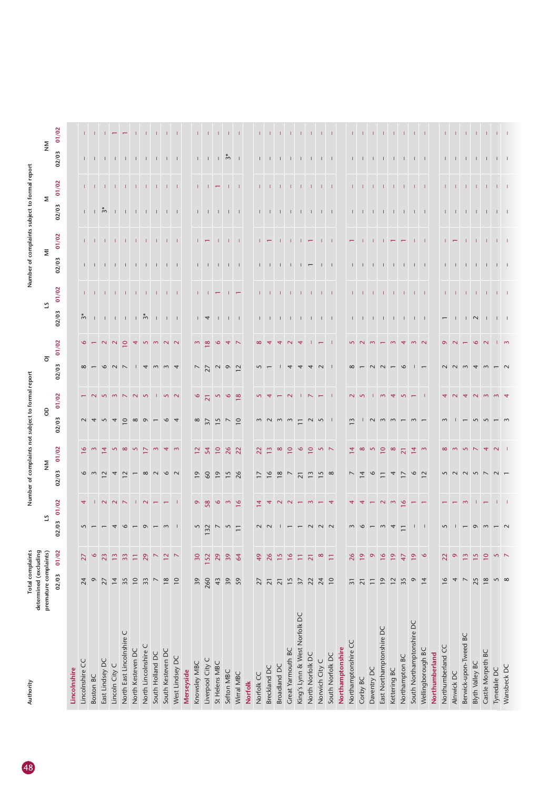| Authority                     | determined (excluding    | Total complaints                          |                                         |                                  | Number of complain       |                   |                       | to form            |                          |                |                                         |                | Number of complai             |                                                |                         |                   |                                              |                             |
|-------------------------------|--------------------------|-------------------------------------------|-----------------------------------------|----------------------------------|--------------------------|-------------------|-----------------------|--------------------|--------------------------|----------------|-----------------------------------------|----------------|-------------------------------|------------------------------------------------|-------------------------|-------------------|----------------------------------------------|-----------------------------|
|                               | premature complaints)    |                                           | 21                                      |                                  | $\mathop{\geq}$          |                   | $\mathsf{S}$          |                    | $\overline{\circ}$       |                | 51                                      |                |                               | $\overline{\Xi}$                               |                         | $\mathsf{\Sigma}$ | $\mathop{\geq}\limits_{\mathop{\mathsf{Z}}}$ |                             |
|                               | 02/03                    | 01/02                                     | 02/03                                   | 01/02                            | 02/03                    | 01/02             | 02/03                 | 01/02              | 02/03                    | 01/02          | 02/03                                   | 01/02          | 02/03                         | 01/02                                          | 02/03                   | 01/02             | 02/03                                        | 01/02                       |
| Lincolnshire                  |                          |                                           |                                         |                                  |                          |                   |                       |                    |                          |                |                                         |                |                               |                                                |                         |                   |                                              |                             |
| Lincolnshire CC               | 24                       | 27                                        | $\overline{\mathsf{S}}$                 | $\overline{4}$                   |                          | $\circ$           | $\sim$ 4              |                    | $\infty$ -               | $\circ$        | $\tilde{\gamma}^*$                      |                |                               | $\mathbf{L}$                                   |                         |                   |                                              |                             |
| Boston BC                     | $\circ$                  | $\circ$                                   |                                         |                                  | $\frac{6}{3}$            |                   |                       |                    |                          |                |                                         | $1 - 1$        | $1 - 1$                       |                                                | $1 + \overset{*}{\sim}$ | $1 - 1$           | $1 - 1$                                      |                             |
| East Lindsey DC               | 27                       | 23                                        |                                         | $\sim$                           | $\sim$                   | $\overline{4}$    | $\overline{5}$        |                    | $\circ$                  | $\sim$         |                                         | $\mathbf{1}$   |                               | $\mathbf{L}$                                   |                         | $\mathbf{I}$      | $\mathbf{I}$                                 |                             |
| Lincoln City C                | $\overline{14}$          | $\frac{2}{3}$                             |                                         | $\begin{array}{c} 2 \end{array}$ | $\overline{4}$           | $\sim$            | $\overline{4}$        |                    | $\sim$                   | $\sim$         |                                         | - 11           | $\mathbf{1}$ $\mathbf{1}$     | - 11                                           |                         | - 11              | $\Box$                                       |                             |
| North East Lincolnshire C     | 35                       | $\overline{33}$                           |                                         |                                  | $\sim$                   | $\infty$          |                       |                    | $\overline{\phantom{0}}$ | $\subseteq$    | $11111$ $\frac{1}{2}$                   |                |                               |                                                |                         |                   |                                              |                             |
| North Kesteven DC             | $\overline{10}$          | $\overleftarrow{\phantom{a}}$             |                                         | $\mathbf{L}$                     |                          | $\sim$            | $\circ$ $\infty$      |                    | $\mathbf{1}$             | $\overline{4}$ |                                         |                |                               |                                                |                         | $1 - 1$           |                                              |                             |
| North Lincolnshire C          | 33                       | 29                                        |                                         | $\sim$                           | $\infty$                 | $\triangleright$  | $\circ$               |                    | $\overline{4}$           |                |                                         | $1 - 1 - 1$    |                               | $\mathbf{1}$ and $\mathbf{1}$ and $\mathbf{1}$ |                         | $\mathbf{L}$      | $1 - 1 - 1$                                  |                             |
| South Holland DC              | $\blacktriangledown$     | $\overline{\phantom{0}}$                  |                                         |                                  |                          | $\sim$            |                       |                    | $\sim$                   | 5 <sub>m</sub> |                                         | $\mathbf{L}$   |                               |                                                |                         | $\mathbf{L}$      |                                              |                             |
| South Kesteven DC             | 18                       | $\mathrel{\mathop:}^{\mathrel{\mathop:}}$ |                                         |                                  |                          | $\overline{4}$    |                       | $\overline{5}$     | $\sim$                   | $\sim$         | $1 - 1 - 1$                             | $\pm 1$        |                               | $1 - 1 - 1$                                    |                         | $\pm$             | $\Box$                                       |                             |
| West Lindsey DC               | $\overline{10}$          | $\triangleright$                          |                                         | л.                               |                          |                   |                       | $\sim$             | $\overline{4}$           | $\sim$         |                                         | $\mathbf{I}$   |                               |                                                |                         | ÷.                | $\perp$                                      |                             |
| Merseyside                    |                          |                                           |                                         |                                  |                          |                   |                       |                    |                          |                |                                         |                |                               |                                                |                         |                   |                                              |                             |
| Knowsley MBC                  | 39                       | 30                                        |                                         | $\bullet$                        | $\overline{0}$           | $12\,$            | $\infty$              | 9                  |                          | $\sim$         |                                         |                |                               |                                                |                         |                   |                                              |                             |
| Liverpool City C              | 260                      | 152                                       | $\begin{array}{c} 5 \\ 132 \end{array}$ | 58                               | $60$                     | 54                | $\overline{37}$       | $\overline{21}$    | $\frac{7}{27}$           | $\overline{8}$ | $\frac{1}{4}$                           | $1 - 1$        | $\Gamma = \Gamma = \Gamma$    | $\overline{\phantom{m}}$                       |                         | -11               | $L = L$                                      |                             |
| St Helens MBC                 | 43                       | 29                                        | $\overline{\phantom{0}}$                | $\mathbf{\hat{o}}$               | $\overline{0}$           | $\overline{10}$   |                       | $\mathbf{\hat{S}}$ |                          | $\mathsf 9$    | $\Box$                                  |                |                               | $\pm$                                          | $1 - 1 - 1$             |                   |                                              |                             |
| Sefton MBC                    | 39                       | 39                                        | $5 \n\overline{1}$                      | $m$ $\overline{6}$               | $15$<br>26               | 26                | $15$ 7 0              | $\mathsf 6$        | 202                      |                |                                         |                |                               |                                                |                         |                   | $\frac{1}{2}$ $\frac{1}{2}$                  |                             |
| Wirral MBC                    | 59                       | 64                                        |                                         |                                  |                          | $\overline{2}$    |                       | $\infty$           |                          | 4 <sub>2</sub> | $1 - 1$                                 | $\mathbb{R}^n$ | $1 - 1$                       | $1 - 1$                                        | $\Box$                  | $1 - 1$           |                                              | $-1$                        |
| <b>Norfolk</b>                |                          |                                           |                                         |                                  |                          |                   |                       |                    |                          |                |                                         |                |                               |                                                |                         |                   |                                              |                             |
| Norfolk CC                    | 27                       | 49                                        | $\sim$                                  | 4                                | $\overline{\phantom{0}}$ | 22                |                       |                    |                          | $\infty$       |                                         |                |                               |                                                |                         |                   |                                              |                             |
| Breckland DC                  | $\overline{\mathbf{2}}$  | 26                                        |                                         |                                  | $\frac{6}{ }$            | $\tilde{1}$       | $m \nightharpoonup m$ |                    |                          |                | $1 - 1$                                 |                | $1 - 1$                       | $\mathbb{R}^n$                                 | $1 - 1$                 | $1 - 1$           | $\mathbf{1}$                                 |                             |
| Broadland DC                  | $\overline{21}$          | $\frac{5}{2}$                             |                                         | $\sim$                           | 18                       | $\infty$          |                       |                    |                          | 4              |                                         | т.             |                               | $\mathbf{L}$                                   |                         | $\mathbf{L}$      | $\perp$                                      |                             |
| Great Yarmouth BC             | 15                       | $\frac{8}{1}$                             |                                         | $\sim$                           | $\overline{\phantom{0}}$ | $\overline{10}$   | $\sim$                |                    | 4                        | $\sim$         |                                         |                | $-1$ $-1$                     | Т.                                             | 111111111111            | т.                | $\perp$                                      |                             |
| King's Lynn & West Norfolk DC | $\overline{37}$          | Ξ                                         |                                         |                                  | $\overline{21}$          | $\circ$           | $\Xi$                 |                    | 4                        | 4              |                                         |                | $\overline{1}$ $\overline{1}$ | $\pm$                                          |                         | л.                | $\perp$                                      | $\pm 1$                     |
| North Norfolk DC              | 22                       | $\overline{21}$                           |                                         | $\sim$                           | $\frac{3}{2}$            | $\overline{10}$   | $\sim$                |                    | $\overline{4}$           |                |                                         | $\mathbf{L}$   |                               | $\overline{\phantom{m}}$                       |                         |                   | $\mathbf{1}$                                 | $\pm$                       |
| Norwich City C                | 24                       | $\infty$                                  |                                         |                                  | 15                       | 52                | $\overline{5}$        |                    | $\sim$                   | $\leftarrow$   |                                         | - 11           | $\Box$                        | $\mathbf{L}$                                   |                         | $1 - 1 - 1$       | $\Box$                                       | - 11                        |
| South Norfolk DC              | $\overline{10}$          | Ξ                                         |                                         |                                  | $\infty$                 |                   |                       |                    |                          |                |                                         |                |                               | - 11                                           |                         |                   |                                              |                             |
| Northamptonshire              |                          |                                           |                                         |                                  |                          |                   |                       |                    |                          |                |                                         |                |                               |                                                |                         |                   |                                              |                             |
| Northamptonshire CC           | $\overline{31}$          | 26                                        |                                         |                                  |                          | $\overline{4}$    | 3                     |                    | $\infty$                 | $\sim$         |                                         | T.             |                               | $\overline{\phantom{0}}$                       |                         | T.                | $\mathbf{L}$                                 |                             |
| Corby BC                      | $\overline{2}1$          | $\overline{19}$                           |                                         |                                  | $\overline{4}$           | $\infty$          |                       |                    |                          |                |                                         |                |                               |                                                |                         |                   |                                              |                             |
| Daventry DC                   | $\equiv$                 | $\circ$                                   |                                         |                                  | $\circ$                  | $\sim$            | $\sim$                |                    |                          | $\sim$         |                                         | $\pm 1$        |                               | $\blacksquare$                                 |                         | - 11              | $\Box$                                       | -11                         |
| East Northamptonshire DC      | $\overline{19}$          | $\frac{8}{16}$                            |                                         | $\sim$                           |                          | $\overline{10}$   | $\sim$                | $\sim$             |                          |                |                                         | $-1$ $-1$      |                               |                                                |                         | -11               | $\Box$                                       |                             |
| Kettering BC                  | $\overline{12}$          | $\overline{e}$                            |                                         | $\sim$                           | 4                        | $\infty$          |                       | $\overline{ }$     |                          | $\sim$         | $1$ , $1$ , $1$ , $1$ , $1$ , $1$ , $1$ |                | 1 1 1 1 1 1 1 1               |                                                | 1 1 1 1 1 1 1 1         |                   |                                              | <b>THE REPORT OF A REAL</b> |
| Northampton BC                | 35                       | 47                                        |                                         | $\frac{6}{ }$                    | $\geq$                   | $\overline{21}$   |                       |                    |                          |                |                                         | $\mathbf{1}$   |                               |                                                |                         |                   | $\perp$                                      |                             |
| South Northamptonshire DC     | $\frac{6}{4}$            | $\frac{9}{6}$                             |                                         |                                  | $\frac{6}{2}$            | $\frac{4}{4}$ m   |                       |                    |                          | m <sub>2</sub> |                                         | $-1$           |                               | $1 - 1$                                        |                         | $1 - 1 - 1$       | $\perp$ $\perp$                              |                             |
| Wellingborough BC             |                          |                                           |                                         |                                  |                          |                   |                       |                    |                          |                |                                         |                |                               |                                                |                         |                   |                                              |                             |
| Northumberland                |                          |                                           |                                         |                                  |                          |                   |                       |                    |                          |                |                                         |                |                               |                                                |                         |                   |                                              |                             |
| Northumberland CC             | $\overline{16}$          | 22                                        | $\sqrt{2}$                              |                                  |                          | $\infty$          |                       |                    |                          | $\sigma$       |                                         |                |                               | T.                                             |                         |                   | $\mathbf{L}$                                 | $\mathbf{L}$                |
| Alnwick DC                    | 4                        | $\circ$                                   |                                         |                                  |                          |                   |                       |                    |                          |                |                                         | $1 - 1$        | $1 - 1$                       | $\overline{ }$                                 |                         | $1 - 1$           | $\Box$                                       | $\pm$                       |
| Berwick-upon-Tweed BC         | $\overline{\phantom{0}}$ | $\Xi$                                     |                                         |                                  |                          | $\sim$            |                       |                    |                          |                |                                         |                |                               |                                                | 1 1 1 1 1 1 1           |                   |                                              |                             |
| <b>Blyth Valley BC</b>        | 25                       | 15                                        |                                         |                                  |                          |                   |                       |                    | $\overline{4}$           | $\circ$        | $\sqrt{2}$                              | $1 - 1$        |                               | $1 - 1$                                        |                         | $1 - 1$           | $\mathbf{1}$ $\mathbf{1}$                    |                             |
| Castle Morpeth BC             | $18$                     | $\overline{10}$                           |                                         |                                  |                          | 4                 |                       |                    |                          | $\sim$         |                                         | $\mathbf{L}$   |                               | -11                                            |                         |                   |                                              | <b>TELEVISION</b>           |
| Tynedale DC                   | 50                       | $5 - 5$                                   |                                         |                                  |                          | $\mathbf{\Omega}$ |                       |                    |                          |                | $1$ $1$                                 |                |                               | $1 - 1$                                        |                         |                   |                                              |                             |
| Wansbeck DC                   |                          |                                           |                                         |                                  |                          |                   |                       |                    |                          | $\mathsf{I}$ m |                                         | $1 - 1$        |                               |                                                |                         | $1 - 1$           |                                              |                             |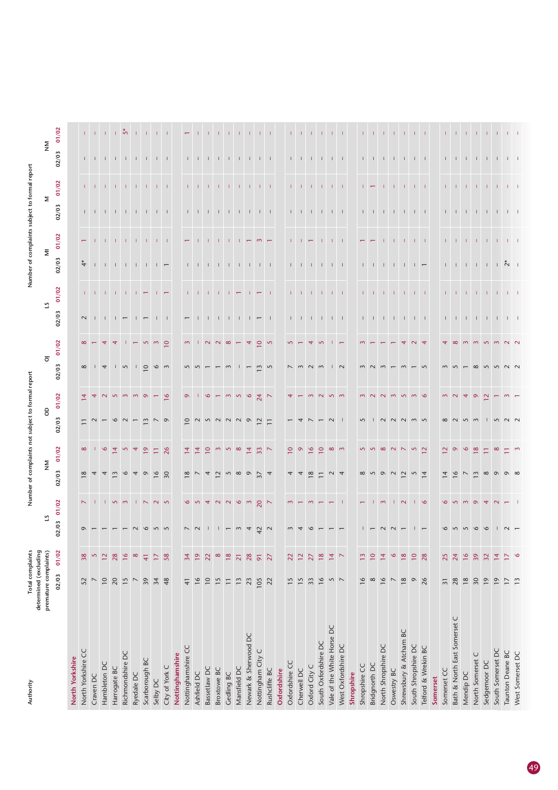| Authority                    | Total complaints<br>determined (excluding |                         |                             |                 | Number of complaints          |                         |                |                                                                       |                          |                    |                                                                               |                                    | Number of complaint                                                           |              |                                                                                   | to formal                              |                                                               |                                                                                       |
|------------------------------|-------------------------------------------|-------------------------|-----------------------------|-----------------|-------------------------------|-------------------------|----------------|-----------------------------------------------------------------------|--------------------------|--------------------|-------------------------------------------------------------------------------|------------------------------------|-------------------------------------------------------------------------------|--------------|-----------------------------------------------------------------------------------|----------------------------------------|---------------------------------------------------------------|---------------------------------------------------------------------------------------|
|                              | premature complaints)                     |                         |                             | 5               | $\mathsf{\underline{\Sigma}}$ |                         | $\theta$       |                                                                       | $\overline{\circ}$       |                    | 51                                                                            |                                    | $\overline{\Xi}$                                                              |              |                                                                                   | Σ                                      | $\mathop{\geq}_{\mathbf Z}$                                   |                                                                                       |
|                              | 02/03                                     | 01/02                   | 02/03                       | 01/02           | 02/03                         | 01/02                   | 02/03          | 01/02                                                                 | 02/03                    | 01/02              | 02/03                                                                         | 01/02                              | 02/03                                                                         | 01/02        | 02/03                                                                             | 01/02                                  | 02/03                                                         | 01/02                                                                                 |
| North Yorkshire              |                                           |                         |                             |                 |                               |                         |                |                                                                       |                          |                    |                                                                               |                                    |                                                                               |              |                                                                                   |                                        |                                                               |                                                                                       |
| North Yorkshire CC           | 52                                        | 38                      | $\circ$                     | $\sim$          | 18                            | $\infty$                | $\equiv$       | $\overline{4}$                                                        | $\infty$                 | $\infty$           | $\sim$                                                                        |                                    |                                                                               | $\leftarrow$ |                                                                                   |                                        |                                                               |                                                                                       |
| Craven DC                    | $\overline{\phantom{0}}$                  | $\overline{\mathbf{S}}$ |                             |                 |                               |                         |                |                                                                       | $\frac{1}{4}$            |                    |                                                                               |                                    |                                                                               |              |                                                                                   | $1 - 1$                                | $1$ , $1$ , $1$ , $\,1$ ,                                     |                                                                                       |
| Hambleton DC                 | $\overline{10}$                           | $12\,$                  |                             |                 |                               | $\circ$                 |                |                                                                       |                          | $\overline{4}$     |                                                                               | The Theory (1991)                  |                                                                               |              |                                                                                   |                                        |                                                               | $1 - 1 - 1 - 5$                                                                       |
| Harrogate BC                 | 20                                        | 28                      |                             | 150m            | $\sim$                        | $\overline{4}$          |                | 5 <sub>m</sub>                                                        |                          | $\overline{4}$     |                                                                               |                                    |                                                                               |              |                                                                                   |                                        |                                                               |                                                                                       |
| Richmondshire DC             | 15                                        | $\frac{8}{16}$          |                             |                 |                               | $\overline{5}$          | $\sim$         |                                                                       | $\sqrt{2}$               |                    |                                                                               |                                    | $*$ 1 1 1 1 1 1 $-$                                                           |              |                                                                                   | $-1$ , $-1$ , $-1$ , $-1$ , $-1$       |                                                               |                                                                                       |
| Ryedale DC                   | $\overline{ }$                            | $\infty$                |                             |                 |                               |                         |                | $\sim$                                                                |                          |                    |                                                                               | $1 - 1 - 7$                        |                                                                               | $-1$ $-1$    |                                                                                   |                                        |                                                               |                                                                                       |
| Scarborough BC               | 39                                        | $\overline{4}$          |                             | 1 N N           | $\circ$                       | $\overline{9}$          | $\sim$         | $\circ$                                                               | 1000m                    | $\overline{5}$     | $\overline{1}$ $\overline{1}$                                                 |                                    |                                                                               |              |                                                                                   |                                        | $1 - 1 - 1$                                                   | $-1 - 1$                                                                              |
| Selby DC                     | 34                                        | $\overline{17}$         |                             |                 |                               | Ξ                       |                |                                                                       |                          | $\sim$             |                                                                               | $\Box$                             |                                                                               |              |                                                                                   | $\pm$                                  | $-1$ $-1$                                                     |                                                                                       |
| City of York C               | 48                                        | 58                      |                             |                 | $rac{6}{30}$                  | 26                      |                | $\frac{9}{2}$                                                         |                          | $\circ$            | $\perp$ $\perp$                                                               |                                    |                                                                               | $1 - 1$      |                                                                                   | $\pm 1$                                |                                                               | $-1$ $-1$                                                                             |
| Nottinghamshire              |                                           |                         |                             |                 |                               |                         |                |                                                                       |                          |                    |                                                                               |                                    |                                                                               |              |                                                                                   |                                        |                                                               |                                                                                       |
| Nottinghamshire CC           | $\overline{4}$                            | 34                      |                             |                 | $\infty$ $\sim$               | $\overline{4}$          |                | $\infty$                                                              |                          | $\sim$             |                                                                               |                                    |                                                                               |              |                                                                                   |                                        |                                                               |                                                                                       |
| Ashfield DC                  | 16                                        | $\overline{19}$         | $\sim$ $\sim$               |                 |                               | $\overline{4}$          | $\circ$ $\sim$ |                                                                       |                          |                    |                                                                               |                                    |                                                                               |              |                                                                                   | $1 - 1$                                | $1 - 1$                                                       |                                                                                       |
| Bassetlaw DC                 | $\overline{10}$                           | 22                      |                             |                 |                               | $\subseteq$             |                | $\circ$                                                               |                          |                    |                                                                               |                                    |                                                                               |              |                                                                                   |                                        |                                                               |                                                                                       |
| Broxtowe BC                  | 15                                        | $\infty$                |                             |                 | $\overline{2}$                |                         |                | $\overline{\phantom{m}}$                                              |                          |                    |                                                                               | $-1$ $-1$                          |                                                                               |              |                                                                                   | $-1$ $-1$                              |                                                               |                                                                                       |
| Gedling BC                   | $\overline{-}$                            | $\frac{8}{18}$          |                             |                 |                               | $m, n, \infty$          | 5 2 2 2 2 2 1  |                                                                       | $\sim$                   | $1 N N  = 1$       | $1$ 1 1 1 1 1 $-1$                                                            |                                    |                                                                               |              |                                                                                   |                                        |                                                               |                                                                                       |
| Mansfield DC                 | $\frac{3}{2}$                             | $\overline{21}$         | $ \omega$ 4                 |                 |                               |                         |                |                                                                       |                          |                    |                                                                               | $\pm$ 1 $\pm$                      |                                                                               |              |                                                                                   | $\mathbf{1}$ .                         |                                                               |                                                                                       |
| Newark & Sherwood DC         | 23                                        | 28                      |                             |                 |                               | $\overline{4}$          |                |                                                                       | $\overline{\phantom{m}}$ | $\rightarrow$      |                                                                               | $\Box$                             |                                                                               |              |                                                                                   | $\pm 1$                                |                                                               |                                                                                       |
| Nottingham City C            | 105                                       | $\overline{9}$          | $\frac{2}{3}$ $\frac{2}{3}$ |                 | 500077                        | $33 - 7$                |                | 0 5 6 2 7 7                                                           | $\frac{m}{2}$ 5          | $Q$ $\circ$        |                                                                               |                                    |                                                                               | $\sim$       |                                                                                   | $1 - 1$                                | $\perp$ $\perp$                                               | $\begin{array}{cccccccccc} 1 & 1 & 1 & 1 & 1 & 1 & 1 \end{array}$                     |
| Rushcliffe BC                | 22                                        | 27                      |                             |                 |                               |                         |                |                                                                       |                          |                    |                                                                               | $\Box$                             |                                                                               |              |                                                                                   |                                        |                                                               |                                                                                       |
| Oxfordshire                  |                                           |                         |                             |                 |                               |                         |                |                                                                       |                          |                    |                                                                               |                                    |                                                                               |              |                                                                                   |                                        |                                                               |                                                                                       |
| Oxfordshire CC               | $\frac{5}{2}$                             | 22                      |                             | $\sim$          |                               | $\overline{10}$         |                |                                                                       |                          |                    |                                                                               |                                    |                                                                               |              |                                                                                   |                                        |                                                               |                                                                                       |
| Cherwell DC                  | 15                                        | $\overline{12}$         |                             |                 |                               | $\circ$                 |                |                                                                       |                          |                    | $\begin{array}{cccccccccccccc} 1 & 1 & 1 & 1 & 1 & 1 & 1 & 1 & 1 \end{array}$ | $1 - 1$                            | $\begin{array}{cccccccccccccc} 1 & 1 & 1 & 1 & 1 & 1 & 1 & 1 & 1 \end{array}$ |              |                                                                                   | <b>THE REPORT OF A STATE</b>           | $1 - 1$                                                       |                                                                                       |
| Oxford City C                | 33                                        | 27                      |                             | $\sim$          |                               | $\mathbf{9}$            |                |                                                                       |                          | $\overline{4}$     |                                                                               | $\pm$                              |                                                                               |              |                                                                                   |                                        | $\Box$                                                        |                                                                                       |
| South Oxfordshire DC         | $\frac{6}{ }$                             | $\frac{8}{18}$          |                             |                 |                               | $\subseteq$             |                |                                                                       |                          |                    |                                                                               |                                    |                                                                               |              |                                                                                   |                                        |                                                               | $\mathcal{A}=\mathcal{A}=\mathcal{A}=\mathcal{A}$ .                                   |
| Vale of the White Horse DC   | 52                                        | $\overline{14}$         |                             |                 |                               | $\infty$                |                | 5 <sub>m</sub>                                                        |                          |                    |                                                                               | $\mathbf{H}=\mathbf{H}+\mathbf{H}$ |                                                                               |              |                                                                                   |                                        | $\mathbf{1}$ $\mathbf{1}$ $\mathbf{1}$ $\mathbf{1}$           |                                                                                       |
| West Oxfordshire DC          |                                           | $\triangleright$        |                             | $\Box$          |                               | $\sim$                  |                |                                                                       |                          |                    |                                                                               |                                    |                                                                               | $1 - 1$      |                                                                                   |                                        |                                                               |                                                                                       |
| Shropshire                   |                                           |                         |                             |                 |                               |                         |                |                                                                       |                          |                    |                                                                               |                                    |                                                                               |              |                                                                                   |                                        |                                                               |                                                                                       |
| Shropshire CC                | $\frac{6}{ }$                             | $\overline{13}$         |                             |                 | $\infty$                      |                         | 5              |                                                                       |                          |                    |                                                                               |                                    |                                                                               |              |                                                                                   |                                        | $\mathbb{L}$ .                                                |                                                                                       |
| Bridgnorth DC                | $\infty$                                  | $\overline{10}$         |                             | $1 - \infty$    | $\overline{5}$                |                         |                |                                                                       | $\sim$                   |                    |                                                                               | $1 - 1$                            |                                                                               |              |                                                                                   | $1 - \frac{1}{2}$                      | $\Box$                                                        |                                                                                       |
| North Shropshire DC          | $\frac{6}{ }$                             | $\overline{4}$          |                             |                 | $O$ $\sim$                    | $500000$                | $\sqrt{2}$     | $\sim$                                                                | $\sim$                   |                    | $\begin{array}{cccccccccccccc} 1 & 1 & 1 & 1 & 1 & 1 & 1 & 1 & 1 \end{array}$ | $\Box$                             | $1.111111111111 =$                                                            |              | $\begin{array}{cccccccccccccc} 1 & 1 & 1 & 1 & 1 & 1 & 1 & 1 & 1 & 1 \end{array}$ | $\pm 1$                                |                                                               |                                                                                       |
| Oswestry BC                  | $\overline{\phantom{a}}$                  | $\circ$                 |                             | $\sqrt{2}$      |                               |                         | $\sim$         | $\sim$                                                                |                          |                    |                                                                               |                                    |                                                                               |              |                                                                                   |                                        |                                                               |                                                                                       |
| Shrewsbury & Atcham BC       | 18                                        | $\frac{8}{18}$          |                             |                 | $\overline{2}$                |                         | $\sim$         | $\sim$                                                                |                          |                    |                                                                               | $-1$                               |                                                                               |              |                                                                                   | $\pm$                                  | $\begin{array}{cccccccccc} 1 & -1 & -1 & -1 & -1 \end{array}$ | $\mathcal{A}=\mathcal{A}=\mathcal{A}=\mathcal{A}$                                     |
| South Shropshire DC          | $\circ$                                   | $\overline{10}$         |                             | $\sim$ 1 $\sim$ | $\overline{5}$                | 52                      | $\frac{1}{2}$  | $m$ $\infty$                                                          |                          |                    |                                                                               | $-1$ $-1$                          |                                                                               | $1 - 1 - 1$  |                                                                                   | $1 - 1$                                |                                                               |                                                                                       |
| Telford & Wrekin BC          | 26                                        | 28                      |                             |                 | $\overline{4}$                |                         |                |                                                                       |                          |                    |                                                                               |                                    |                                                                               |              |                                                                                   |                                        |                                                               |                                                                                       |
| Somerset                     |                                           |                         |                             |                 |                               |                         |                |                                                                       |                          |                    |                                                                               |                                    |                                                                               |              |                                                                                   |                                        |                                                               |                                                                                       |
| Somerset CC                  | $\overline{31}$                           | 25                      |                             | $\infty$        |                               | $\overline{\mathbf{C}}$ |                |                                                                       |                          |                    |                                                                               |                                    |                                                                               |              |                                                                                   |                                        |                                                               |                                                                                       |
| Bath & North East Somerset C | 28                                        | 24                      |                             | $m \times n$    | $\sim$ $\sim$                 | $\sigma$                |                | $\begin{array}{c c c c c c} \hline \circ & \circ & \circ \end{array}$ |                          | <b>4 8 9 9 7 9</b> |                                                                               |                                    | $\begin{array}{cccccccccccccc} 1 & 1 & 1 & 1 & 1 & 1 & 1 & \end{array}$       |              |                                                                                   | The Telephone Control of the Telephone | 1 1 1 1 1 1 1 1                                               | $\begin{array}{cccccccccccccc} 1 & 1 & 1 & 1 & 1 & 1 & 1 & 1 & 1 & 1 & 1 \end{array}$ |
| Mendip DC                    | $18$                                      | $\frac{6}{2}$           |                             |                 |                               | $\mathbf{\hat{o}}$      | N, m           |                                                                       |                          |                    |                                                                               |                                    |                                                                               |              |                                                                                   |                                        |                                                               |                                                                                       |
| North Somerset C             | 30                                        | 39                      |                             |                 | m <sub>8</sub>                | $\overline{\infty}$     |                |                                                                       | $\infty$ $\sim$ $\infty$ |                    |                                                                               |                                    |                                                                               |              |                                                                                   |                                        |                                                               |                                                                                       |
| Sedgemoor DC                 | $\overline{19}$                           | 32                      |                             |                 |                               | $\square$               |                |                                                                       |                          |                    |                                                                               |                                    |                                                                               |              |                                                                                   |                                        |                                                               |                                                                                       |
| South Somerset DC            | $\overline{19}$                           | $14$                    |                             |                 | $\circ$                       | $\infty$                |                |                                                                       |                          | $\sim$             |                                                                               |                                    |                                                                               |              |                                                                                   |                                        |                                                               |                                                                                       |
| Taunton Deane BC             | $\overline{17}$                           | $\overline{17}$         |                             |                 | $\sigma$                      | $\square$               | $5000$         |                                                                       |                          | $N$ $N$            |                                                                               |                                    |                                                                               |              |                                                                                   |                                        |                                                               |                                                                                       |
| West Somerset DC             | 13                                        | $\circ$                 |                             |                 |                               | $\mathbf{\hat{z}}$      |                |                                                                       |                          |                    |                                                                               |                                    |                                                                               |              |                                                                                   |                                        |                                                               |                                                                                       |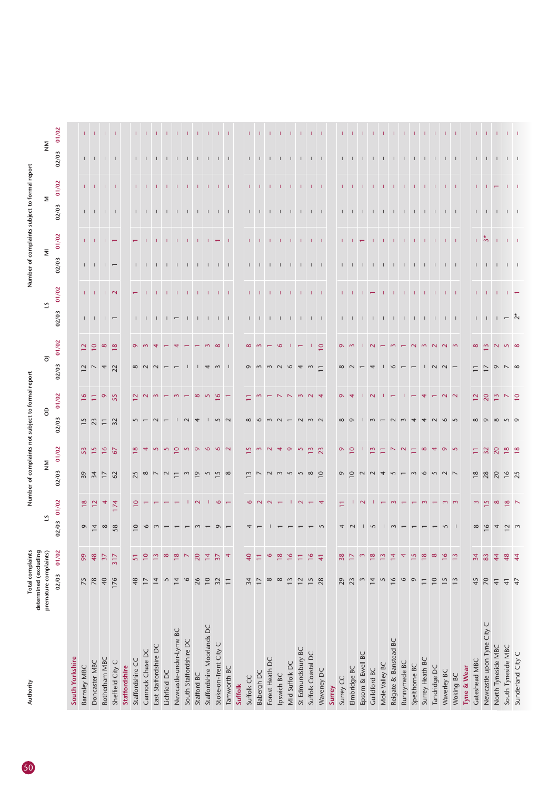| Authority                  | determined (excluding | Total complaints |          |                 | Number of complain                           |                 |                |                 |                    |                                                 |                                                                                   |              | Number of complain                                                       |                |                                                               |              |                              |                  |
|----------------------------|-----------------------|------------------|----------|-----------------|----------------------------------------------|-----------------|----------------|-----------------|--------------------|-------------------------------------------------|-----------------------------------------------------------------------------------|--------------|--------------------------------------------------------------------------|----------------|---------------------------------------------------------------|--------------|------------------------------|------------------|
|                            | premature complaints) |                  |          |                 | $\mathop{\geqslant}\limits_{\mathop{\sf Z}}$ |                 | 9              |                 | $\overline{\circ}$ |                                                 | 5                                                                                 |              | $\overline{\Xi}$                                                         |                |                                                               | Σ            | $\mathop{\geq}_{\mathbf{Z}}$ |                  |
|                            | 02/03                 | 01/02            | 02/03    | 01/02           | 02/03                                        | 01/02           | 02/03          | 01/02           | 02/03              | 01/02                                           | 02/03                                                                             | 01/02        | 02/03                                                                    | 01/02          | 02/03                                                         | 01/02        | 02/03                        | 01/02            |
| South Yorkshire            |                       |                  |          |                 |                                              |                 |                |                 |                    |                                                 |                                                                                   |              |                                                                          |                |                                                               |              |                              |                  |
| Barnsley MBC               | 75                    | 99               | $9 \t1$  | 18/2            |                                              | $\frac{53}{15}$ |                | $\frac{9}{16}$  |                    | 20                                              |                                                                                   |              |                                                                          |                |                                                               |              |                              |                  |
| Doncaster MBC              | 78                    | 48               |          |                 |                                              |                 | $15$ 23 $\Box$ | Ξ               |                    |                                                 |                                                                                   | $1 - 1$      |                                                                          | $1 - 1$        |                                                               | $1 - 1$      | $1 - 1$                      | $1 - 1$          |
| Rotherham MBC              | 40                    | $\overline{37}$  | $\infty$ | 4               | 3770                                         | $\frac{6}{16}$  |                | $\circ$         | $2^{7}$ $4^{7}$    | $\infty$                                        | $\begin{array}{cccccccccccccc} 1 & 1 & 1 & 1 & \leftarrow & \end{array}$          | $\sqrt{2}$   | $\begin{array}{cccccccccccccc} 1 & 1 & 1 & 1 & \leftarrow & \end{array}$ |                | $\begin{array}{cccccccccc} 1 & -1 & -1 & -1 & -1 \end{array}$ |              |                              | $-1$ $-1$        |
| Sheffield City C           | 176                   | 317              | 58       | 174             |                                              | 67              | 32             | 55              |                    | $\infty$                                        |                                                                                   |              |                                                                          |                |                                                               | $1 - 1$      |                              |                  |
| Staffordshire              |                       |                  |          |                 |                                              |                 |                |                 |                    |                                                 |                                                                                   |              |                                                                          |                |                                                               |              |                              |                  |
| Staffordshire CC           | 48                    | 51               | $\circ$  | $\overline{10}$ | 25                                           | $\infty$        |                | $\sim$          | $\infty$           |                                                 |                                                                                   |              | $\mathbf{L}$                                                             |                |                                                               |              |                              |                  |
| Cannock Chase DC           | $\overline{1}$        | $\approx$        |          |                 | $\infty$                                     |                 |                | $\sim$          | $\sim$             |                                                 |                                                                                   |              |                                                                          |                |                                                               | $\pm 1$      | $\mathbf{L}$                 |                  |
| East Staffordshire DC      | $\overline{14}$       | $\frac{2}{3}$    |          |                 |                                              | $\sim$          |                | $\sim$          |                    |                                                 |                                                                                   | - 11         |                                                                          |                |                                                               | $\Box$       | $\Box$                       |                  |
| Lichfield DC               | $\sim$                | $\infty$         |          |                 |                                              | $\overline{5}$  |                |                 |                    |                                                 |                                                                                   |              |                                                                          |                |                                                               | $\top$       |                              |                  |
| Newcastle-under-Lyme BC    | $\overline{1}$        | $\frac{8}{18}$   |          |                 |                                              | $\circ$         |                | $\sim$          |                    |                                                 |                                                                                   | $\mathbf{L}$ |                                                                          |                |                                                               | $\mathbf{L}$ |                              |                  |
| South Staffordshire DC     | $\circ$               | $\overline{ }$   |          |                 | $\sim$                                       | $\sim$          |                |                 |                    |                                                 |                                                                                   | - 11         |                                                                          | <b>I</b>       | $1$ , $1$ , $1$ , $1$ , $1$ , $1$                             | - 11         | $\Box$                       |                  |
| Stafford BC                | 26                    | 20               |          | $\sim$          | $\circ$                                      | $\sigma$        |                | $\infty$        |                    |                                                 |                                                                                   |              |                                                                          | $\mathbf{L}$   |                                                               |              |                              |                  |
| Staffordshire Moorlands DC | $\overline{10}$       | $\overline{4}$   |          |                 | $\overline{5}$                               | $\circ$         |                | $\sim$          | 4                  |                                                 |                                                                                   | т.           |                                                                          | $\pm$          | $1 - 1 - 1 - 1$                                               | т.           |                              |                  |
| Stoke-on-Trent City C      | 32                    | $\overline{37}$  |          | $\circ$         | $\overline{5}$                               | $\infty$        |                | $\bullet$       | $\sim$             | $\infty$                                        |                                                                                   | - 11         |                                                                          | $\overline{ }$ |                                                               | - 11         |                              |                  |
| Tamworth BC                | $\equiv$              | $\overline{4}$   |          |                 |                                              |                 | 52             |                 |                    |                                                 |                                                                                   |              |                                                                          | $\Box$         |                                                               |              |                              |                  |
| Suffolk                    |                       |                  |          |                 |                                              |                 |                |                 |                    |                                                 |                                                                                   |              |                                                                          |                |                                                               |              |                              |                  |
| Suffolk CC                 | 34                    | 40               |          | $\circ$         | 3                                            | 5               |                |                 | $\circ$            | $\infty$                                        | $\mathbf{L}$                                                                      |              |                                                                          | $\mathbf{L}$   |                                                               |              |                              |                  |
| Babergh DC                 | $\overline{17}$       | Ξ                |          |                 |                                              |                 |                |                 | $\sim$             |                                                 |                                                                                   | $\pm$        |                                                                          | $\pm$          |                                                               | -11          |                              |                  |
| Forest Heath DC            | $\infty$              | $\circ$          |          | $\sim$          | $\sim$                                       | $\sim$          |                |                 | $\sim$             |                                                 | $\begin{array}{cccccccccccccc} 1 & 1 & 1 & 1 & 1 & 1 & 1 & 1 & 1 & 1 \end{array}$ | $\pm 1$      |                                                                          | $\pm$          |                                                               | $\pm$        | $\Box$                       |                  |
| Ipswich BC                 | $\infty$              | $\frac{8}{2}$    |          |                 | $\sim$                                       | $\overline{4}$  |                |                 | $\sim$             | $\circ$                                         |                                                                                   | $\pm$        |                                                                          | $\Box$         |                                                               |              |                              |                  |
| Mid Suffolk DC             | 13                    | $\frac{6}{ }$    |          | $\mathbf{1}$    | 5 5 5                                        | $\circ$         |                |                 | $\circ$            |                                                 |                                                                                   |              |                                                                          |                |                                                               |              |                              |                  |
| St Edmundsbury BC          | 12                    | Ξ                |          | $\sim$          |                                              | $\sim$          |                |                 | $\overline{4}$     |                                                 |                                                                                   |              |                                                                          | $-1$ $-1$      |                                                               | $\pm$        | $1 - 1$                      |                  |
| Suffolk Coastal DC         | 15                    | $\frac{8}{16}$   |          | $\overline{ }$  | $\infty$                                     | $\frac{1}{2}$   |                |                 | $\sim$             |                                                 |                                                                                   |              |                                                                          |                |                                                               |              |                              |                  |
| Waveney DC                 | 28                    | $\overline{+}$   |          | $\overline{4}$  | $\circ$                                      | 23              |                |                 |                    | $\overline{\phantom{0}}$                        |                                                                                   | $1 - 1$      |                                                                          | $-1 - 1$       |                                                               | $1 - 1$      | $\Box$                       | $-1 - 1$         |
| Surrey                     |                       |                  |          |                 |                                              |                 |                |                 |                    |                                                 |                                                                                   |              |                                                                          |                |                                                               |              |                              |                  |
| Surrey CC                  | 29                    | 38               |          |                 | $\circ$                                      | Q               |                |                 | $\infty$           | $\sigma$                                        | $\mathbf{L}$                                                                      |              |                                                                          |                |                                                               |              |                              |                  |
| Elmbridge BC               | 23                    | $\overline{17}$  |          |                 | $\circ$                                      | $\circ$         |                |                 |                    |                                                 |                                                                                   |              |                                                                          |                |                                                               |              |                              |                  |
| Epsom & Ewell BC           | $\sim$                | $\sim$           |          | $\sim$          |                                              |                 |                |                 |                    |                                                 |                                                                                   | $\pm$        | $\pm$ $\pm$                                                              |                | $1 - 1 - 1$                                                   | - 1          | $\Box$                       |                  |
| Guildford BC               | $\overline{1}$        | $\frac{8}{18}$   |          |                 |                                              |                 |                |                 |                    | $\sim$                                          |                                                                                   | $\leftarrow$ | $\Box$                                                                   | $\pm$          |                                                               |              |                              |                  |
| Mole Valley BC             | $\overline{5}$        | $\frac{2}{3}$    |          |                 |                                              |                 |                |                 |                    |                                                 |                                                                                   |              |                                                                          |                |                                                               |              |                              |                  |
| Reigate & Banstead BC      | $\frac{6}{ }$         | $\frac{1}{4}$    |          | $\sim$          |                                              |                 |                |                 |                    | $\sim$                                          |                                                                                   | $-1$ $-1$    |                                                                          | $1 - 1$        |                                                               | $1 - 1$      | $1 - 1$                      | $\pm$ $\pm$      |
| Runnymede BC               | $\circ$               | $\overline{4}$   |          |                 |                                              | $\sim$          |                |                 |                    | $\overline{ }$                                  |                                                                                   | $\pm 1$      |                                                                          |                |                                                               | $\pm 1$      | $-1$ $-1$ $-1$               |                  |
| Spelthorne BC              | $\circ$               | 15               |          |                 |                                              |                 |                |                 |                    |                                                 |                                                                                   |              |                                                                          |                |                                                               |              |                              |                  |
| Surrey Heath BC            | $\overline{-}$        | 18               |          |                 |                                              | $\infty$        |                |                 |                    |                                                 |                                                                                   | $\Box$       |                                                                          | <b>CENTER</b>  |                                                               | $1 - 1$      |                              | <b>CITY LIST</b> |
| Tandridge DC               | $\overline{10}$       | $\infty$         |          |                 |                                              |                 |                |                 |                    | $\begin{array}{c} \n 0 \\ 0 \\ 0\n \end{array}$ |                                                                                   | $\mathbf{L}$ |                                                                          |                |                                                               |              |                              | $\pm 1$          |
| Waverley BC                | 15                    | $\frac{6}{ }$    |          |                 |                                              | $\sigma$        | $\circ$ 5      |                 | $\sim$ $-$         |                                                 |                                                                                   | $-1$ $-1$    |                                                                          | $-1$ $-1$ $-1$ |                                                               |              |                              | $-1$ $-1$        |
| Woking BC                  | 13                    | $\frac{2}{3}$    |          | $m \, m$        |                                              |                 |                |                 |                    |                                                 |                                                                                   |              |                                                                          |                |                                                               | $1 - 1$      | $1 - 1$                      |                  |
| <b>Tyne &amp; Wear</b>     |                       |                  |          |                 |                                              |                 |                |                 |                    |                                                 |                                                                                   |              |                                                                          |                |                                                               |              |                              |                  |
| <b>Gateshead MBC</b>       | 45                    | 34               |          | $\sim$          | $\frac{8}{18}$                               | Ξ               |                | $\overline{2}$  |                    | $\infty$                                        |                                                                                   | $1 - 1$      |                                                                          |                |                                                               | $1 - 1$      | $1 - 1$                      |                  |
| Newcastle upon Tyne City C | $\sqrt{2}$            | 83               | $\circ$  | $\sim$          | 28                                           | 32              |                | $\overline{20}$ |                    | $\sim$                                          | $1 - 1$                                                                           |              | $1 - 1$                                                                  | ⊢ సి           | $1 - 1$                                                       |              |                              | $1 - 1$          |
| North Tyneside MBC         | $\overline{4}$        | 44               |          | $\infty$        | $20$<br>$16$<br>$25$                         | 20              | $\infty$       | $\tilde{1}$     | $\circ$            | $\sim$                                          |                                                                                   |              |                                                                          |                | $-1$ $-1$ $-1$                                                |              |                              |                  |
| South Tyneside MBC         | $41$                  | 48               | $\sim$   | $\infty$ $\sim$ |                                              | $18$<br>18      | $\sqrt{2}$     | $\sim$ 0        |                    | 50                                              | $-2$                                                                              | $\Box$       | $1$ $1$ $1$                                                              | $-1$ $-1$ $-1$ |                                                               | $1 - 1$      | $\Box$                       | $-1$ $-1$ $-1$   |
| Sunderland City C          | 47                    | $\frac{4}{4}$    |          |                 |                                              |                 |                |                 | $\infty$           |                                                 |                                                                                   |              |                                                                          |                |                                                               |              |                              |                  |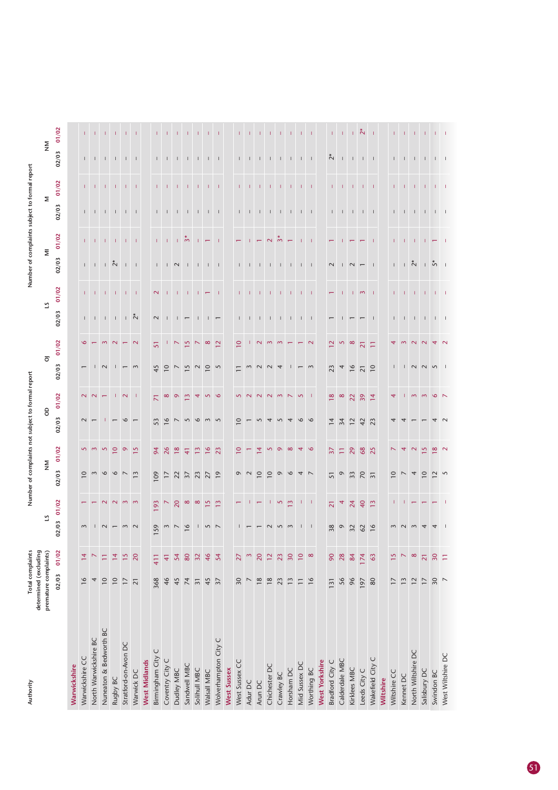| Authority              | determined (excluding    | Total complaints |                    | Number of                |                               |                                               | complaints not subject to formal |                          | repor              |                          |                                                       |              | Number of complaints subject to forma                 |                             |                                                                           |              |                               |                                  |
|------------------------|--------------------------|------------------|--------------------|--------------------------|-------------------------------|-----------------------------------------------|----------------------------------|--------------------------|--------------------|--------------------------|-------------------------------------------------------|--------------|-------------------------------------------------------|-----------------------------|---------------------------------------------------------------------------|--------------|-------------------------------|----------------------------------|
|                        | premature complaints)    |                  | ಼                  |                          | $\mathsf{\underline{\Sigma}}$ |                                               | $\mathsf S$                      |                          | $\overline{\circ}$ |                          |                                                       | 21           | $\overline{\Xi}$                                      |                             |                                                                           | Σ            | $\mathsf{\underline{\Sigma}}$ |                                  |
|                        | 02/03                    | 01/02            | 02/03              | 01/02                    | 02/03                         | 01/02                                         | 02/03                            | 01/02                    | 02/03              | 01/02                    | 02/03                                                 | 01/02        | 02/03                                                 | 01/02                       | 02/03                                                                     | 01/02        | 02/03                         | 01/02                            |
| Warwickshire           |                          |                  |                    |                          |                               |                                               |                                  |                          |                    |                          |                                                       |              |                                                       |                             |                                                                           |              |                               |                                  |
| Warwickshire CC        | 16                       | $\overline{4}$   | $\sim$             |                          | $\overline{10}$               |                                               | $\sim$                           | $\mathbf{\Omega}$        | $\overline{ }$     | $\circ$                  | $\mathbf{I}$                                          |              | $\mathbf{L}$                                          |                             |                                                                           |              | $\mathbf{L}$                  |                                  |
| North Warwickshire BC  | 4                        |                  |                    |                          | $\sim$                        | $\begin{array}{c} 0 & 0 \\ 0 & 0 \end{array}$ |                                  | $\sim$                   |                    |                          |                                                       |              |                                                       |                             | $\begin{array}{cccccccccc} 1 & 1 & 1 & 1 & 1 \end{array}$                 |              | $\mathbf{1}$                  |                                  |
| Nuneaton & Bedworth BC | $\overline{10}$          | Ξ                | $\sim$             |                          | $\circ$                       |                                               |                                  |                          | $\sim$             | $\sim$                   | $\mathbf{1} \qquad \mathbf{1} \qquad \mathbf{1}$      |              | $1 + \overset{*}{\sim}$                               | $1 - 1 - 1$                 |                                                                           |              | $\mathbf{L}$                  | $1 - 1$                          |
| Rugby BC               | $\overline{10}$          | $\overline{4}$   |                    | $N$ $N$ $m$ $m$          | $\circ$                       |                                               |                                  | Т.                       | $\mathbf{L}$       | $\sim$                   |                                                       | - 1          |                                                       |                             |                                                                           |              | $\mathbf{L}$                  |                                  |
| Stratford-on-Avon DC   | $\overline{17}$          | $\frac{5}{2}$    | $\sim$             |                          | $\overline{\phantom{0}}$      | 9 <sup>15</sup>                               | $\circ$                          | $N-1$                    |                    |                          |                                                       |              |                                                       |                             | $-1$                                                                      |              |                               |                                  |
| Warwick DC             | $\overline{21}$          | 20               | $\sim$             |                          | $\mathbf{c}$                  |                                               |                                  |                          | $\frac{1}{2}$      | $\sim$                   | $\frac{1}{2}$                                         | $1 - 1$      | $1 - 1$                                               | $1 - 1$                     |                                                                           | $1 - 1$      | $\mathbf{1}$ $\mathbf{1}$     | $1 - 1$                          |
| <b>West Midlands</b>   |                          |                  |                    |                          |                               |                                               |                                  |                          |                    |                          |                                                       |              |                                                       |                             |                                                                           |              |                               |                                  |
| Birmingham City C      | 368                      | 411              | 159                | 193                      | 109                           | 94                                            | 53                               | $\overline{\mathcal{N}}$ | 45                 | 51                       | $\sim$                                                | $\mathbb{N}$ |                                                       |                             |                                                                           | $\Gamma$     | $\mathbb{L}$                  |                                  |
| Coventry City C        | 46                       | $\pm$            | $\sim$             | $\overline{\phantom{0}}$ | $\overline{1}$                | 26                                            | $\frac{6}{ }$                    | $\infty$                 | $\overline{10}$    |                          | $\blacksquare$                                        | $\perp$      | $1$ $1$ $\sim$                                        | $\Gamma = \Gamma$ .         | $\Gamma = \Gamma$                                                         | $\Box$       | $\Box$                        | $\mathbf{L}$                     |
| Dudley MBC             | 45                       | 54               | $\overline{ }$     | 20                       | $\frac{22}{37}$               | $\frac{8}{18}$                                | $\overline{\phantom{0}}$         | $\circ$                  | $\frac{5}{2}$      | $\overline{\phantom{0}}$ |                                                       |              |                                                       | $\frac{1}{2}$ $\frac{1}{2}$ |                                                                           | $\mathbf{L}$ | $\mathbf{L}$                  |                                  |
| Sandwell MBC           | 74                       | 80               | 16                 | $\infty$                 |                               | $\overline{4}$                                | $\overline{5}$                   | $\frac{1}{2}$            |                    | $\frac{15}{2}$           | $\overline{1}$ $\overline{1}$                         | $1 - 1$      | $\mathbf{I}$                                          |                             | $-1$ $-1$                                                                 |              |                               | $1 - 1$                          |
| Solihull MBC           | $\overline{3}$           | 32               |                    | $\infty$                 | 23                            | $\frac{2}{3}$                                 | $\circ$                          | 4                        | $\frac{20}{2}$     | $\overline{\phantom{0}}$ | $\mathbf{I}$                                          |              |                                                       | $\mathbf{L}$                |                                                                           | T.           |                               |                                  |
| Walsall MBC            | 45                       | 46               | 52                 | $\frac{5}{2}$            | $27$<br>19                    | $\frac{6}{2}$                                 | $\sim$                           | $\overline{\mathbf{S}}$  |                    | $\infty$                 | $\mathbf{L}$                                          | $1 - \pi$    | $\begin{array}{cccccccccc} 1 & 1 & 1 & 1 \end{array}$ | $\overline{\phantom{m}}$    | $-1\leq -1\leq -1$                                                        | Т.           | $1 - 1 - 1$                   | $-1$ $-1$ $-1$                   |
| Wolverhampton City C   | $\overline{37}$          | 54               |                    | $\frac{3}{2}$            |                               | 23                                            | 5                                | $\circ$                  |                    | $\overline{2}$           | $\overline{\phantom{0}}$                              | - 1          |                                                       | - 1                         |                                                                           |              |                               |                                  |
| West Sussex            |                          |                  |                    |                          |                               |                                               |                                  |                          |                    |                          |                                                       |              |                                                       |                             |                                                                           |              |                               |                                  |
| West Sussex CC         | 30                       | 27               |                    |                          | $\circ$                       | $\overline{10}$                               | $\overline{10}$                  |                          |                    | $\overline{10}$          | $\mathbb{L}$                                          | T.           | $\mathbb{L}$                                          | $\leftarrow$                |                                                                           | T.           | $\mathbb{F}^{\mathbb{Z}}$     | T.                               |
| Adur DC                | $\overline{\phantom{0}}$ | $\mathfrak{g}$   |                    |                          | $\sim$                        | π                                             |                                  |                          | 3                  |                          | $\mathbf{L}$                                          | $\pm$        | $\mathbf{1}$                                          | т.                          |                                                                           | $\mathbf{I}$ | $-1$ $-1$                     | $\pm$                            |
| Arun DC                | 18                       | 20               |                    | $\overline{\phantom{m}}$ | $\overline{10}$               | $\overline{4}$                                | 5                                | $\sim$                   | UU4                | $\sim$                   | $\mathbf{L}$                                          | $\pm 1$      | $\mathbf{L}$                                          | $\overline{\phantom{0}}$    | $\Gamma = \Gamma = \Gamma$ .                                              | $\pm$        |                               | -11                              |
| Chichester DC          | 18                       | $\frac{2}{3}$    |                    |                          | $\overline{10}$               |                                               | 4                                | $\sim$                   |                    | $\sim$                   |                                                       | Τ.           |                                                       | $\frac{2}{3}$               |                                                                           | $\mathbb{C}$ | $\mathbf{L}$                  |                                  |
| Crawley BC             | 23                       | 23               | 5                  | 197                      | $\circ$                       | 500                                           | 5                                | $\sim$ $\sim$            |                    | $\sim$                   | $\begin{array}{cccccccccc} 1 & 1 & 1 & 1 \end{array}$ | т.           | $\Gamma = \Gamma = \Gamma$                            |                             | $\begin{array}{cccccccccc} 1 & -1 & -1 & -1 \end{array}$                  | T.           | $\Box$                        | $1 - 1 - 1$                      |
| Horsham DC             | 13                       | 30               | $\mathbf{\hat{z}}$ |                          | $\circ$                       |                                               | 4                                |                          |                    |                          |                                                       |              |                                                       | $\overline{\phantom{0}}$    |                                                                           |              | $\mathbf{1}$                  |                                  |
| Mid Sussex DC          | $\equiv$                 | $\overline{10}$  | $\mathsf{I}$       | $1 - 1$                  | 4                             | $4\degree$                                    | $\circ$                          | $\overline{\mathbf{S}}$  |                    |                          | $1 - 1$                                               |              | $\Gamma = 1$                                          |                             | $\Gamma = 1$                                                              |              | $\Gamma = 1$                  | $1 - 1$                          |
| Worthing BC            | $\overline{16}$          | $\infty$         |                    |                          |                               |                                               |                                  |                          |                    |                          |                                                       | $1 - 1$      |                                                       | $1 - 1$                     |                                                                           | $1 - 1$      |                               |                                  |
| <b>West Yorkshire</b>  |                          |                  |                    |                          |                               |                                               |                                  |                          |                    |                          |                                                       |              |                                                       |                             |                                                                           |              |                               |                                  |
| Bradford City C        | 131                      | 90               | 38                 | $\overline{21}$          | 51                            | $\overline{37}$                               | $\overline{4}$                   | $\frac{8}{2}$            | 23                 | $\overline{12}$          |                                                       | $\leftarrow$ | $\sim$                                                | Π                           | $\mathbb{L}$                                                              | T.           | $\stackrel{*}{\sim}$          | Т.                               |
| Calderdale MBC         | 56                       | 28               | $\circ$            | 4                        | $\circ$                       | $\overleftarrow{-}$                           | 34                               | $\infty$                 |                    | 5                        |                                                       | -1           |                                                       |                             |                                                                           |              | $\pm$                         | $\pm 1$                          |
| Kirklees MBC           | 96                       | 84               | 32                 | $\overline{24}$          | 33 70                         | 29                                            | 12                               | $\overline{2}$           | $4\overline{6}$    | $\infty$                 |                                                       | Τ.           | $\sim$                                                |                             | $\begin{array}{cccccccccc} -1 & -1 & -1 & -1 & -1 \end{array}$            | $\mathbf{I}$ | $\mathbf{I}$                  | $\frac{1}{2}$                    |
| Leeds City C           | 197                      | 174              | 62                 | 40                       |                               | $68$                                          | 42                               | 39                       | $\frac{21}{10}$    | $\overline{21}$          |                                                       | $\sim$       |                                                       |                             |                                                                           |              | $\mathsf I$                   |                                  |
| Wakefield City C       | $80\,$                   | 63               | 16                 | $\frac{2}{3}$            |                               | 25                                            | 23                               | $\overline{4}$           |                    | Ξ                        | - 1                                                   | - 1          | $\blacksquare$                                        | - 1                         |                                                                           | $\mathbf{I}$ | $\blacksquare$                |                                  |
| Wiltshire              |                          |                  |                    |                          |                               |                                               |                                  |                          |                    |                          |                                                       |              |                                                       |                             |                                                                           |              |                               |                                  |
| Wiltshire CC           | $\overline{17}$          | $\frac{5}{2}$    | $\sim$             |                          | $\overline{10}$               | N                                             | ᡪ                                | 4                        | $\mathbf{I}$       | ᡪ                        | $\mathsf{L}$                                          | T.           | $\mathbb{L}$                                          | T.                          |                                                                           | T.           | $\mathsf I$                   |                                  |
| Kennet DC              | $\frac{3}{2}$            | $\triangleright$ | $\sim$             |                          | $\overline{\phantom{0}}$      |                                               |                                  |                          |                    | $\sim$                   | $\mathbf{1}$                                          | $-1$ $-1$    | $\frac{1}{2}$                                         |                             |                                                                           | $\perp$      |                               |                                  |
| North Wiltshire DC     | 12                       | $\infty$         |                    |                          | 4                             | $4$ $\frac{15}{1}$                            |                                  | $\sim$                   | $1$ $N$ $N$ $n$    | $\sim$                   | $\mathbf{0}$                                          |              |                                                       | $\mathbf{1}$ $\mathbf{1}$   | $\begin{array}{cccccccccccccc} 1 & 1 & 1 & 1 & 1 & 1 & 1 & 1 \end{array}$ | $\mathbf{I}$ | $1 - 1 - 1$                   | $-1$ , $-1$ , $-1$ , $-1$ , $-1$ |
| Salisbury DC           | $\overline{17}$          | $\overline{2}1$  |                    |                          | $\overline{10}$               |                                               |                                  | $\sim$                   |                    |                          | $\mathbb{L}$                                          | $-1$         | $\pm$                                                 | $\pm$ $\pm$                 |                                                                           | T            |                               |                                  |
| Swindon BC             | 30                       | 30               |                    |                          | $\approx$                     | $\frac{8}{18}$                                |                                  | $\circ$                  |                    |                          | $\Box$                                                | $-1$ $-1$    | ້ຳ                                                    |                             |                                                                           | $1 - 1$      | $\perp$ $\perp$               |                                  |
| West Wiltshire DC      | $\overline{ }$           | Ξ                |                    |                          | 5                             | $\sim$                                        |                                  | $\overline{ }$           |                    | $\sim$                   |                                                       |              | $\overline{\phantom{0}}$                              | - 1                         |                                                                           |              |                               |                                  |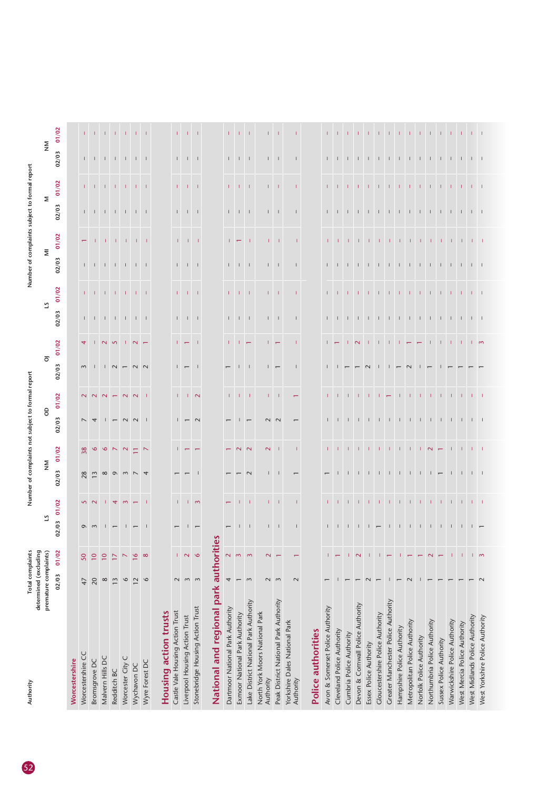| Authority                                   | Total complaints<br>determined (excluding |                          |                                                                              |                               |                                              |                          | Number of complaints not subject to formal repor |                          |                               |                                                                                                |                                                                               |                   |                                                                               | Number of complaints subject to formal report |                                     |                                                                                 |                                         |                                                                                   |
|---------------------------------------------|-------------------------------------------|--------------------------|------------------------------------------------------------------------------|-------------------------------|----------------------------------------------|--------------------------|--------------------------------------------------|--------------------------|-------------------------------|------------------------------------------------------------------------------------------------|-------------------------------------------------------------------------------|-------------------|-------------------------------------------------------------------------------|-----------------------------------------------|-------------------------------------|---------------------------------------------------------------------------------|-----------------------------------------|-----------------------------------------------------------------------------------|
|                                             | premature complaints)                     |                          | ≌                                                                            |                               | $\mathsf{\underline{\Sigma}}$                |                          | $\theta$                                         |                          | $\overline{\circ}$            |                                                                                                |                                                                               | 5                 |                                                                               | $\overline{\Xi}$                              |                                     | Σ                                                                               | $\mathop{\geq}_{\mathbf{Z}}$            |                                                                                   |
|                                             | 02/03                                     | 01/02                    | 02/03                                                                        | 01/02                         | 02/03                                        | 01/02                    | 02/03                                            | 01/02                    | 02/03                         | 01/02                                                                                          | 02/03                                                                         | 01/02             | 02/03                                                                         | 01/02                                         | 02/03                               | 01/02                                                                           | 02/03                                   | 01/02                                                                             |
| Worcestershire                              |                                           |                          |                                                                              |                               |                                              |                          |                                                  |                          |                               |                                                                                                |                                                                               |                   |                                                                               |                                               |                                     |                                                                                 |                                         |                                                                                   |
| Worcestershire CC                           | 47                                        | 50                       |                                                                              |                               | $28$                                         | 38                       | $\overline{\phantom{a}}$                         | $\sim$                   |                               | $\overline{4}$                                                                                 |                                                                               |                   |                                                                               | $\overline{\phantom{0}}$                      |                                     | $\mathbf{1}$                                                                    |                                         |                                                                                   |
| Bromsgrove DC                               | 20                                        | $\overline{10}$          | $\sigma$ $\omega$                                                            | 52                            | 13                                           | $\infty$                 | 4                                                | $\sim$                   | $m$                           |                                                                                                |                                                                               |                   |                                                                               | -11                                           |                                     |                                                                                 |                                         |                                                                                   |
| Malvern Hills DC                            | $\infty$                                  | $\overline{10}$          |                                                                              | -11                           | $\infty$                                     | $\circ$                  |                                                  | $\sim$                   |                               |                                                                                                |                                                                               |                   |                                                                               |                                               |                                     |                                                                                 |                                         |                                                                                   |
| Redditch BC                                 | 13                                        | $\overline{17}$          |                                                                              |                               | $\sigma$ $\omega$                            |                          |                                                  | $\overline{ }$           |                               |                                                                                                |                                                                               |                   |                                                                               |                                               |                                     |                                                                                 |                                         |                                                                                   |
| Worcester City C                            | $\circ$                                   | $\overline{\phantom{0}}$ |                                                                              | 4 <sub>w</sub>                |                                              | $\sqrt{2}$               |                                                  | $\sim$                   |                               |                                                                                                |                                                                               |                   |                                                                               |                                               |                                     |                                                                                 |                                         |                                                                                   |
| Wychavon DC                                 | $\overline{12}$                           | $\frac{8}{16}$           |                                                                              | $\overline{\phantom{m}}$      |                                              | $\equiv$                 | $\sim$                                           | $\sim$                   | $1 N - N$                     | $1 N M I N -$                                                                                  | $\begin{array}{cccccccccccccc} 1 & 1 & 1 & 1 & 1 & 1 & 1 & 1 & 1 \end{array}$ | 1 1 1 1 1 1 1 1   | $\begin{array}{cccccccccccccc} 1 & 1 & 1 & 1 & 1 & 1 & 1 & 1 & 1 \end{array}$ | $-1$ , $-1$ , $-1$ , $-1$                     | 1 1 1 1 1 1 1                       | $\begin{array}{cccccccccccccc} & 1 & 1 & 1 & 1 & 1 & 1 & 1 & 1 & 1 \end{array}$ | $1$ , $1$ , $1$ , $1$ , $1$ , $1$ , $1$ | $\begin{array}{cccccccccccccc} 1 & 1 & 1 & 1 & 1 & 1 & 1 & 1 & 1 & 1 \end{array}$ |
| Wyre Forest DC                              | $\circ$                                   | $\infty$                 |                                                                              | - 1                           |                                              | $\sim$                   | - 1                                              | - 1                      |                               |                                                                                                |                                                                               |                   |                                                                               |                                               |                                     |                                                                                 |                                         |                                                                                   |
| Housing action trusts                       |                                           |                          |                                                                              |                               |                                              |                          |                                                  |                          |                               |                                                                                                |                                                                               |                   |                                                                               |                                               |                                     |                                                                                 |                                         |                                                                                   |
| Castle Vale Housing Action Trust            | $\sim$                                    | T.                       |                                                                              | T.                            |                                              |                          |                                                  |                          |                               |                                                                                                |                                                                               |                   |                                                                               | T.                                            |                                     |                                                                                 |                                         | $\mathbf{L}$                                                                      |
| Liverpool Housing Action Trust              | $\sim$                                    | $\mathbf{\Omega}$        | $\mathbf{1}$                                                                 |                               |                                              |                          | $-1$                                             |                          | $\overline{1}$ $\overline{1}$ | $\mathbf{1}$                                                                                   | $1 - 1 - 1$                                                                   | $1 - 1 - 1$       | $\Gamma = \Gamma = \Gamma$                                                    | -11                                           | $1 - 1 - 1$                         | $1 - 1$                                                                         | $1 - 1$                                 | $\pm$                                                                             |
| Stonebridge Housing Action Trust            | $\sim$                                    | $\circ$                  |                                                                              | $\mathsf{I}$ m                |                                              |                          | $\sim$                                           | $\frac{1}{2}$            | $\Box$                        | $\mathbf{I}$                                                                                   |                                                                               |                   |                                                                               | - 11                                          |                                     | $\mathbf{I}$                                                                    | $\Box$                                  | $\mathbf{I}$                                                                      |
| National and regional park authoriti        |                                           |                          | စိ                                                                           |                               |                                              |                          |                                                  |                          |                               |                                                                                                |                                                                               |                   |                                                                               |                                               |                                     |                                                                                 |                                         |                                                                                   |
| Dartmoor National Park Authority            | 4                                         | $\mathbf{\tilde{z}}$     |                                                                              |                               |                                              |                          |                                                  | Τ.                       |                               | Т.                                                                                             | $\mathbf{L}$                                                                  | $\mathbf{L}$      |                                                                               | $\mathbf{L}$                                  |                                     | T.                                                                              | $\mathbf{L}$                            | T.                                                                                |
| Exmoor National Park Authority              | $\overline{ }$                            | $\sim$                   |                                                                              |                               |                                              | $\sim$                   |                                                  |                          |                               | T.                                                                                             |                                                                               | т.                | $1 - 1 - 1$                                                                   |                                               | $1 - 1 - 1$                         | Л.                                                                              | $-1$                                    |                                                                                   |
| Lake District National Park Authority       | $\sim$                                    | $\sim$                   | $1 - 1$                                                                      | $1 - 1$                       |                                              | $\sim$                   | $\overline{ }$                                   | $1 - 1$                  | $1 - 1$                       | $\leftarrow$                                                                                   | $1 - 1$                                                                       | $\mathbf{L}$      |                                                                               | $\mathbf{L}$                                  |                                     | $\pm 1$                                                                         |                                         | $1 - 1$                                                                           |
| North York Moors National Park<br>Authority |                                           | $\mathbf{z}$             |                                                                              | $\mathbf{L}$                  | $\mathbf{L}$                                 | $\sim$                   |                                                  | $\mathbf{L}$             |                               | T.                                                                                             |                                                                               | T.                |                                                                               | $\mathbf{L}$                                  |                                     | T.                                                                              | L.                                      | T.                                                                                |
| Peak District National Park Authority       | $\frac{2}{3}$                             |                          |                                                                              |                               |                                              |                          | $N$ $N$                                          |                          | $\overline{1}$ $\overline{1}$ |                                                                                                | $1 - 1$                                                                       |                   | $1 - 1$                                                                       | $\Box$                                        | $1 - 1$                             | $\mathbf{I}$                                                                    |                                         |                                                                                   |
| Yorkshire Dales National Park<br>Authority  | $\sim$                                    |                          | $\mathbf{I}$                                                                 | $\mathbf{I}$                  |                                              | $\mathbf{I}$             | $\overline{\phantom{0}}$                         | $\overline{\phantom{0}}$ | $\blacksquare$                | T.                                                                                             | $\perp$                                                                       | л.                | $\perp$                                                                       | $\Box$                                        | $\perp$                             | л.                                                                              | $\perp$                                 |                                                                                   |
| Police authorities                          |                                           |                          |                                                                              |                               |                                              |                          |                                                  |                          |                               |                                                                                                |                                                                               |                   |                                                                               |                                               |                                     |                                                                                 |                                         |                                                                                   |
| Avon & Somerset Police Authority            |                                           |                          |                                                                              | т.                            |                                              | $\mathbf{L}$             | $\mathbf{L}$                                     |                          |                               |                                                                                                |                                                                               |                   |                                                                               |                                               |                                     |                                                                                 |                                         |                                                                                   |
| Cleveland Police Authority                  |                                           |                          | $1 - 1$                                                                      |                               |                                              |                          | $\Box$                                           |                          |                               |                                                                                                | $1 - 1 -$                                                                     |                   | $1 - 1$                                                                       | $1 - 1$                                       | $1 - 1 -$                           |                                                                                 |                                         | $1 - 1$                                                                           |
| Cumbria Police Authority                    |                                           |                          |                                                                              |                               |                                              |                          |                                                  |                          |                               | т                                                                                              |                                                                               |                   |                                                                               |                                               |                                     |                                                                                 |                                         |                                                                                   |
| Devon & Cornwall Police Authority           |                                           | $\sim$                   | $\begin{array}{cccccccccccccc} \ & 1 & 1 & 1 & 1 & \leftarrow & \end{array}$ | $1 - 1$                       |                                              | $1 - 1$                  | 1 1 1 1 1 1 1 1 1 1 1 1 1 1 1 1 1 1              | $1 - 1$                  |                               | $\sim$                                                                                         | 1 1 1 1 1 1 1 1 1 1 1 1 1 1 1 1 1 1                                           | $1 - 1 - 1$       | 1 1 1 1 1 1 1 1 1 1 1 1 1 1 1 1 1 1                                           |                                               | 1 1 1 1 1 1 1 1 1 1 1 1 1 1 1 1 1 1 | $\pm$                                                                           | $1 - 1$                                 |                                                                                   |
| Essex Police Authority                      | $\sim$                                    |                          |                                                                              | $1 - 1$                       |                                              | $-1$ $-1$                |                                                  |                          | $\sim$                        | $-1$ $-1$                                                                                      |                                                                               | $-1$ $-1$         |                                                                               |                                               |                                     | $\pm$ $\pm$                                                                     |                                         |                                                                                   |
| Gloucestershire Police Authority            |                                           | т                        |                                                                              |                               |                                              |                          |                                                  |                          | $\perp$                       |                                                                                                |                                                                               |                   |                                                                               |                                               |                                     |                                                                                 | $\mathbf{1}$ $\mathbf{1}$               |                                                                                   |
| Greater Manchester Police Authority         | H                                         | $\overline{\phantom{0}}$ | $\Box$                                                                       |                               | $\perp$                                      | $\pm$                    |                                                  |                          | $\perp$                       |                                                                                                |                                                                               |                   |                                                                               |                                               |                                     |                                                                                 |                                         |                                                                                   |
| Hampshire Police Authority                  |                                           |                          |                                                                              | <b>THE REPORT OF A REPORT</b> | $\Box$                                       | $-1$ $-1$                |                                                  |                          |                               | $\begin{array}{cccccccccccccc} 1 & 1 & 1 & \leftarrow & \leftarrow & \leftarrow & \end{array}$ |                                                                               | $-1$ $-1$         |                                                                               |                                               |                                     | <b>THE REPORT OF A REPORT</b>                                                   |                                         |                                                                                   |
| Metropolitan Police Authority               | $\sim$                                    |                          |                                                                              |                               | $\Box$                                       |                          |                                                  |                          | $\sim$                        |                                                                                                |                                                                               | $-1$ $-1$         |                                                                               |                                               |                                     |                                                                                 |                                         |                                                                                   |
| Norfolk Police Authority                    |                                           |                          |                                                                              |                               | $\Box$                                       | $\mathbb{R}^n$           |                                                  |                          |                               |                                                                                                |                                                                               |                   |                                                                               |                                               |                                     |                                                                                 |                                         |                                                                                   |
| Northumbria Police Authority                |                                           | $\sim$                   |                                                                              |                               | $\overline{1}$ $\overline{1}$ $\overline{1}$ |                          |                                                  |                          |                               |                                                                                                |                                                                               |                   |                                                                               |                                               |                                     |                                                                                 |                                         |                                                                                   |
| Sussex Police Authority                     |                                           | $\overline{ }$           |                                                                              |                               |                                              | $\overline{\phantom{m}}$ |                                                  |                          |                               | $-1$ , $-1$ , $-1$ , $-1$                                                                      |                                                                               | <b>CONTRACTOR</b> |                                                                               |                                               |                                     |                                                                                 |                                         |                                                                                   |
| Warwickshire Police Authority               |                                           | 1                        |                                                                              |                               | $\Box$                                       | $\pm 1$                  |                                                  |                          |                               |                                                                                                |                                                                               |                   |                                                                               |                                               |                                     |                                                                                 |                                         |                                                                                   |
| West Mercia Police Authority                |                                           |                          |                                                                              |                               |                                              | $\mathbf{1}$             |                                                  |                          |                               |                                                                                                |                                                                               |                   |                                                                               |                                               |                                     |                                                                                 |                                         |                                                                                   |
| West Midlands Police Authority              |                                           | $\mathsf{I}$ m           | $\overline{1}$ $\overline{1}$                                                | $1 - 1 - 1$                   | $\perp$ $\perp$                              | $-1 - 1$                 |                                                  | $-1$ $-1$                |                               | $\sqrt{2}$                                                                                     |                                                                               |                   |                                                                               |                                               |                                     | $1 - 1$                                                                         |                                         |                                                                                   |
| West Yorkshire Police Authority             | $\sim$                                    |                          |                                                                              |                               |                                              |                          |                                                  |                          |                               |                                                                                                |                                                                               |                   |                                                                               |                                               |                                     |                                                                                 |                                         |                                                                                   |
|                                             |                                           |                          |                                                                              |                               |                                              |                          |                                                  |                          |                               |                                                                                                |                                                                               |                   |                                                                               |                                               |                                     |                                                                                 |                                         |                                                                                   |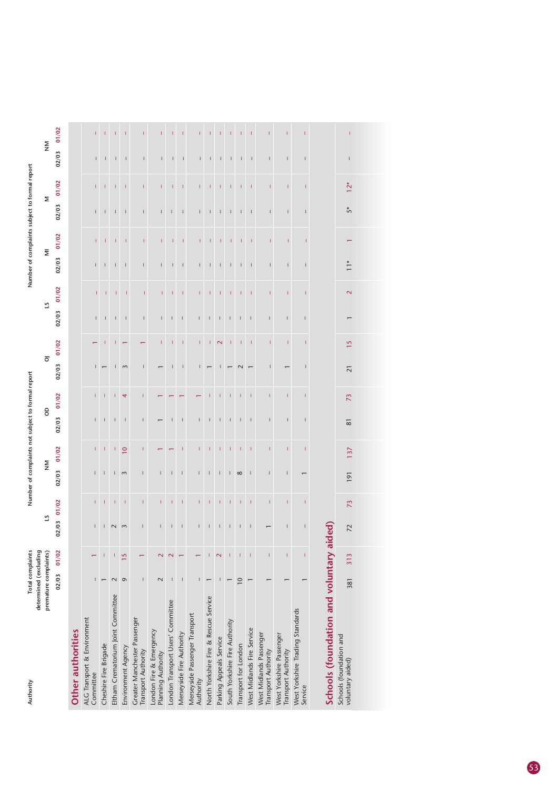| Authority                                           | determined (excluding | Total complaints |                    |                                                                                                                                                                                                                                                                                                                                                                                  |                          |                                |                 | Number of complaints not subject to formal report                                                                                                                                                                                                                                                                                                                                                              |                 |                          |                 |                                       |                         |                                                                                                                                                                                                                                                                                                                                                                                  |       |                                                                                                                                                                                                                                                                                                                                                                                                                | Number of complaints subject to formal report |                          |       |
|-----------------------------------------------------|-----------------------|------------------|--------------------|----------------------------------------------------------------------------------------------------------------------------------------------------------------------------------------------------------------------------------------------------------------------------------------------------------------------------------------------------------------------------------|--------------------------|--------------------------------|-----------------|----------------------------------------------------------------------------------------------------------------------------------------------------------------------------------------------------------------------------------------------------------------------------------------------------------------------------------------------------------------------------------------------------------------|-----------------|--------------------------|-----------------|---------------------------------------|-------------------------|----------------------------------------------------------------------------------------------------------------------------------------------------------------------------------------------------------------------------------------------------------------------------------------------------------------------------------------------------------------------------------|-------|----------------------------------------------------------------------------------------------------------------------------------------------------------------------------------------------------------------------------------------------------------------------------------------------------------------------------------------------------------------------------------------------------------------|-----------------------------------------------|--------------------------|-------|
|                                                     | premature complaints) |                  |                    | 21                                                                                                                                                                                                                                                                                                                                                                               |                          | $\mathsf{\Sigma}_{\mathsf{Z}}$ |                 | 8                                                                                                                                                                                                                                                                                                                                                                                                              |                 | $\overline{\circ}$       |                 |                                       | 5                       |                                                                                                                                                                                                                                                                                                                                                                                  | Ξ     |                                                                                                                                                                                                                                                                                                                                                                                                                | Σ                                             | $\frac{8}{2}$            |       |
|                                                     |                       | 02/03            | 01/02              | 02/03                                                                                                                                                                                                                                                                                                                                                                            | 01/02                    | 02/03                          | 01/02           | 02/03                                                                                                                                                                                                                                                                                                                                                                                                          | 01/02           | 02/03                    | 01/02           | 02/03                                 | 01/02                   | 02/03                                                                                                                                                                                                                                                                                                                                                                            | 01/02 | 02/03                                                                                                                                                                                                                                                                                                                                                                                                          | 01/02                                         | 02/03                    | 01/02 |
| Other authorities                                   |                       |                  |                    |                                                                                                                                                                                                                                                                                                                                                                                  |                          |                                |                 |                                                                                                                                                                                                                                                                                                                                                                                                                |                 |                          |                 |                                       |                         |                                                                                                                                                                                                                                                                                                                                                                                  |       |                                                                                                                                                                                                                                                                                                                                                                                                                |                                               |                          |       |
| ALG Transport & Environment<br>Committee            |                       |                  |                    |                                                                                                                                                                                                                                                                                                                                                                                  |                          |                                | T               | ı                                                                                                                                                                                                                                                                                                                                                                                                              |                 |                          |                 | $\mathbf{I}$                          |                         | $\overline{1}$                                                                                                                                                                                                                                                                                                                                                                   |       | т                                                                                                                                                                                                                                                                                                                                                                                                              |                                               | $\overline{1}$           |       |
| Cheshire Fire Brigade                               |                       |                  |                    | $\mathsf{I}$                                                                                                                                                                                                                                                                                                                                                                     |                          | $\sf I$                        | т               | $\mathsf{I}$                                                                                                                                                                                                                                                                                                                                                                                                   | т               |                          | I               | L                                     | Т                       | T                                                                                                                                                                                                                                                                                                                                                                                | T     | $\mathsf I$                                                                                                                                                                                                                                                                                                                                                                                                    | T                                             | $\mathsf{I}$             |       |
| Eltham Crematorium Joint Committee                  |                       | $\mathbf 2$      |                    | $\sim$                                                                                                                                                                                                                                                                                                                                                                           | I                        | L                              | T               | I                                                                                                                                                                                                                                                                                                                                                                                                              | ı               | I                        | 1               | $\begin{array}{c} \end{array}$        | T                       | $\begin{array}{c} \rule{0pt}{2.5ex} \rule{0pt}{2.5ex} \rule{0pt}{2.5ex} \rule{0pt}{2.5ex} \rule{0pt}{2.5ex} \rule{0pt}{2.5ex} \rule{0pt}{2.5ex} \rule{0pt}{2.5ex} \rule{0pt}{2.5ex} \rule{0pt}{2.5ex} \rule{0pt}{2.5ex} \rule{0pt}{2.5ex} \rule{0pt}{2.5ex} \rule{0pt}{2.5ex} \rule{0pt}{2.5ex} \rule{0pt}{2.5ex} \rule{0pt}{2.5ex} \rule{0pt}{2.5ex} \rule{0pt}{2.5ex} \rule{0$ |       | $\begin{array}{c} \rule{0pt}{2.5ex} \rule{0pt}{2.5ex} \rule{0pt}{2.5ex} \rule{0pt}{2.5ex} \rule{0pt}{2.5ex} \rule{0pt}{2.5ex} \rule{0pt}{2.5ex} \rule{0pt}{2.5ex} \rule{0pt}{2.5ex} \rule{0pt}{2.5ex} \rule{0pt}{2.5ex} \rule{0pt}{2.5ex} \rule{0pt}{2.5ex} \rule{0pt}{2.5ex} \rule{0pt}{2.5ex} \rule{0pt}{2.5ex} \rule{0pt}{2.5ex} \rule{0pt}{2.5ex} \rule{0pt}{2.5ex} \rule{0$                               | Т                                             |                          | Т     |
| Environment Agency                                  |                       | $\sigma$         | 15                 | $\mathbf{r}$                                                                                                                                                                                                                                                                                                                                                                     | $\overline{\phantom{a}}$ | $\sim$                         | $\overline{10}$ | $\overline{\phantom{a}}$                                                                                                                                                                                                                                                                                                                                                                                       | 4               | $\sim$                   |                 | $\begin{array}{c} \hline \end{array}$ |                         | $\begin{array}{c} \end{array}$                                                                                                                                                                                                                                                                                                                                                   | T     | $\sf I$                                                                                                                                                                                                                                                                                                                                                                                                        | I                                             |                          |       |
| Greater Manchester Passenger<br>Transport Authority |                       |                  |                    |                                                                                                                                                                                                                                                                                                                                                                                  | L                        | ı                              | L               | т                                                                                                                                                                                                                                                                                                                                                                                                              | T               | $\overline{\phantom{a}}$ |                 | $\mathsf{I}$                          | T                       | I                                                                                                                                                                                                                                                                                                                                                                                | T     | $\mathsf{I}$                                                                                                                                                                                                                                                                                                                                                                                                   | Ī                                             | $\mathsf{I}$             |       |
| London Fire & Emergency<br>Planning Authority       |                       | $\mathbf 2$      | $\scriptstyle\sim$ |                                                                                                                                                                                                                                                                                                                                                                                  | L                        | $\mathsf{I}$                   |                 |                                                                                                                                                                                                                                                                                                                                                                                                                |                 |                          | T               | $\mathsf{I}$                          | L                       | L                                                                                                                                                                                                                                                                                                                                                                                | T.    | L                                                                                                                                                                                                                                                                                                                                                                                                              | L                                             | Ï                        |       |
| London Transport Users' Committee                   |                       | $\mathsf I$      |                    | $\sf I$                                                                                                                                                                                                                                                                                                                                                                          | L                        | ī                              |                 | L                                                                                                                                                                                                                                                                                                                                                                                                              |                 |                          |                 | $\mathsf{I}$                          | T                       | T                                                                                                                                                                                                                                                                                                                                                                                |       | $\mathsf I$                                                                                                                                                                                                                                                                                                                                                                                                    |                                               | $\overline{\phantom{a}}$ |       |
| Merseyside Fire Authority                           |                       |                  |                    | $\overline{\phantom{a}}$                                                                                                                                                                                                                                                                                                                                                         |                          | $\overline{\phantom{a}}$       |                 | $\mathsf{I}$                                                                                                                                                                                                                                                                                                                                                                                                   |                 | $\mathbf{I}$             | I               | $\mathbf{I}$                          | I                       | $\mathbf{I}$                                                                                                                                                                                                                                                                                                                                                                     | Т     | $\overline{\phantom{a}}$                                                                                                                                                                                                                                                                                                                                                                                       | 1                                             | $\overline{1}$           |       |
| Merseyside Passenger Transport<br>Authority         |                       |                  |                    | T                                                                                                                                                                                                                                                                                                                                                                                | T                        | $\overline{1}$                 | Ī               | $\overline{1}$                                                                                                                                                                                                                                                                                                                                                                                                 |                 | 1                        | T               | $\overline{1}$                        | T                       | $\mathbf{I}$                                                                                                                                                                                                                                                                                                                                                                     |       | $\mathbf{I}$                                                                                                                                                                                                                                                                                                                                                                                                   | т                                             |                          |       |
| North Yorkshire Fire & Rescue Service               |                       |                  |                    | I                                                                                                                                                                                                                                                                                                                                                                                | I                        | I                              | T               | $\sf I$                                                                                                                                                                                                                                                                                                                                                                                                        | T               |                          | $\mathsf I$     | L                                     | T                       | $\mathsf I$                                                                                                                                                                                                                                                                                                                                                                      | T.    | $\mathsf I$                                                                                                                                                                                                                                                                                                                                                                                                    | $\mathsf I$                                   | L                        |       |
| Parking Appeals Service                             |                       |                  | $\sim$             | $\mathsf I$                                                                                                                                                                                                                                                                                                                                                                      | T                        | ı                              | T               | $\mid$                                                                                                                                                                                                                                                                                                                                                                                                         | ı               |                          | $\mathbf{\sim}$ | $\mathsf I$                           | I                       | I                                                                                                                                                                                                                                                                                                                                                                                | T     | $\begin{array}{c} \rule{0pt}{2ex} \rule{0pt}{2ex} \rule{0pt}{2ex} \rule{0pt}{2ex} \rule{0pt}{2ex} \rule{0pt}{2ex} \rule{0pt}{2ex} \rule{0pt}{2ex} \rule{0pt}{2ex} \rule{0pt}{2ex} \rule{0pt}{2ex} \rule{0pt}{2ex} \rule{0pt}{2ex} \rule{0pt}{2ex} \rule{0pt}{2ex} \rule{0pt}{2ex} \rule{0pt}{2ex} \rule{0pt}{2ex} \rule{0pt}{2ex} \rule{0pt}{2ex} \rule{0pt}{2ex} \rule{0pt}{2ex} \rule{0pt}{2ex} \rule{0pt}{$ | T                                             |                          |       |
| South Yorkshire Fire Authority                      |                       |                  |                    | $\begin{array}{c} \rule{0pt}{2.5ex} \rule{0pt}{2.5ex} \rule{0pt}{2.5ex} \rule{0pt}{2.5ex} \rule{0pt}{2.5ex} \rule{0pt}{2.5ex} \rule{0pt}{2.5ex} \rule{0pt}{2.5ex} \rule{0pt}{2.5ex} \rule{0pt}{2.5ex} \rule{0pt}{2.5ex} \rule{0pt}{2.5ex} \rule{0pt}{2.5ex} \rule{0pt}{2.5ex} \rule{0pt}{2.5ex} \rule{0pt}{2.5ex} \rule{0pt}{2.5ex} \rule{0pt}{2.5ex} \rule{0pt}{2.5ex} \rule{0$ | T                        | $\overline{1}$                 | I               | $\begin{array}{c} \hline \end{array}$                                                                                                                                                                                                                                                                                                                                                                          |                 |                          |                 | $\mathsf{I}$                          |                         |                                                                                                                                                                                                                                                                                                                                                                                  |       | $\mathbf{I}$                                                                                                                                                                                                                                                                                                                                                                                                   |                                               |                          |       |
| Transport for London                                | $\overline{10}$       |                  |                    | $\begin{array}{c} \end{array}$                                                                                                                                                                                                                                                                                                                                                   | I                        | ${}^{\circ}$                   | T               | $\begin{array}{c} \rule{0pt}{2ex} \rule{0pt}{2ex} \rule{0pt}{2ex} \rule{0pt}{2ex} \rule{0pt}{2ex} \rule{0pt}{2ex} \rule{0pt}{2ex} \rule{0pt}{2ex} \rule{0pt}{2ex} \rule{0pt}{2ex} \rule{0pt}{2ex} \rule{0pt}{2ex} \rule{0pt}{2ex} \rule{0pt}{2ex} \rule{0pt}{2ex} \rule{0pt}{2ex} \rule{0pt}{2ex} \rule{0pt}{2ex} \rule{0pt}{2ex} \rule{0pt}{2ex} \rule{0pt}{2ex} \rule{0pt}{2ex} \rule{0pt}{2ex} \rule{0pt}{$ | T               |                          | I               | L                                     | Ī                       | $\sf I$                                                                                                                                                                                                                                                                                                                                                                          | T     | $\sf I$                                                                                                                                                                                                                                                                                                                                                                                                        | Ï                                             | I                        |       |
| West Midlands Fire Service                          |                       |                  |                    | $\mathsf I$                                                                                                                                                                                                                                                                                                                                                                      | J.                       | $\overline{\phantom{a}}$       | T               | T                                                                                                                                                                                                                                                                                                                                                                                                              | T               |                          | T               | $\begin{array}{c} \hline \end{array}$ | т                       | $\begin{array}{c} \rule{0pt}{2.5ex} \rule{0pt}{2.5ex} \rule{0pt}{2.5ex} \rule{0pt}{2.5ex} \rule{0pt}{2.5ex} \rule{0pt}{2.5ex} \rule{0pt}{2.5ex} \rule{0pt}{2.5ex} \rule{0pt}{2.5ex} \rule{0pt}{2.5ex} \rule{0pt}{2.5ex} \rule{0pt}{2.5ex} \rule{0pt}{2.5ex} \rule{0pt}{2.5ex} \rule{0pt}{2.5ex} \rule{0pt}{2.5ex} \rule{0pt}{2.5ex} \rule{0pt}{2.5ex} \rule{0pt}{2.5ex} \rule{0$ | T     | $\begin{array}{c} \rule{0pt}{2.5ex} \rule{0pt}{2.5ex} \rule{0pt}{2.5ex} \rule{0pt}{2.5ex} \rule{0pt}{2.5ex} \rule{0pt}{2.5ex} \rule{0pt}{2.5ex} \rule{0pt}{2.5ex} \rule{0pt}{2.5ex} \rule{0pt}{2.5ex} \rule{0pt}{2.5ex} \rule{0pt}{2.5ex} \rule{0pt}{2.5ex} \rule{0pt}{2.5ex} \rule{0pt}{2.5ex} \rule{0pt}{2.5ex} \rule{0pt}{2.5ex} \rule{0pt}{2.5ex} \rule{0pt}{2.5ex} \rule{0$                               | T                                             | $\mathbf{I}$             |       |
| West Midlands Passenger<br>Transport Authority      |                       |                  |                    |                                                                                                                                                                                                                                                                                                                                                                                  | т                        | $\overline{1}$                 | T               | $\overline{1}$                                                                                                                                                                                                                                                                                                                                                                                                 | ı               |                          |                 | $\overline{\phantom{a}}$              |                         |                                                                                                                                                                                                                                                                                                                                                                                  |       | I                                                                                                                                                                                                                                                                                                                                                                                                              |                                               |                          |       |
| West Yorkshire Passenger<br>Transport Authority     |                       |                  |                    |                                                                                                                                                                                                                                                                                                                                                                                  | 1                        | I                              |                 |                                                                                                                                                                                                                                                                                                                                                                                                                |                 |                          |                 | $\overline{1}$                        | ı                       | П                                                                                                                                                                                                                                                                                                                                                                                |       | I                                                                                                                                                                                                                                                                                                                                                                                                              | Т                                             |                          |       |
| West Yorkshire Trading Standards<br>Service         |                       |                  | I                  | $\overline{1}$                                                                                                                                                                                                                                                                                                                                                                   | т                        |                                | I               | $\overline{\phantom{a}}$                                                                                                                                                                                                                                                                                                                                                                                       |                 |                          | ı               |                                       |                         |                                                                                                                                                                                                                                                                                                                                                                                  |       | Т                                                                                                                                                                                                                                                                                                                                                                                                              | ı                                             |                          |       |
| Schools (foundation and voluntary a                 |                       |                  |                    | iided                                                                                                                                                                                                                                                                                                                                                                            |                          |                                |                 |                                                                                                                                                                                                                                                                                                                                                                                                                |                 |                          |                 |                                       |                         |                                                                                                                                                                                                                                                                                                                                                                                  |       |                                                                                                                                                                                                                                                                                                                                                                                                                |                                               |                          |       |
| Schools (foundation and<br>voluntary aided)         | 381                   |                  | 313                | 72                                                                                                                                                                                                                                                                                                                                                                               | 73                       | 191                            | 137             | $\overline{8}$                                                                                                                                                                                                                                                                                                                                                                                                 | $\overline{73}$ | $\overline{2}1$          | 15              |                                       | $\overline{\mathbf{C}}$ | $\frac{*}{1}$                                                                                                                                                                                                                                                                                                                                                                    |       | ň                                                                                                                                                                                                                                                                                                                                                                                                              | $12*$                                         |                          |       |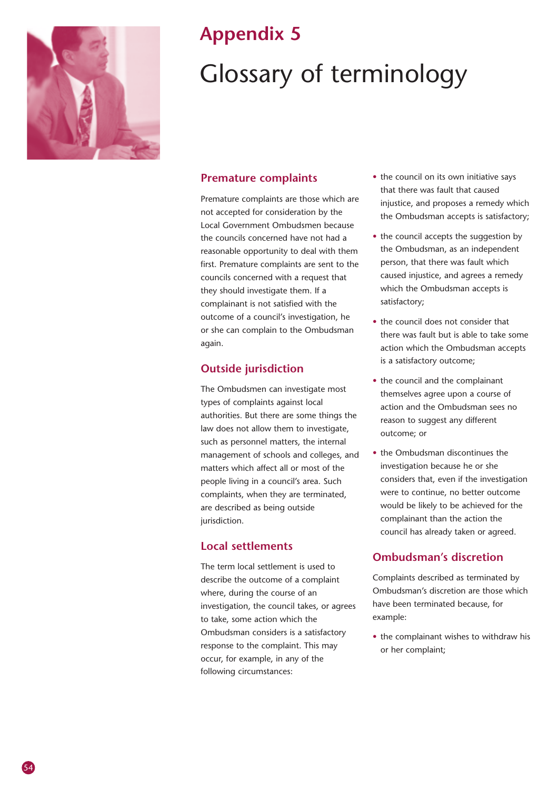

## **Appendix 5** Glossary of terminology

#### **Premature complaints**

Premature complaints are those which are not accepted for consideration by the Local Government Ombudsmen because the councils concerned have not had a reasonable opportunity to deal with them first. Premature complaints are sent to the councils concerned with a request that they should investigate them. If a complainant is not satisfied with the outcome of a council's investigation, he or she can complain to the Ombudsman again.

#### **Outside jurisdiction**

The Ombudsmen can investigate most types of complaints against local authorities. But there are some things the law does not allow them to investigate, such as personnel matters, the internal management of schools and colleges, and matters which affect all or most of the people living in a council's area. Such complaints, when they are terminated, are described as being outside jurisdiction.

#### **Local settlements**

The term local settlement is used to describe the outcome of a complaint where, during the course of an investigation, the council takes, or agrees to take, some action which the Ombudsman considers is a satisfactory response to the complaint. This may occur, for example, in any of the following circumstances:

- the council on its own initiative says that there was fault that caused injustice, and proposes a remedy which the Ombudsman accepts is satisfactory;
- the council accepts the suggestion by the Ombudsman, as an independent person, that there was fault which caused injustice, and agrees a remedy which the Ombudsman accepts is satisfactory;
- the council does not consider that there was fault but is able to take some action which the Ombudsman accepts is a satisfactory outcome;
- the council and the complainant themselves agree upon a course of action and the Ombudsman sees no reason to suggest any different outcome; or
- the Ombudsman discontinues the investigation because he or she considers that, even if the investigation were to continue, no better outcome would be likely to be achieved for the complainant than the action the council has already taken or agreed.

#### **Ombudsman's discretion**

Complaints described as terminated by Ombudsman's discretion are those which have been terminated because, for example:

• the complainant wishes to withdraw his or her complaint;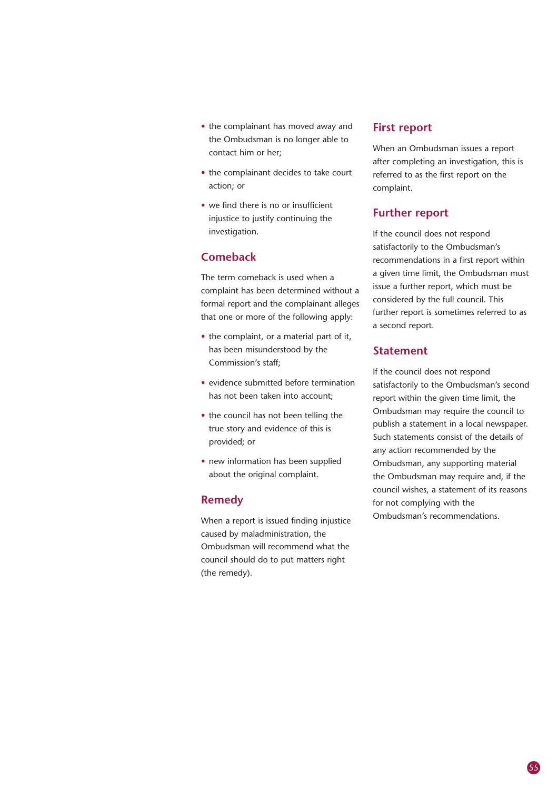- the complainant has moved away and the Ombudsman is no longer able to contact him or her;
- the complainant decides to take court action; or
- we find there is no or insufficient injustice to justify continuing the investigation.

#### **Comeback**

The term comeback is used when a complaint has been determined without a formal report and the complainant alleges that one or more of the following apply:

- the complaint, or a material part of it, has been misunderstood by the Commission's staff;
- evidence submitted before termination has not been taken into account;
- the council has not been telling the true story and evidence of this is provided; or
- new information has been supplied about the original complaint.

#### **Remedy**

When a report is issued finding injustice caused by maladministration, the Ombudsman will recommend what the council should do to put matters right (the remedy).

#### **First report**

When an Ombudsman issues a report after completing an investigation, this is referred to as the first report on the complaint.

#### **Further report**

If the council does not respond satisfactorily to the Ombudsman's recommendations in a first report within a given time limit, the Ombudsman must issue a further report, which must be considered by the full council. This further report is sometimes referred to as a second report.

#### **Statement**

If the council does not respond satisfactorily to the Ombudsman's second report within the given time limit, the Ombudsman may require the council to publish a statement in a local newspaper. Such statements consist of the details of any action recommended by the Ombudsman, any supporting material the Ombudsman may require and, if the council wishes, a statement of its reasons for not complying with the Ombudsman's recommendations.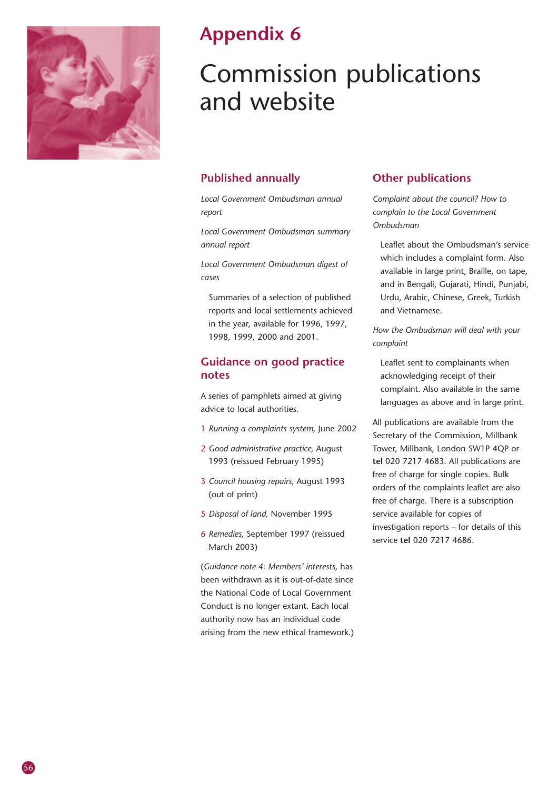

### **Appendix 6**

## Commission publications and website

#### **Published annually**

*Local Government Ombudsman annual report*

*Local Government Ombudsman summary annual report*

*Local Government Ombudsman digest of cases*

Summaries of a selection of published reports and local settlements achieved in the year, available for 1996, 1997, 1998, 1999, 2000 and 2001.

#### **Guidance on good practice notes**

A series of pamphlets aimed at giving advice to local authorities.

- 1 *Running a complaints system,* June 2002
- 2 *Good administrative practice,* August 1993 (reissued February 1995)
- 3 *Council housing repairs,* August 1993 (out of print)
- 5 *Disposal of land,* November 1995
- 6 *Remedies,* September 1997 (reissued March 2003)

(*Guidance note 4: Members' interests*, has been withdrawn as it is out-of-date since the National Code of Local Government Conduct is no longer extant. Each local authority now has an individual code arising from the new ethical framework.)

#### **Other publications**

*Complaint about the council? How to complain to the Local Government Ombudsman*

Leaflet about the Ombudsman's service which includes a complaint form. Also available in large print, Braille, on tape, and in Bengali, Gujarati, Hindi, Punjabi, Urdu, Arabic, Chinese, Greek, Turkish and Vietnamese.

*How the Ombudsman will deal with your complaint*

Leaflet sent to complainants when acknowledging receipt of their complaint. Also available in the same languages as above and in large print.

All publications are available from the Secretary of the Commission, Millbank Tower, Millbank, London SW1P 4QP or **tel** 020 7217 4683. All publications are free of charge for single copies. Bulk orders of the complaints leaflet are also free of charge. There is a subscription service available for copies of investigation reports – for details of this service **tel** 020 7217 4686.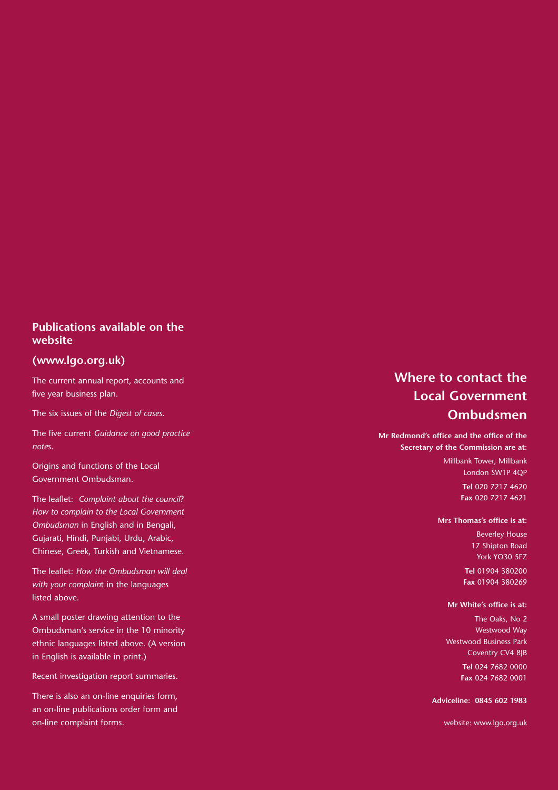#### **Publications available on the website**

#### **(www.lgo.org.uk)**

The current annual report, accounts and five year business plan.

The six issues of the *Digest of cases* .

The five current *Guidance on good practice note*s.

Origins and functions of the Local Government Ombudsman.

The leaflet: *Complaint about the council*? *How to complain to the Local Government Ombudsman* in English and in Bengali, Gujarati, Hindi, Punjabi, Urdu, Arabic, Chinese, Greek, Turkish and Vietnamese.

The leaflet: *How the Ombudsman will deal with your complain*t in the languages listed above.

A small poster drawing attention to the Ombudsman's service in the 10 minority ethnic languages listed above. (A version in English is available in print.)

Recent investigation report summaries.

There is also an on-line enquiries form, an on-line publications order form and on-line complaint forms.

#### **Where to contact the Local Government Ombudsmen**

**Mr Redmond's office and the office of the Secretary of the Commission are at:**

> Millbank Tower, Millbank London SW1P 4QP

> > **Tel** 020 7217 4620 **Fax** 020 7217 4621

#### **Mrs Thomas's office is at:**

Beverley House 17 Shipton Road York YO30 5FZ

**Tel** 01904 380200 **Fax** 01904 380269

#### **Mr White's office is at:**

The Oaks, No 2 Westwood Way Westwood Business Park Coventry CV4 8JB **Tel** 024 7682 0000 **Fax** 024 7682 0001

**Adviceline: 0845 602 1983**

website: www.lgo.org.uk